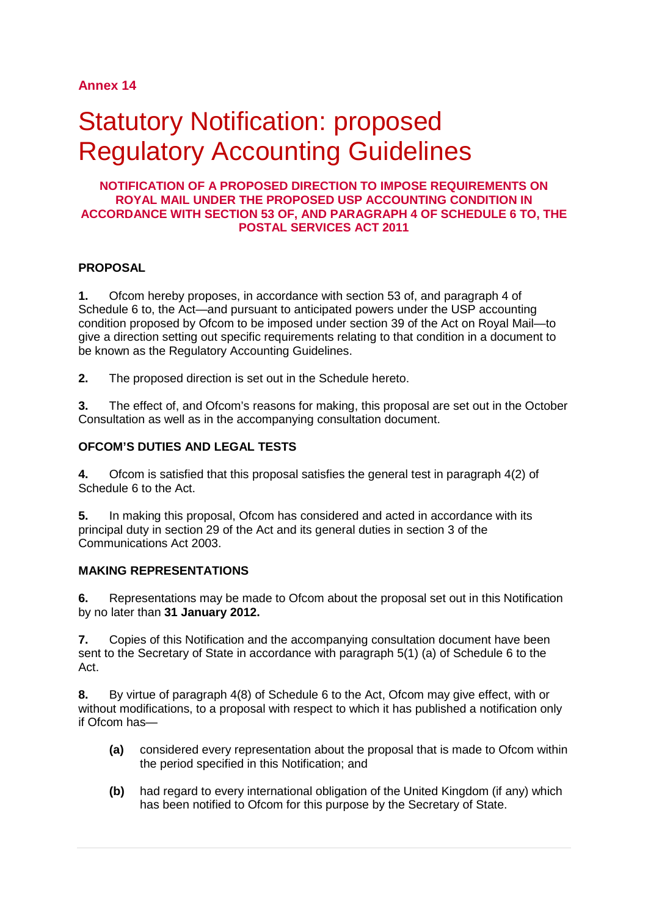# **Annex 14**

# Statutory Notification: proposed Regulatory Accounting Guidelines

#### **NOTIFICATION OF A PROPOSED DIRECTION TO IMPOSE REQUIREMENTS ON ROYAL MAIL UNDER THE PROPOSED USP ACCOUNTING CONDITION IN ACCORDANCE WITH SECTION 53 OF, AND PARAGRAPH 4 OF SCHEDULE 6 TO, THE POSTAL SERVICES ACT 2011**

### **PROPOSAL**

**1.** Ofcom hereby proposes, in accordance with section 53 of, and paragraph 4 of Schedule 6 to, the Act—and pursuant to anticipated powers under the USP accounting condition proposed by Ofcom to be imposed under section 39 of the Act on Royal Mail—to give a direction setting out specific requirements relating to that condition in a document to be known as the Regulatory Accounting Guidelines.

**2.** The proposed direction is set out in the Schedule hereto.

**3.** The effect of, and Ofcom's reasons for making, this proposal are set out in the October Consultation as well as in the accompanying consultation document.

### **OFCOM'S DUTIES AND LEGAL TESTS**

**4.** Ofcom is satisfied that this proposal satisfies the general test in paragraph 4(2) of Schedule 6 to the Act.

**5.** In making this proposal, Ofcom has considered and acted in accordance with its principal duty in section 29 of the Act and its general duties in section 3 of the Communications Act 2003.

#### **MAKING REPRESENTATIONS**

**6.** Representations may be made to Ofcom about the proposal set out in this Notification by no later than **31 January 2012.**

**7.** Copies of this Notification and the accompanying consultation document have been sent to the Secretary of State in accordance with paragraph 5(1) (a) of Schedule 6 to the Act.

**8.** By virtue of paragraph 4(8) of Schedule 6 to the Act, Ofcom may give effect, with or without modifications, to a proposal with respect to which it has published a notification only if Ofcom has—

- **(a)** considered every representation about the proposal that is made to Ofcom within the period specified in this Notification; and
- **(b)** had regard to every international obligation of the United Kingdom (if any) which has been notified to Ofcom for this purpose by the Secretary of State.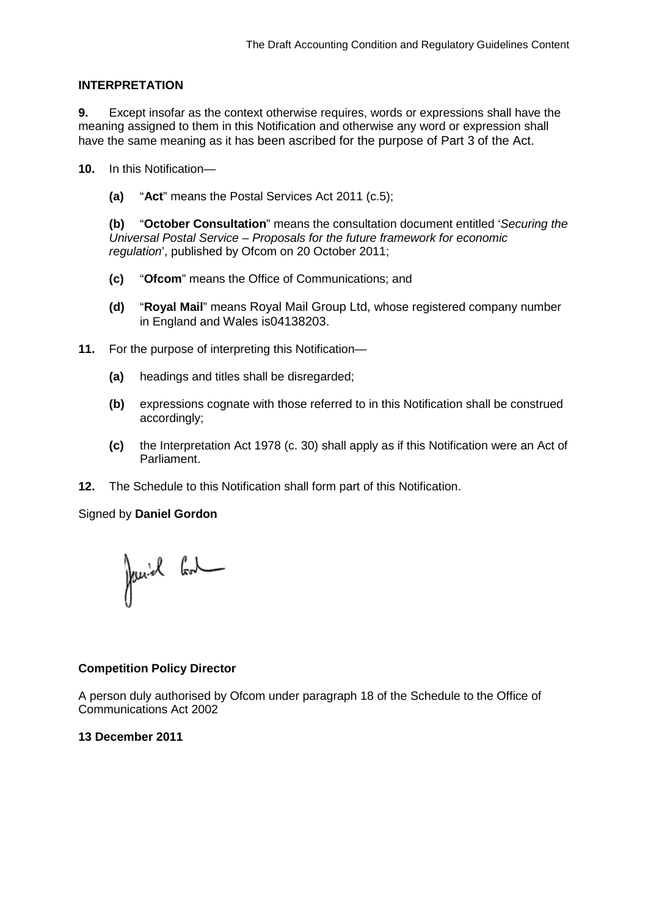#### **INTERPRETATION**

**9.** Except insofar as the context otherwise requires, words or expressions shall have the meaning assigned to them in this Notification and otherwise any word or expression shall have the same meaning as it has been ascribed for the purpose of Part 3 of the Act.

**10.** In this Notification—

**(a)** "**Act**" means the Postal Services Act 2011 (c.5);

**(b)** "**October Consultation**" means the consultation document entitled '*Securing the Universal Postal Service – Proposals for the future framework for economic regulation*', published by Ofcom on 20 October 2011;

- **(c)** "**Ofcom**" means the Office of Communications; and
- **(d)** "**Royal Mail**" means Royal Mail Group Ltd, whose registered company number in England and Wales is04138203.
- **11.** For the purpose of interpreting this Notification—
	- **(a)** headings and titles shall be disregarded;
	- **(b)** expressions cognate with those referred to in this Notification shall be construed accordingly;
	- **(c)** the Interpretation Act 1978 (c. 30) shall apply as if this Notification were an Act of Parliament.
- **12.** The Schedule to this Notification shall form part of this Notification.

Signed by **Daniel Gordon**

Janiel Cont

### **Competition Policy Director**

A person duly authorised by Ofcom under paragraph 18 of the Schedule to the Office of Communications Act 2002

### **13 December 2011**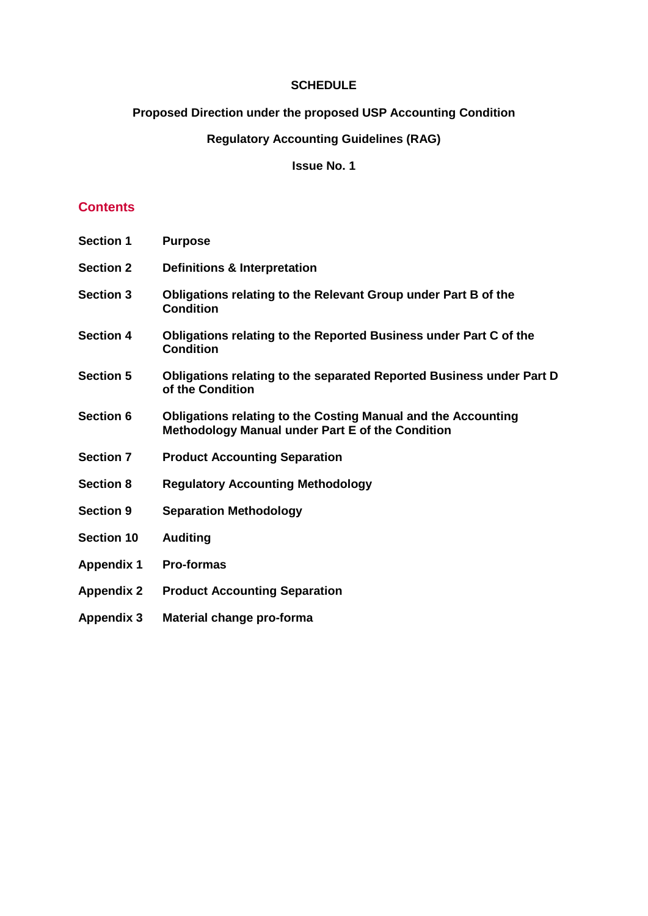### **SCHEDULE**

# **Proposed Direction under the proposed USP Accounting Condition**

# **Regulatory Accounting Guidelines (RAG)**

# **Issue No. 1**

# **Contents**

| <b>Section 1</b>  | <b>Purpose</b>                                                                                                           |
|-------------------|--------------------------------------------------------------------------------------------------------------------------|
| <b>Section 2</b>  | <b>Definitions &amp; Interpretation</b>                                                                                  |
| <b>Section 3</b>  | Obligations relating to the Relevant Group under Part B of the<br><b>Condition</b>                                       |
| <b>Section 4</b>  | Obligations relating to the Reported Business under Part C of the<br><b>Condition</b>                                    |
| <b>Section 5</b>  | Obligations relating to the separated Reported Business under Part D<br>of the Condition                                 |
| <b>Section 6</b>  | <b>Obligations relating to the Costing Manual and the Accounting</b><br>Methodology Manual under Part E of the Condition |
| <b>Section 7</b>  | <b>Product Accounting Separation</b>                                                                                     |
| <b>Section 8</b>  | <b>Regulatory Accounting Methodology</b>                                                                                 |
| <b>Section 9</b>  | <b>Separation Methodology</b>                                                                                            |
| <b>Section 10</b> | <b>Auditing</b>                                                                                                          |
| <b>Appendix 1</b> | <b>Pro-formas</b>                                                                                                        |
| <b>Appendix 2</b> | <b>Product Accounting Separation</b>                                                                                     |
| <b>Appendix 3</b> | Material change pro-forma                                                                                                |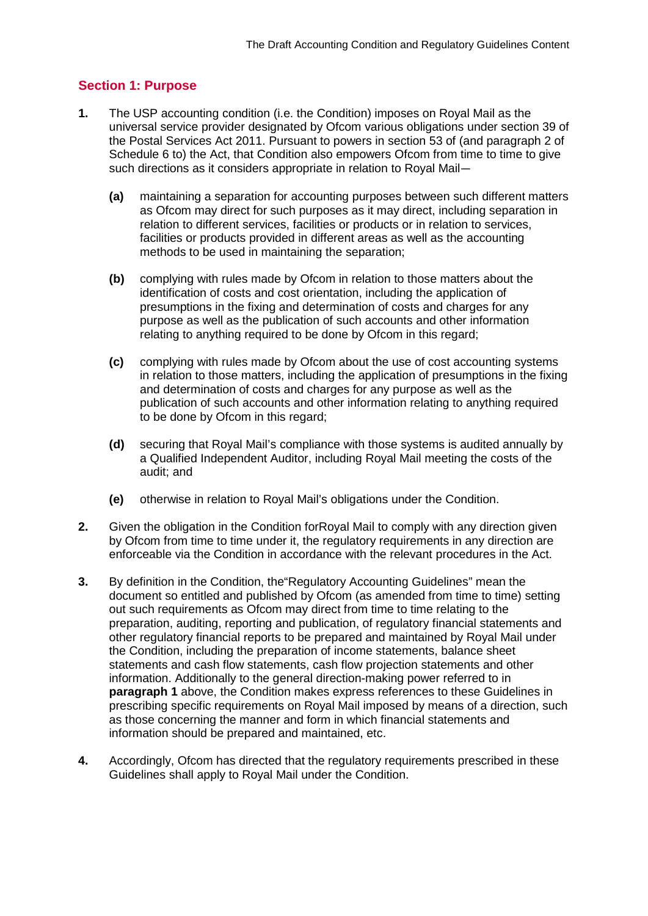# **Section 1: Purpose**

- **1.** The USP accounting condition (i.e. the Condition) imposes on Royal Mail as the universal service provider designated by Ofcom various obligations under section 39 of the Postal Services Act 2011. Pursuant to powers in section 53 of (and paragraph 2 of Schedule 6 to) the Act, that Condition also empowers Ofcom from time to time to give such directions as it considers appropriate in relation to Royal Mail—
	- **(a)** maintaining a separation for accounting purposes between such different matters as Ofcom may direct for such purposes as it may direct, including separation in relation to different services, facilities or products or in relation to services, facilities or products provided in different areas as well as the accounting methods to be used in maintaining the separation;
	- **(b)** complying with rules made by Ofcom in relation to those matters about the identification of costs and cost orientation, including the application of presumptions in the fixing and determination of costs and charges for any purpose as well as the publication of such accounts and other information relating to anything required to be done by Ofcom in this regard;
	- **(c)** complying with rules made by Ofcom about the use of cost accounting systems in relation to those matters, including the application of presumptions in the fixing and determination of costs and charges for any purpose as well as the publication of such accounts and other information relating to anything required to be done by Ofcom in this regard;
	- **(d)** securing that Royal Mail's compliance with those systems is audited annually by a Qualified Independent Auditor, including Royal Mail meeting the costs of the audit; and
	- **(e)** otherwise in relation to Royal Mail's obligations under the Condition.
- **2.** Given the obligation in the Condition forRoyal Mail to comply with any direction given by Ofcom from time to time under it, the regulatory requirements in any direction are enforceable via the Condition in accordance with the relevant procedures in the Act.
- **3.** By definition in the Condition, the"Regulatory Accounting Guidelines" mean the document so entitled and published by Ofcom (as amended from time to time) setting out such requirements as Ofcom may direct from time to time relating to the preparation, auditing, reporting and publication, of regulatory financial statements and other regulatory financial reports to be prepared and maintained by Royal Mail under the Condition, including the preparation of income statements, balance sheet statements and cash flow statements, cash flow projection statements and other information. Additionally to the general direction-making power referred to in **paragraph 1** above, the Condition makes express references to these Guidelines in prescribing specific requirements on Royal Mail imposed by means of a direction, such as those concerning the manner and form in which financial statements and information should be prepared and maintained, etc.
- **4.** Accordingly, Ofcom has directed that the regulatory requirements prescribed in these Guidelines shall apply to Royal Mail under the Condition.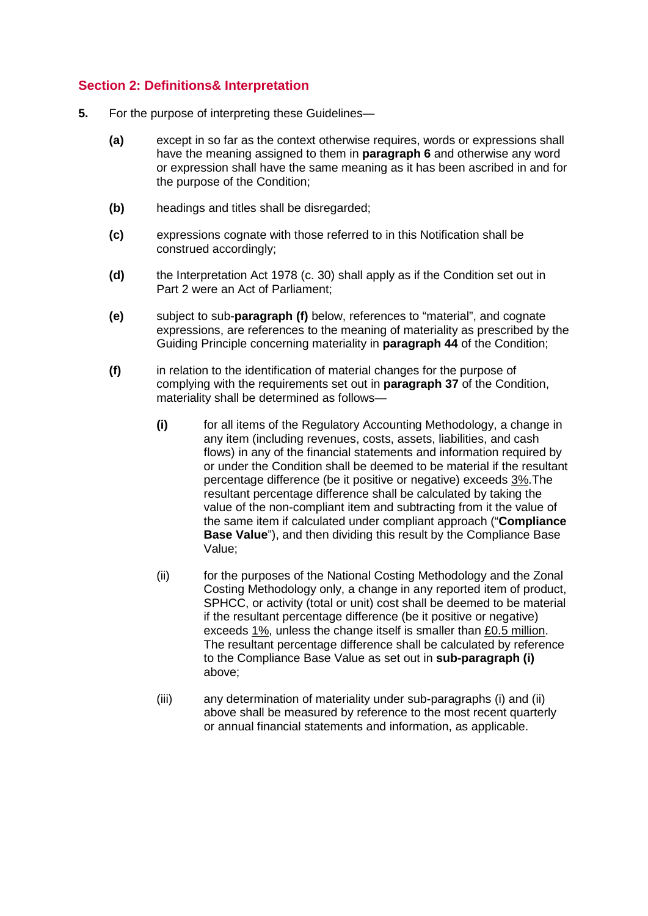# **Section 2: Definitions& Interpretation**

- **5.** For the purpose of interpreting these Guidelines—
	- **(a)** except in so far as the context otherwise requires, words or expressions shall have the meaning assigned to them in **paragraph 6** and otherwise any word or expression shall have the same meaning as it has been ascribed in and for the purpose of the Condition;
	- **(b)** headings and titles shall be disregarded;
	- **(c)** expressions cognate with those referred to in this Notification shall be construed accordingly;
	- **(d)** the Interpretation Act 1978 (c. 30) shall apply as if the Condition set out in Part 2 were an Act of Parliament;
	- **(e)** subject to sub-**paragraph (f)** below, references to "material", and cognate expressions, are references to the meaning of materiality as prescribed by the Guiding Principle concerning materiality in **paragraph 44** of the Condition;
	- **(f)** in relation to the identification of material changes for the purpose of complying with the requirements set out in **paragraph 37** of the Condition, materiality shall be determined as follows—
		- **(i)** for all items of the Regulatory Accounting Methodology, a change in any item (including revenues, costs, assets, liabilities, and cash flows) in any of the financial statements and information required by or under the Condition shall be deemed to be material if the resultant percentage difference (be it positive or negative) exceeds 3%.The resultant percentage difference shall be calculated by taking the value of the non-compliant item and subtracting from it the value of the same item if calculated under compliant approach ("**Compliance Base Value**"), and then dividing this result by the Compliance Base Value;
		- (ii) for the purposes of the National Costing Methodology and the Zonal Costing Methodology only, a change in any reported item of product, SPHCC, or activity (total or unit) cost shall be deemed to be material if the resultant percentage difference (be it positive or negative) exceeds 1%, unless the change itself is smaller than £0.5 million. The resultant percentage difference shall be calculated by reference to the Compliance Base Value as set out in **sub-paragraph (i)** above;
		- (iii) any determination of materiality under sub-paragraphs (i) and (ii) above shall be measured by reference to the most recent quarterly or annual financial statements and information, as applicable.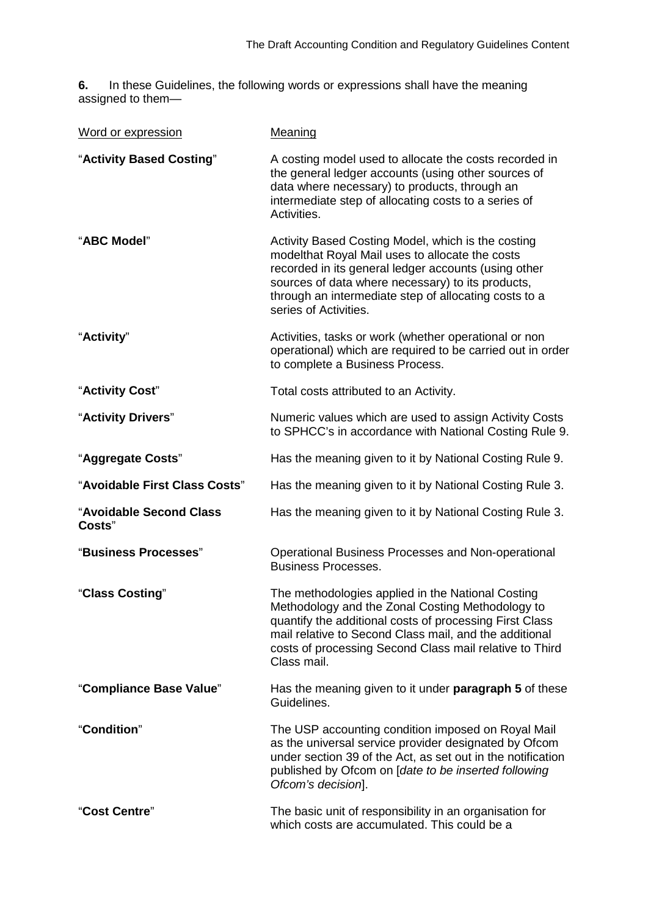**6.** In these Guidelines, the following words or expressions shall have the meaning assigned to them—

| Word or expression                | Meaning                                                                                                                                                                                                                                                                                              |
|-----------------------------------|------------------------------------------------------------------------------------------------------------------------------------------------------------------------------------------------------------------------------------------------------------------------------------------------------|
| "Activity Based Costing"          | A costing model used to allocate the costs recorded in<br>the general ledger accounts (using other sources of<br>data where necessary) to products, through an<br>intermediate step of allocating costs to a series of<br>Activities.                                                                |
| "ABC Model"                       | Activity Based Costing Model, which is the costing<br>modelthat Royal Mail uses to allocate the costs<br>recorded in its general ledger accounts (using other<br>sources of data where necessary) to its products,<br>through an intermediate step of allocating costs to a<br>series of Activities. |
| "Activity"                        | Activities, tasks or work (whether operational or non<br>operational) which are required to be carried out in order<br>to complete a Business Process.                                                                                                                                               |
| "Activity Cost"                   | Total costs attributed to an Activity.                                                                                                                                                                                                                                                               |
| "Activity Drivers"                | Numeric values which are used to assign Activity Costs<br>to SPHCC's in accordance with National Costing Rule 9.                                                                                                                                                                                     |
| "Aggregate Costs"                 | Has the meaning given to it by National Costing Rule 9.                                                                                                                                                                                                                                              |
| "Avoidable First Class Costs"     | Has the meaning given to it by National Costing Rule 3.                                                                                                                                                                                                                                              |
| "Avoidable Second Class<br>Costs" | Has the meaning given to it by National Costing Rule 3.                                                                                                                                                                                                                                              |
| "Business Processes"              | Operational Business Processes and Non-operational<br><b>Business Processes.</b>                                                                                                                                                                                                                     |
| "Class Costing"                   | The methodologies applied in the National Costing<br>Methodology and the Zonal Costing Methodology to<br>quantify the additional costs of processing First Class<br>mail relative to Second Class mail, and the additional<br>costs of processing Second Class mail relative to Third<br>Class mail. |
| "Compliance Base Value"           | Has the meaning given to it under paragraph 5 of these<br>Guidelines.                                                                                                                                                                                                                                |
| "Condition"                       | The USP accounting condition imposed on Royal Mail<br>as the universal service provider designated by Ofcom<br>under section 39 of the Act, as set out in the notification<br>published by Ofcom on [date to be inserted following<br>Ofcom's decision].                                             |
| "Cost Centre"                     | The basic unit of responsibility in an organisation for<br>which costs are accumulated. This could be a                                                                                                                                                                                              |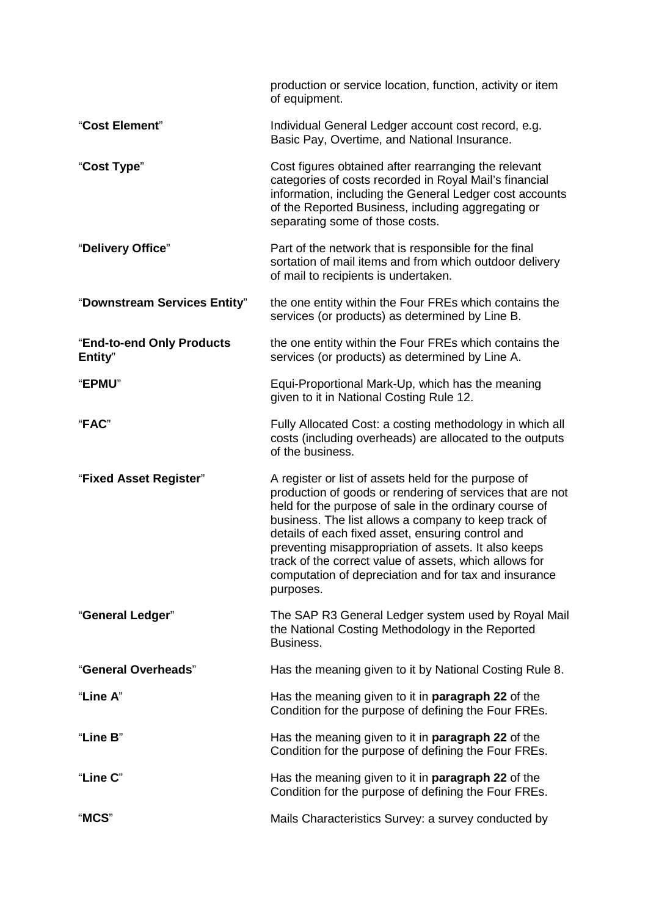|                                      | production or service location, function, activity or item<br>of equipment.                                                                                                                                                                                                                                                                                                                                                                                                      |
|--------------------------------------|----------------------------------------------------------------------------------------------------------------------------------------------------------------------------------------------------------------------------------------------------------------------------------------------------------------------------------------------------------------------------------------------------------------------------------------------------------------------------------|
| "Cost Element"                       | Individual General Ledger account cost record, e.g.<br>Basic Pay, Overtime, and National Insurance.                                                                                                                                                                                                                                                                                                                                                                              |
| "Cost Type"                          | Cost figures obtained after rearranging the relevant<br>categories of costs recorded in Royal Mail's financial<br>information, including the General Ledger cost accounts<br>of the Reported Business, including aggregating or<br>separating some of those costs.                                                                                                                                                                                                               |
| "Delivery Office"                    | Part of the network that is responsible for the final<br>sortation of mail items and from which outdoor delivery<br>of mail to recipients is undertaken.                                                                                                                                                                                                                                                                                                                         |
| "Downstream Services Entity"         | the one entity within the Four FREs which contains the<br>services (or products) as determined by Line B.                                                                                                                                                                                                                                                                                                                                                                        |
| "End-to-end Only Products<br>Entity" | the one entity within the Four FREs which contains the<br>services (or products) as determined by Line A.                                                                                                                                                                                                                                                                                                                                                                        |
| "EPMU"                               | Equi-Proportional Mark-Up, which has the meaning<br>given to it in National Costing Rule 12.                                                                                                                                                                                                                                                                                                                                                                                     |
| "FAC"                                | Fully Allocated Cost: a costing methodology in which all<br>costs (including overheads) are allocated to the outputs<br>of the business.                                                                                                                                                                                                                                                                                                                                         |
| "Fixed Asset Register"               | A register or list of assets held for the purpose of<br>production of goods or rendering of services that are not<br>held for the purpose of sale in the ordinary course of<br>business. The list allows a company to keep track of<br>details of each fixed asset, ensuring control and<br>preventing misappropriation of assets. It also keeps<br>track of the correct value of assets, which allows for<br>computation of depreciation and for tax and insurance<br>purposes. |
| "General Ledger"                     | The SAP R3 General Ledger system used by Royal Mail<br>the National Costing Methodology in the Reported<br>Business.                                                                                                                                                                                                                                                                                                                                                             |
| "General Overheads"                  | Has the meaning given to it by National Costing Rule 8.                                                                                                                                                                                                                                                                                                                                                                                                                          |
| "Line A"                             | Has the meaning given to it in <b>paragraph 22</b> of the<br>Condition for the purpose of defining the Four FREs.                                                                                                                                                                                                                                                                                                                                                                |
| "Line B"                             | Has the meaning given to it in <b>paragraph 22</b> of the<br>Condition for the purpose of defining the Four FREs.                                                                                                                                                                                                                                                                                                                                                                |
| "Line C"                             | Has the meaning given to it in paragraph 22 of the<br>Condition for the purpose of defining the Four FREs.                                                                                                                                                                                                                                                                                                                                                                       |
| "MCS"                                | Mails Characteristics Survey: a survey conducted by                                                                                                                                                                                                                                                                                                                                                                                                                              |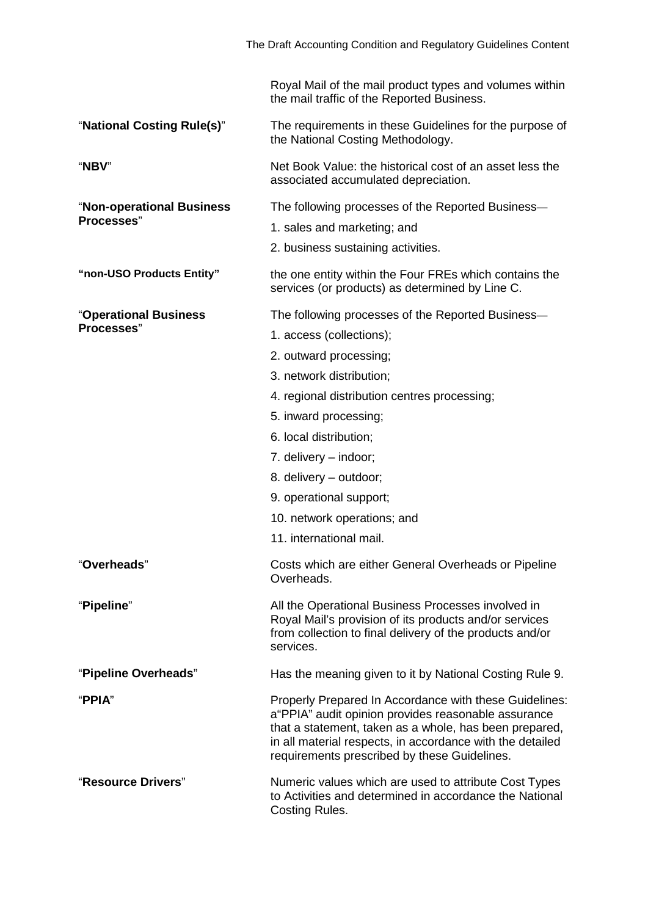|                            | Royal Mail of the mail product types and volumes within<br>the mail traffic of the Reported Business.                                                                                                                                                                                 |
|----------------------------|---------------------------------------------------------------------------------------------------------------------------------------------------------------------------------------------------------------------------------------------------------------------------------------|
| "National Costing Rule(s)" | The requirements in these Guidelines for the purpose of<br>the National Costing Methodology.                                                                                                                                                                                          |
| "NBV"                      | Net Book Value: the historical cost of an asset less the<br>associated accumulated depreciation.                                                                                                                                                                                      |
| "Non-operational Business  | The following processes of the Reported Business—                                                                                                                                                                                                                                     |
| Processes"                 | 1. sales and marketing; and                                                                                                                                                                                                                                                           |
|                            | 2. business sustaining activities.                                                                                                                                                                                                                                                    |
| "non-USO Products Entity"  | the one entity within the Four FREs which contains the<br>services (or products) as determined by Line C.                                                                                                                                                                             |
| "Operational Business      | The following processes of the Reported Business-                                                                                                                                                                                                                                     |
| Processes"                 | 1. access (collections);                                                                                                                                                                                                                                                              |
|                            | 2. outward processing;                                                                                                                                                                                                                                                                |
|                            | 3. network distribution;                                                                                                                                                                                                                                                              |
|                            | 4. regional distribution centres processing;                                                                                                                                                                                                                                          |
|                            | 5. inward processing;                                                                                                                                                                                                                                                                 |
|                            | 6. local distribution;                                                                                                                                                                                                                                                                |
|                            | 7. delivery – indoor;                                                                                                                                                                                                                                                                 |
|                            | 8. delivery - outdoor;                                                                                                                                                                                                                                                                |
|                            | 9. operational support;                                                                                                                                                                                                                                                               |
|                            | 10. network operations; and                                                                                                                                                                                                                                                           |
|                            | 11. international mail.                                                                                                                                                                                                                                                               |
| "Overheads"                | Costs which are either General Overheads or Pipeline<br>Overheads.                                                                                                                                                                                                                    |
| "Pipeline"                 | All the Operational Business Processes involved in<br>Royal Mail's provision of its products and/or services<br>from collection to final delivery of the products and/or<br>services.                                                                                                 |
| "Pipeline Overheads"       | Has the meaning given to it by National Costing Rule 9.                                                                                                                                                                                                                               |
| "PPIA"                     | Properly Prepared In Accordance with these Guidelines:<br>a "PPIA" audit opinion provides reasonable assurance<br>that a statement, taken as a whole, has been prepared,<br>in all material respects, in accordance with the detailed<br>requirements prescribed by these Guidelines. |
| "Resource Drivers"         | Numeric values which are used to attribute Cost Types<br>to Activities and determined in accordance the National<br>Costing Rules.                                                                                                                                                    |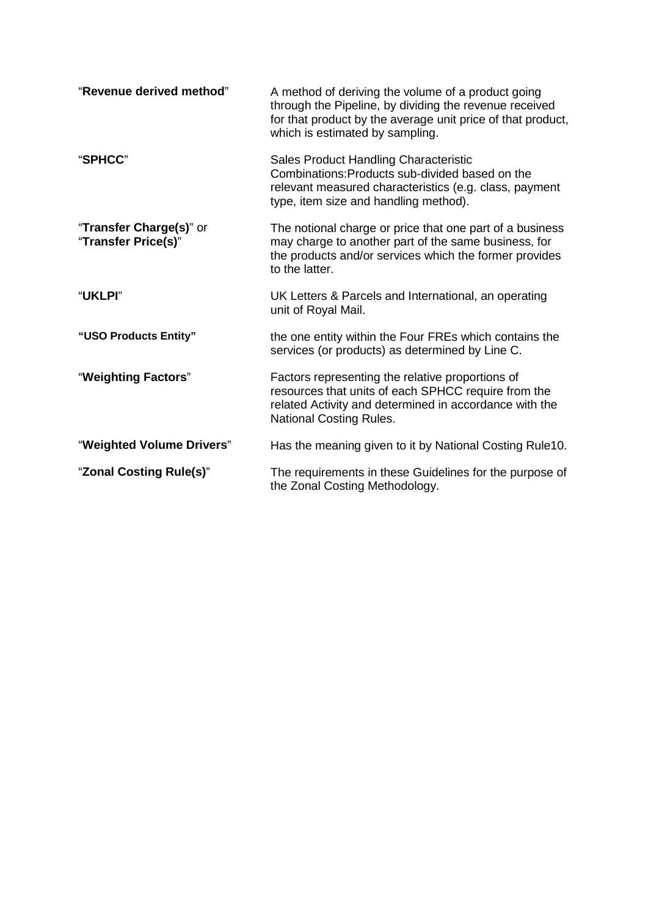| "Revenue derived method"                       | A method of deriving the volume of a product going<br>through the Pipeline, by dividing the revenue received<br>for that product by the average unit price of that product,<br>which is estimated by sampling. |
|------------------------------------------------|----------------------------------------------------------------------------------------------------------------------------------------------------------------------------------------------------------------|
| "SPHCC"                                        | Sales Product Handling Characteristic<br>Combinations: Products sub-divided based on the<br>relevant measured characteristics (e.g. class, payment<br>type, item size and handling method).                    |
| "Transfer Charge(s)" or<br>"Transfer Price(s)" | The notional charge or price that one part of a business<br>may charge to another part of the same business, for<br>the products and/or services which the former provides<br>to the latter.                   |
| <b>"UKLPI"</b>                                 | UK Letters & Parcels and International, an operating<br>unit of Royal Mail.                                                                                                                                    |
| "USO Products Entity"                          | the one entity within the Four FREs which contains the<br>services (or products) as determined by Line C.                                                                                                      |
| "Weighting Factors"                            | Factors representing the relative proportions of<br>resources that units of each SPHCC require from the<br>related Activity and determined in accordance with the<br><b>National Costing Rules.</b>            |
| "Weighted Volume Drivers"                      | Has the meaning given to it by National Costing Rule10.                                                                                                                                                        |
| "Zonal Costing Rule(s)"                        | The requirements in these Guidelines for the purpose of<br>the Zonal Costing Methodology.                                                                                                                      |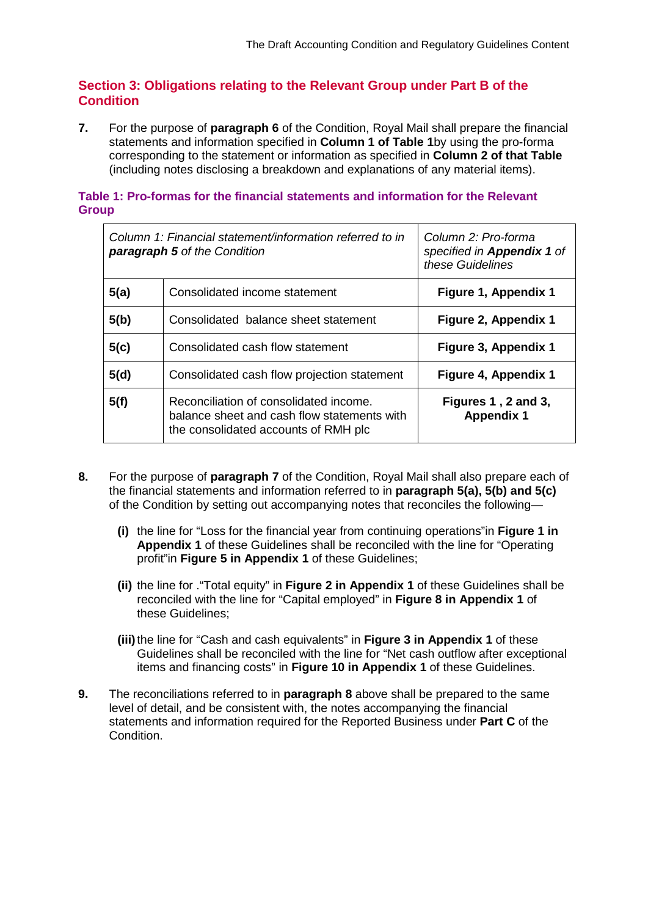# **Section 3: Obligations relating to the Relevant Group under Part B of the Condition**

**7.** For the purpose of **paragraph 6** of the Condition, Royal Mail shall prepare the financial statements and information specified in **Column 1 of Table 1**by using the pro-forma corresponding to the statement or information as specified in **Column 2 of that Table** (including notes disclosing a breakdown and explanations of any material items).

#### **Table 1: Pro-formas for the financial statements and information for the Relevant Group**

| Column 1: Financial statement/information referred to in<br><b>paragraph 5</b> of the Condition |                                                                                                                               | Column 2: Pro-forma<br>specified in Appendix 1 of<br>these Guidelines |
|-------------------------------------------------------------------------------------------------|-------------------------------------------------------------------------------------------------------------------------------|-----------------------------------------------------------------------|
| 5(a)                                                                                            | Consolidated income statement                                                                                                 | Figure 1, Appendix 1                                                  |
| 5(b)                                                                                            | Consolidated balance sheet statement                                                                                          | Figure 2, Appendix 1                                                  |
| 5(c)                                                                                            | Consolidated cash flow statement                                                                                              | Figure 3, Appendix 1                                                  |
| 5(d)                                                                                            | Consolidated cash flow projection statement                                                                                   | Figure 4, Appendix 1                                                  |
| 5(f)                                                                                            | Reconciliation of consolidated income.<br>balance sheet and cash flow statements with<br>the consolidated accounts of RMH plc | Figures 1, 2 and 3,<br><b>Appendix 1</b>                              |

- **8.** For the purpose of **paragraph 7** of the Condition, Royal Mail shall also prepare each of the financial statements and information referred to in **paragraph 5(a), 5(b) and 5(c)** of the Condition by setting out accompanying notes that reconciles the following—
	- **(i)** the line for "Loss for the financial year from continuing operations"in **Figure 1 in Appendix 1** of these Guidelines shall be reconciled with the line for "Operating profit"in **Figure 5 in Appendix 1** of these Guidelines;
	- **(ii)** the line for ."Total equity" in **Figure 2 in Appendix 1** of these Guidelines shall be reconciled with the line for "Capital employed" in **Figure 8 in Appendix 1** of these Guidelines;
	- **(iii)**the line for "Cash and cash equivalents" in **Figure 3 in Appendix 1** of these Guidelines shall be reconciled with the line for "Net cash outflow after exceptional items and financing costs" in **Figure 10 in Appendix 1** of these Guidelines.
- **9.** The reconciliations referred to in **paragraph 8** above shall be prepared to the same level of detail, and be consistent with, the notes accompanying the financial statements and information required for the Reported Business under **Part C** of the Condition.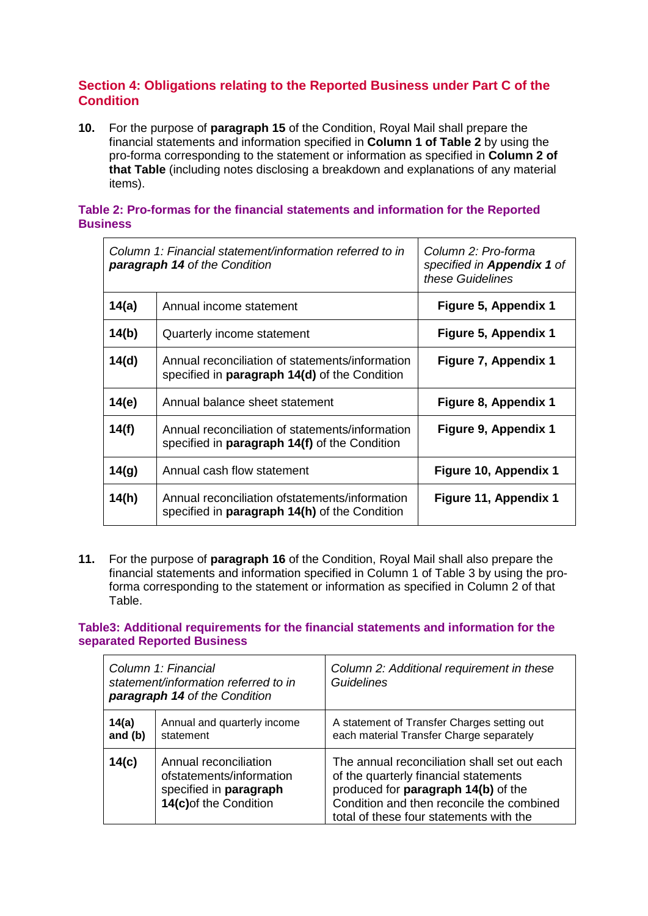# **Section 4: Obligations relating to the Reported Business under Part C of the Condition**

**10.** For the purpose of **paragraph 15** of the Condition, Royal Mail shall prepare the financial statements and information specified in **Column 1 of Table 2** by using the pro-forma corresponding to the statement or information as specified in **Column 2 of that Table** (including notes disclosing a breakdown and explanations of any material items).

#### **Table 2: Pro-formas for the financial statements and information for the Reported Business**

| Column 1: Financial statement/information referred to in<br><b>paragraph 14 of the Condition</b> |                                                                                                         | Column 2: Pro-forma<br>specified in <b>Appendix 1</b> of<br>these Guidelines |
|--------------------------------------------------------------------------------------------------|---------------------------------------------------------------------------------------------------------|------------------------------------------------------------------------------|
| 14(a)                                                                                            | Annual income statement                                                                                 | Figure 5, Appendix 1                                                         |
| 14(b)                                                                                            | Quarterly income statement                                                                              | Figure 5, Appendix 1                                                         |
| 14(d)                                                                                            | Annual reconciliation of statements/information<br>specified in <b>paragraph 14(d)</b> of the Condition | Figure 7, Appendix 1                                                         |
| 14(e)                                                                                            | Annual balance sheet statement                                                                          | Figure 8, Appendix 1                                                         |
| 14(f)                                                                                            | Annual reconciliation of statements/information<br>specified in <b>paragraph 14(f)</b> of the Condition | Figure 9, Appendix 1                                                         |
| 14(g)                                                                                            | Annual cash flow statement                                                                              | Figure 10, Appendix 1                                                        |
| 14(h)                                                                                            | Annual reconciliation of statements/information<br>specified in paragraph 14(h) of the Condition        | Figure 11, Appendix 1                                                        |

**11.** For the purpose of **paragraph 16** of the Condition, Royal Mail shall also prepare the financial statements and information specified in Column 1 of Table 3 by using the proforma corresponding to the statement or information as specified in Column 2 of that Table.

**Table3: Additional requirements for the financial statements and information for the separated Reported Business**

| Column 1: Financial<br>statement/information referred to in<br>paragraph 14 of the Condition |                                                                                                       | Column 2: Additional requirement in these<br><b>Guidelines</b>                                                                                                                                                       |
|----------------------------------------------------------------------------------------------|-------------------------------------------------------------------------------------------------------|----------------------------------------------------------------------------------------------------------------------------------------------------------------------------------------------------------------------|
| 14(a)<br>and $(b)$                                                                           | Annual and quarterly income<br>statement                                                              | A statement of Transfer Charges setting out<br>each material Transfer Charge separately                                                                                                                              |
| 14(c)                                                                                        | Annual reconciliation<br>ofstatements/information<br>specified in paragraph<br>14(c) of the Condition | The annual reconciliation shall set out each<br>of the quarterly financial statements<br>produced for paragraph 14(b) of the<br>Condition and then reconcile the combined<br>total of these four statements with the |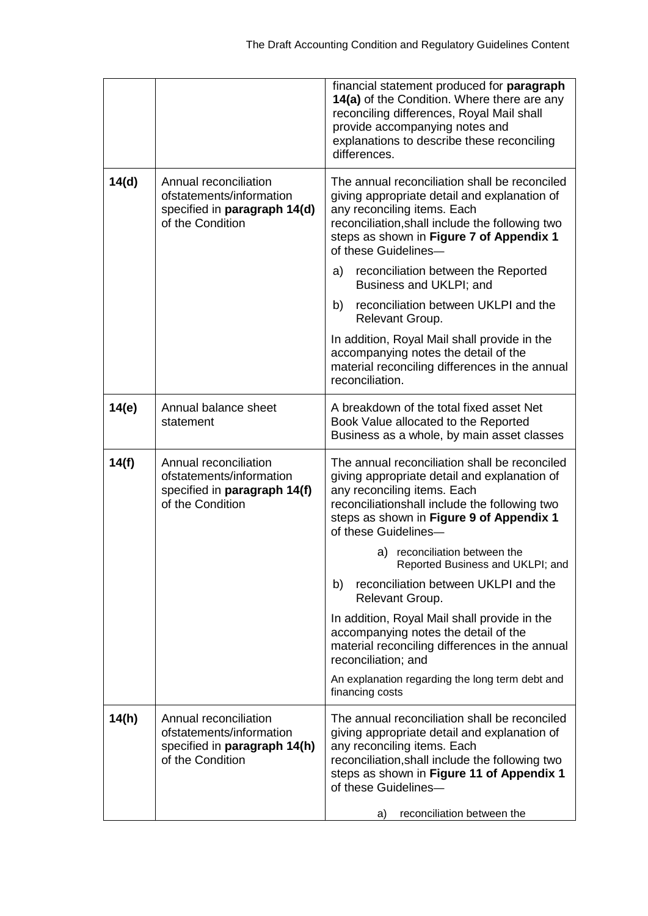|       |                                                                                                       | financial statement produced for paragraph<br>14(a) of the Condition. Where there are any<br>reconciling differences, Royal Mail shall<br>provide accompanying notes and<br>explanations to describe these reconciling<br>differences.                                                   |
|-------|-------------------------------------------------------------------------------------------------------|------------------------------------------------------------------------------------------------------------------------------------------------------------------------------------------------------------------------------------------------------------------------------------------|
| 14(d) | Annual reconciliation<br>ofstatements/information<br>specified in paragraph 14(d)<br>of the Condition | The annual reconciliation shall be reconciled<br>giving appropriate detail and explanation of<br>any reconciling items. Each<br>reconciliation, shall include the following two<br>steps as shown in Figure 7 of Appendix 1<br>of these Guidelines-                                      |
|       |                                                                                                       | reconciliation between the Reported<br>a)<br>Business and UKLPI; and                                                                                                                                                                                                                     |
|       |                                                                                                       | reconciliation between UKLPI and the<br>b)<br>Relevant Group.                                                                                                                                                                                                                            |
|       |                                                                                                       | In addition, Royal Mail shall provide in the<br>accompanying notes the detail of the<br>material reconciling differences in the annual<br>reconciliation.                                                                                                                                |
| 14(e) | Annual balance sheet<br>statement                                                                     | A breakdown of the total fixed asset Net<br>Book Value allocated to the Reported<br>Business as a whole, by main asset classes                                                                                                                                                           |
| 14(f) | Annual reconciliation<br>ofstatements/information<br>specified in paragraph 14(f)<br>of the Condition | The annual reconciliation shall be reconciled<br>giving appropriate detail and explanation of<br>any reconciling items. Each<br>reconciliationshall include the following two<br>steps as shown in Figure 9 of Appendix 1<br>of these Guidelines-                                        |
|       |                                                                                                       | a) reconciliation between the<br>Reported Business and UKLPI; and                                                                                                                                                                                                                        |
|       |                                                                                                       | reconciliation between UKLPI and the<br>b)<br>Relevant Group.                                                                                                                                                                                                                            |
|       |                                                                                                       | In addition, Royal Mail shall provide in the<br>accompanying notes the detail of the<br>material reconciling differences in the annual<br>reconciliation; and                                                                                                                            |
|       |                                                                                                       | An explanation regarding the long term debt and<br>financing costs                                                                                                                                                                                                                       |
| 14(h) | Annual reconciliation<br>ofstatements/information<br>specified in paragraph 14(h)<br>of the Condition | The annual reconciliation shall be reconciled<br>giving appropriate detail and explanation of<br>any reconciling items. Each<br>reconciliation, shall include the following two<br>steps as shown in Figure 11 of Appendix 1<br>of these Guidelines-<br>reconciliation between the<br>a) |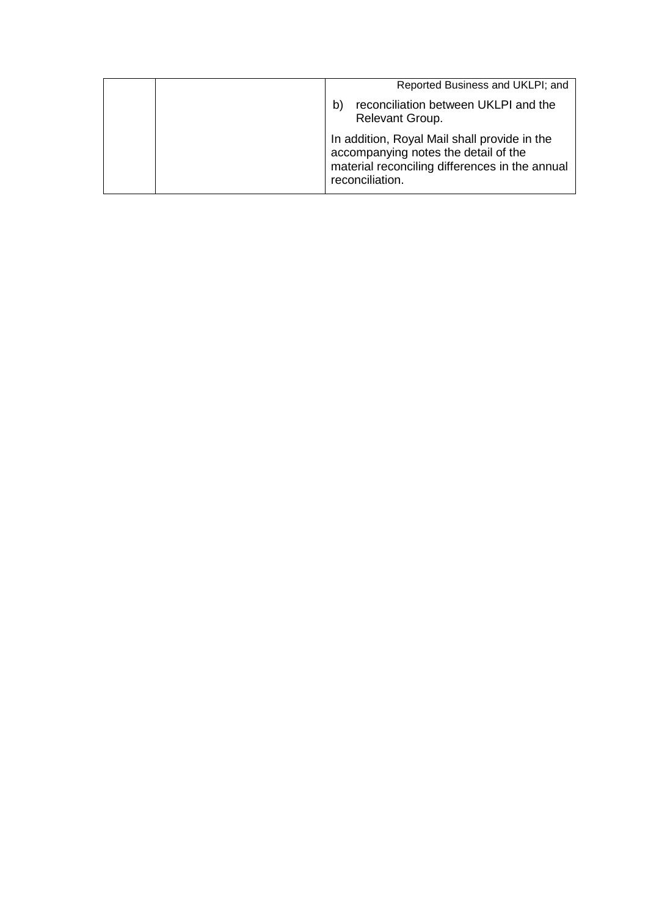| Reported Business and UKLPI; and                                                                                                                          |
|-----------------------------------------------------------------------------------------------------------------------------------------------------------|
| reconciliation between UKLPI and the<br>b<br>Relevant Group.                                                                                              |
| In addition, Royal Mail shall provide in the<br>accompanying notes the detail of the<br>material reconciling differences in the annual<br>reconciliation. |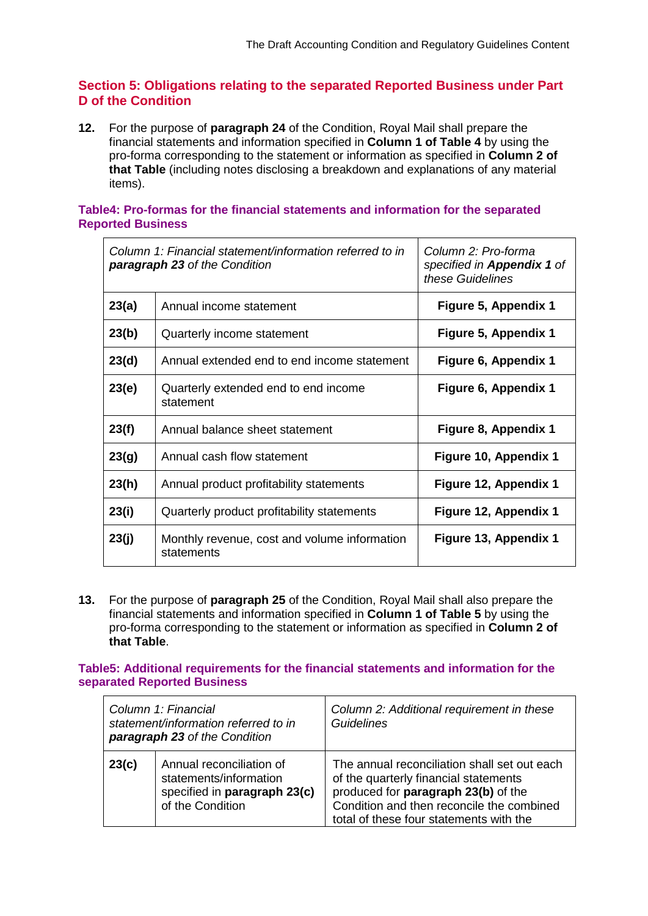## **Section 5: Obligations relating to the separated Reported Business under Part D of the Condition**

**12.** For the purpose of **paragraph 24** of the Condition, Royal Mail shall prepare the financial statements and information specified in **Column 1 of Table 4** by using the pro-forma corresponding to the statement or information as specified in **Column 2 of that Table** (including notes disclosing a breakdown and explanations of any material items).

#### **Table4: Pro-formas for the financial statements and information for the separated Reported Business**

| Column 1: Financial statement/information referred to in<br>paragraph 23 of the Condition |                                                            | Column 2: Pro-forma<br>specified in <b>Appendix 1</b> of<br>these Guidelines |
|-------------------------------------------------------------------------------------------|------------------------------------------------------------|------------------------------------------------------------------------------|
| 23(a)                                                                                     | Annual income statement                                    | Figure 5, Appendix 1                                                         |
| 23(b)                                                                                     | Quarterly income statement                                 | Figure 5, Appendix 1                                                         |
| 23(d)                                                                                     | Annual extended end to end income statement                | Figure 6, Appendix 1                                                         |
| 23(e)                                                                                     | Quarterly extended end to end income<br>statement          | Figure 6, Appendix 1                                                         |
| 23(f)                                                                                     | Annual balance sheet statement                             | Figure 8, Appendix 1                                                         |
| 23(g)                                                                                     | Annual cash flow statement                                 | Figure 10, Appendix 1                                                        |
| 23(h)                                                                                     | Annual product profitability statements                    | Figure 12, Appendix 1                                                        |
| 23(i)                                                                                     | Quarterly product profitability statements                 | Figure 12, Appendix 1                                                        |
| 23(j)                                                                                     | Monthly revenue, cost and volume information<br>statements | Figure 13, Appendix 1                                                        |

**13.** For the purpose of **paragraph 25** of the Condition, Royal Mail shall also prepare the financial statements and information specified in **Column 1 of Table 5** by using the pro-forma corresponding to the statement or information as specified in **Column 2 of that Table**.

#### **Table5: Additional requirements for the financial statements and information for the separated Reported Business**

| Column 1: Financial<br>statement/information referred to in<br>paragraph 23 of the Condition |                                                                                                        | Column 2: Additional requirement in these<br>Guidelines                                                                                                                                                              |
|----------------------------------------------------------------------------------------------|--------------------------------------------------------------------------------------------------------|----------------------------------------------------------------------------------------------------------------------------------------------------------------------------------------------------------------------|
| 23(c)                                                                                        | Annual reconciliation of<br>statements/information<br>specified in paragraph 23(c)<br>of the Condition | The annual reconciliation shall set out each<br>of the quarterly financial statements<br>produced for paragraph 23(b) of the<br>Condition and then reconcile the combined<br>total of these four statements with the |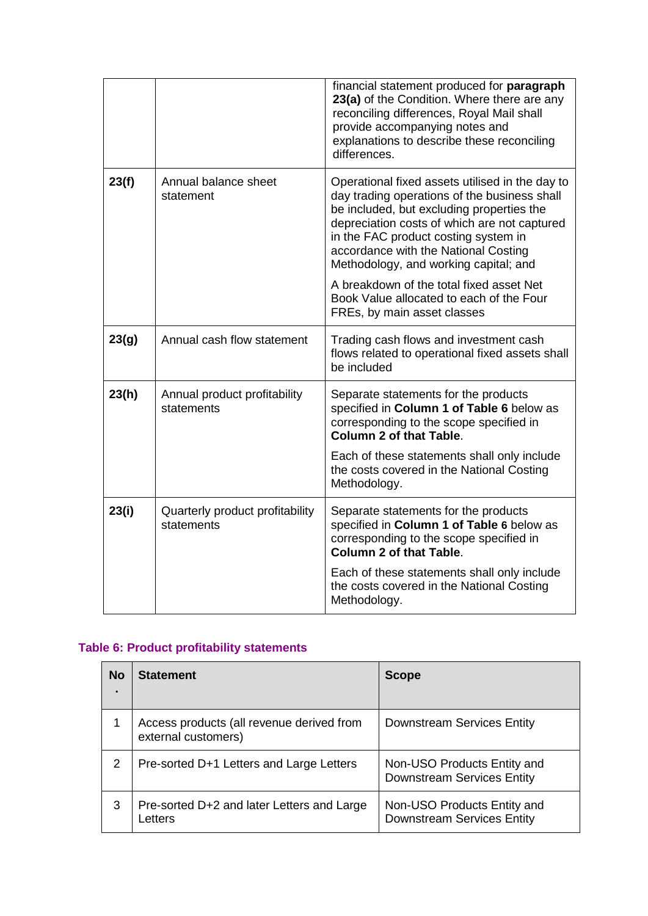|       |                                               | financial statement produced for paragraph<br>23(a) of the Condition. Where there are any<br>reconciling differences, Royal Mail shall<br>provide accompanying notes and<br>explanations to describe these reconciling<br>differences.                                                                                |
|-------|-----------------------------------------------|-----------------------------------------------------------------------------------------------------------------------------------------------------------------------------------------------------------------------------------------------------------------------------------------------------------------------|
| 23(f) | Annual balance sheet<br>statement             | Operational fixed assets utilised in the day to<br>day trading operations of the business shall<br>be included, but excluding properties the<br>depreciation costs of which are not captured<br>in the FAC product costing system in<br>accordance with the National Costing<br>Methodology, and working capital; and |
|       |                                               | A breakdown of the total fixed asset Net<br>Book Value allocated to each of the Four<br>FREs, by main asset classes                                                                                                                                                                                                   |
| 23(g) | Annual cash flow statement                    | Trading cash flows and investment cash<br>flows related to operational fixed assets shall<br>be included                                                                                                                                                                                                              |
| 23(h) | Annual product profitability<br>statements    | Separate statements for the products<br>specified in Column 1 of Table 6 below as<br>corresponding to the scope specified in<br><b>Column 2 of that Table.</b>                                                                                                                                                        |
|       |                                               | Each of these statements shall only include<br>the costs covered in the National Costing<br>Methodology.                                                                                                                                                                                                              |
| 23(i) | Quarterly product profitability<br>statements | Separate statements for the products<br>specified in Column 1 of Table 6 below as<br>corresponding to the scope specified in<br><b>Column 2 of that Table.</b>                                                                                                                                                        |
|       |                                               | Each of these statements shall only include<br>the costs covered in the National Costing<br>Methodology.                                                                                                                                                                                                              |

# **Table 6: Product profitability statements**

| <b>No</b><br>$\blacksquare$ | <b>Statement</b>                                                 | <b>Scope</b>                                                     |
|-----------------------------|------------------------------------------------------------------|------------------------------------------------------------------|
|                             | Access products (all revenue derived from<br>external customers) | Downstream Services Entity                                       |
| 2                           | Pre-sorted D+1 Letters and Large Letters                         | Non-USO Products Entity and<br><b>Downstream Services Entity</b> |
| 3                           | Pre-sorted D+2 and later Letters and Large<br>Letters            | Non-USO Products Entity and<br><b>Downstream Services Entity</b> |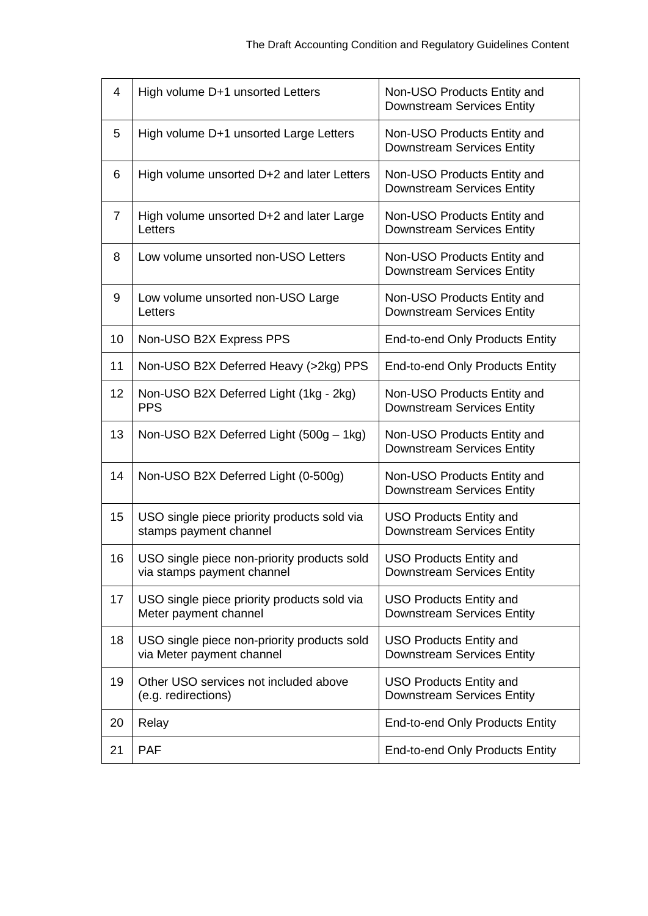| 4              | High volume D+1 unsorted Letters                                          | Non-USO Products Entity and<br><b>Downstream Services Entity</b>    |
|----------------|---------------------------------------------------------------------------|---------------------------------------------------------------------|
| 5              | High volume D+1 unsorted Large Letters                                    | Non-USO Products Entity and<br><b>Downstream Services Entity</b>    |
| 6              | High volume unsorted D+2 and later Letters                                | Non-USO Products Entity and<br><b>Downstream Services Entity</b>    |
| $\overline{7}$ | High volume unsorted D+2 and later Large<br>Letters                       | Non-USO Products Entity and<br><b>Downstream Services Entity</b>    |
| 8              | Low volume unsorted non-USO Letters                                       | Non-USO Products Entity and<br><b>Downstream Services Entity</b>    |
| 9              | Low volume unsorted non-USO Large<br>Letters                              | Non-USO Products Entity and<br><b>Downstream Services Entity</b>    |
| 10             | Non-USO B2X Express PPS                                                   | <b>End-to-end Only Products Entity</b>                              |
| 11             | Non-USO B2X Deferred Heavy (>2kg) PPS                                     | <b>End-to-end Only Products Entity</b>                              |
| 12             | Non-USO B2X Deferred Light (1kg - 2kg)<br><b>PPS</b>                      | Non-USO Products Entity and<br><b>Downstream Services Entity</b>    |
| 13             | Non-USO B2X Deferred Light (500g - 1kg)                                   | Non-USO Products Entity and<br><b>Downstream Services Entity</b>    |
| 14             | Non-USO B2X Deferred Light (0-500g)                                       | Non-USO Products Entity and<br><b>Downstream Services Entity</b>    |
| 15             | USO single piece priority products sold via<br>stamps payment channel     | <b>USO Products Entity and</b><br><b>Downstream Services Entity</b> |
| 16             | USO single piece non-priority products sold<br>via stamps payment channel | <b>USO Products Entity and</b><br><b>Downstream Services Entity</b> |
| 17             | USO single piece priority products sold via<br>Meter payment channel      | <b>USO Products Entity and</b><br><b>Downstream Services Entity</b> |
| 18             | USO single piece non-priority products sold<br>via Meter payment channel  | <b>USO Products Entity and</b><br><b>Downstream Services Entity</b> |
| 19             | Other USO services not included above<br>(e.g. redirections)              | <b>USO Products Entity and</b><br><b>Downstream Services Entity</b> |
| 20             | Relay                                                                     | <b>End-to-end Only Products Entity</b>                              |
| 21             | <b>PAF</b>                                                                | <b>End-to-end Only Products Entity</b>                              |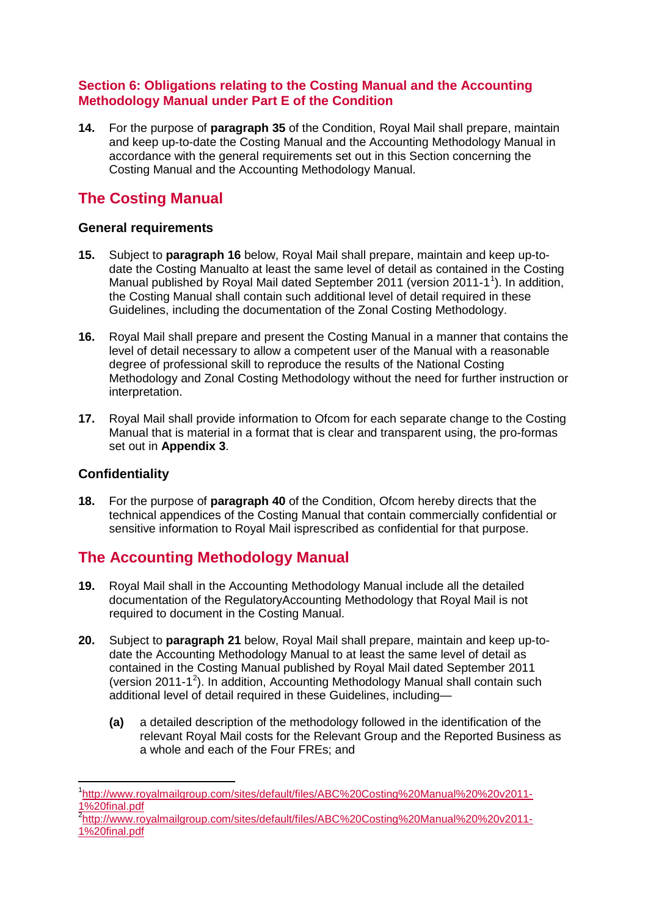# **Section 6: Obligations relating to the Costing Manual and the Accounting Methodology Manual under Part E of the Condition**

**14.** For the purpose of **paragraph 35** of the Condition, Royal Mail shall prepare, maintain and keep up-to-date the Costing Manual and the Accounting Methodology Manual in accordance with the general requirements set out in this Section concerning the Costing Manual and the Accounting Methodology Manual.

# **The Costing Manual**

# **General requirements**

- **15.** Subject to **paragraph 16** below, Royal Mail shall prepare, maintain and keep up-todate the Costing Manualto at least the same level of detail as contained in the Costing Manual published by Royal Mail dated September 20[1](#page-16-0)1 (version 2011-1<sup>1</sup>). In addition, the Costing Manual shall contain such additional level of detail required in these Guidelines, including the documentation of the Zonal Costing Methodology.
- **16.** Royal Mail shall prepare and present the Costing Manual in a manner that contains the level of detail necessary to allow a competent user of the Manual with a reasonable degree of professional skill to reproduce the results of the National Costing Methodology and Zonal Costing Methodology without the need for further instruction or interpretation.
- **17.** Royal Mail shall provide information to Ofcom for each separate change to the Costing Manual that is material in a format that is clear and transparent using, the pro-formas set out in **Appendix 3**.

# **Confidentiality**

**18.** For the purpose of **paragraph 40** of the Condition, Ofcom hereby directs that the technical appendices of the Costing Manual that contain commercially confidential or sensitive information to Royal Mail isprescribed as confidential for that purpose.

# **The Accounting Methodology Manual**

- **19.** Royal Mail shall in the Accounting Methodology Manual include all the detailed documentation of the RegulatoryAccounting Methodology that Royal Mail is not required to document in the Costing Manual.
- **20.** Subject to **paragraph 21** below, Royal Mail shall prepare, maintain and keep up-todate the Accounting Methodology Manual to at least the same level of detail as contained in the Costing Manual published by Royal Mail dated September 2011 (version [2](#page-16-1)011-1<sup>2</sup>). In addition, Accounting Methodology Manual shall contain such additional level of detail required in these Guidelines, including—
	- **(a)** a detailed description of the methodology followed in the identification of the relevant Royal Mail costs for the Relevant Group and the Reported Business as a whole and each of the Four FREs; and

<span id="page-16-1"></span><sup>2</sup>[http://www.royalmailgroup.com/sites/default/files/ABC%20Costing%20Manual%20%20v2011-](http://www.royalmailgroup.com/sites/default/files/ABC%20Costing%20Manual%20%20v2011-1%20final.pdf) [1%20final.pdf](http://www.royalmailgroup.com/sites/default/files/ABC%20Costing%20Manual%20%20v2011-1%20final.pdf)

<span id="page-16-0"></span>1 [http://www.royalmailgroup.com/sites/default/files/ABC%20Costing%20Manual%20%20v2011-](http://www.royalmailgroup.com/sites/default/files/ABC%20Costing%20Manual%20%20v2011-1%20final.pdf) [1%20final.pdf](http://www.royalmailgroup.com/sites/default/files/ABC%20Costing%20Manual%20%20v2011-1%20final.pdf)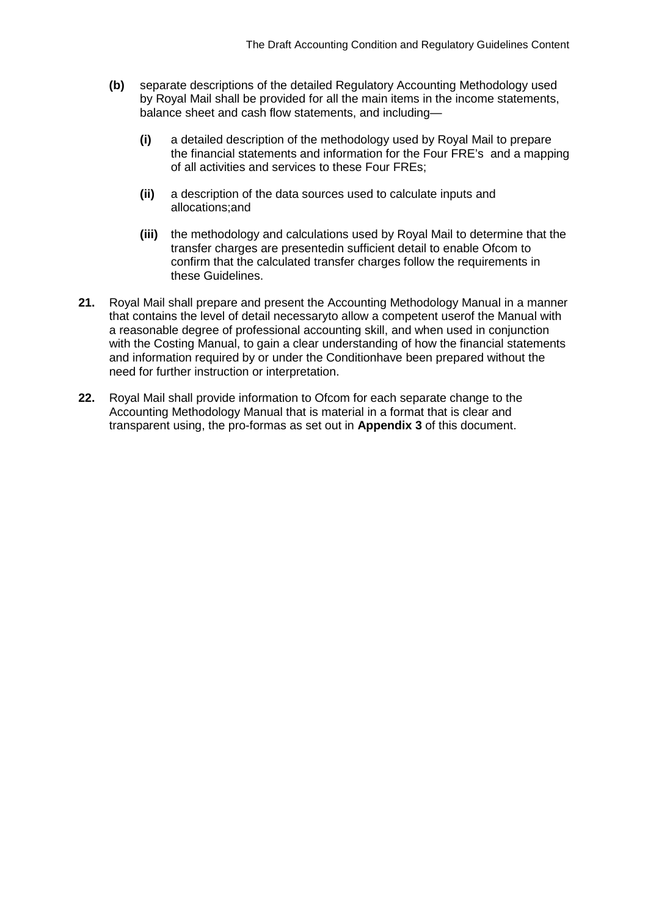- **(b)** separate descriptions of the detailed Regulatory Accounting Methodology used by Royal Mail shall be provided for all the main items in the income statements, balance sheet and cash flow statements, and including—
	- **(i)** a detailed description of the methodology used by Royal Mail to prepare the financial statements and information for the Four FRE's and a mapping of all activities and services to these Four FREs;
	- **(ii)** a description of the data sources used to calculate inputs and allocations;and
	- **(iii)** the methodology and calculations used by Royal Mail to determine that the transfer charges are presentedin sufficient detail to enable Ofcom to confirm that the calculated transfer charges follow the requirements in these Guidelines.
- **21.** Royal Mail shall prepare and present the Accounting Methodology Manual in a manner that contains the level of detail necessaryto allow a competent userof the Manual with a reasonable degree of professional accounting skill, and when used in conjunction with the Costing Manual, to gain a clear understanding of how the financial statements and information required by or under the Conditionhave been prepared without the need for further instruction or interpretation.
- **22.** Royal Mail shall provide information to Ofcom for each separate change to the Accounting Methodology Manual that is material in a format that is clear and transparent using, the pro-formas as set out in **Appendix 3** of this document.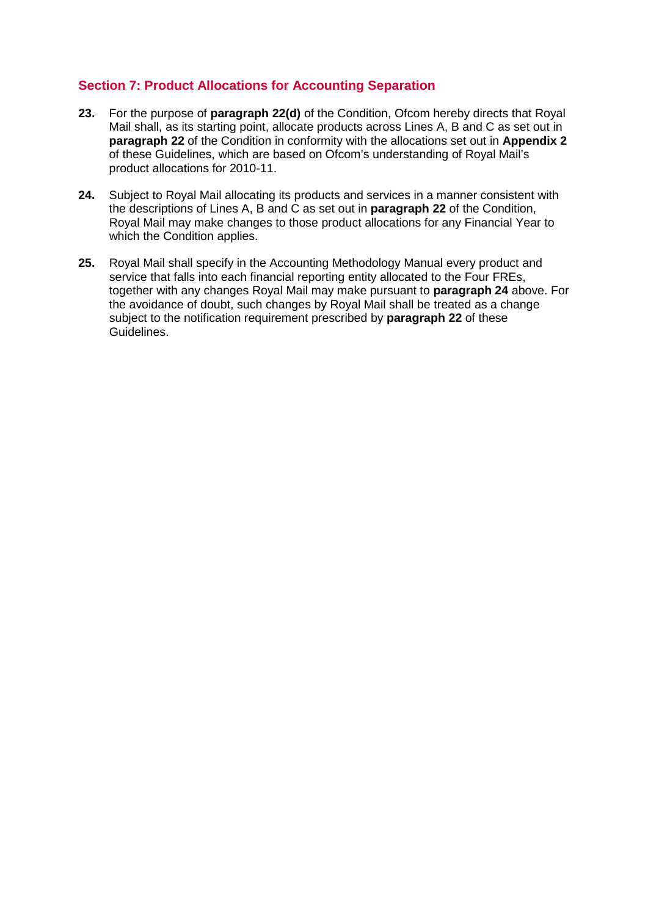# **Section 7: Product Allocations for Accounting Separation**

- **23.** For the purpose of **paragraph 22(d)** of the Condition, Ofcom hereby directs that Royal Mail shall, as its starting point, allocate products across Lines A, B and C as set out in **paragraph 22** of the Condition in conformity with the allocations set out in **Appendix 2** of these Guidelines, which are based on Ofcom's understanding of Royal Mail's product allocations for 2010-11.
- **24.** Subject to Royal Mail allocating its products and services in a manner consistent with the descriptions of Lines A, B and C as set out in **paragraph 22** of the Condition, Royal Mail may make changes to those product allocations for any Financial Year to which the Condition applies.
- **25.** Royal Mail shall specify in the Accounting Methodology Manual every product and service that falls into each financial reporting entity allocated to the Four FREs, together with any changes Royal Mail may make pursuant to **paragraph 24** above. For the avoidance of doubt, such changes by Royal Mail shall be treated as a change subject to the notification requirement prescribed by **paragraph 22** of these Guidelines.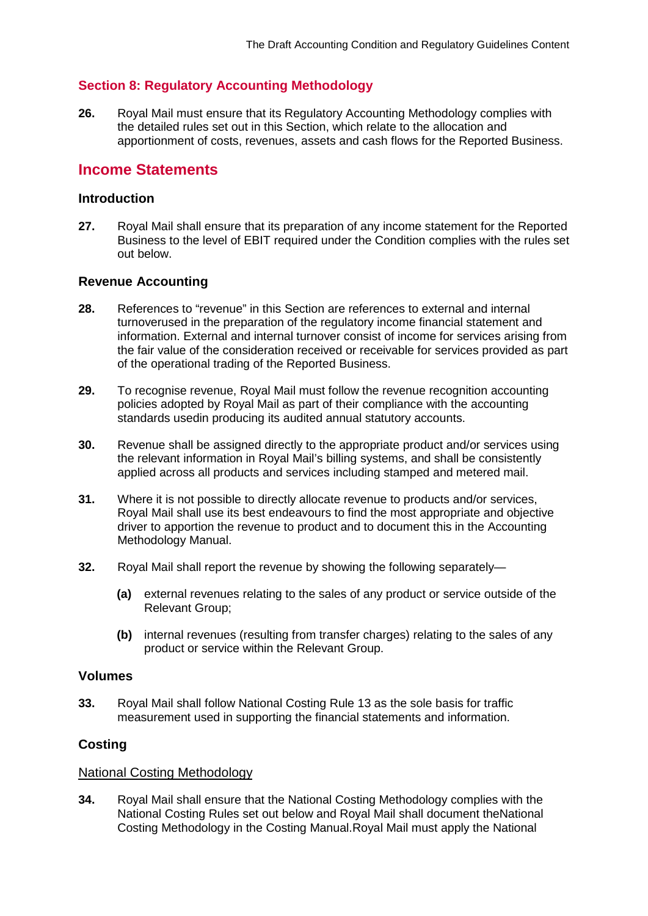# **Section 8: Regulatory Accounting Methodology**

**26.** Royal Mail must ensure that its Regulatory Accounting Methodology complies with the detailed rules set out in this Section, which relate to the allocation and apportionment of costs, revenues, assets and cash flows for the Reported Business.

# **Income Statements**

### **Introduction**

**27.** Royal Mail shall ensure that its preparation of any income statement for the Reported Business to the level of EBIT required under the Condition complies with the rules set out below.

### **Revenue Accounting**

- **28.** References to "revenue" in this Section are references to external and internal turnoverused in the preparation of the regulatory income financial statement and information. External and internal turnover consist of income for services arising from the fair value of the consideration received or receivable for services provided as part of the operational trading of the Reported Business.
- **29.** To recognise revenue, Royal Mail must follow the revenue recognition accounting policies adopted by Royal Mail as part of their compliance with the accounting standards usedin producing its audited annual statutory accounts.
- **30.** Revenue shall be assigned directly to the appropriate product and/or services using the relevant information in Royal Mail's billing systems, and shall be consistently applied across all products and services including stamped and metered mail.
- **31.** Where it is not possible to directly allocate revenue to products and/or services, Royal Mail shall use its best endeavours to find the most appropriate and objective driver to apportion the revenue to product and to document this in the Accounting Methodology Manual.
- **32.** Royal Mail shall report the revenue by showing the following separately—
	- **(a)** external revenues relating to the sales of any product or service outside of the Relevant Group;
	- **(b)** internal revenues (resulting from transfer charges) relating to the sales of any product or service within the Relevant Group.

### **Volumes**

**33.** Royal Mail shall follow National Costing Rule 13 as the sole basis for traffic measurement used in supporting the financial statements and information.

# **Costing**

### National Costing Methodology

**34.** Royal Mail shall ensure that the National Costing Methodology complies with the National Costing Rules set out below and Royal Mail shall document theNational Costing Methodology in the Costing Manual.Royal Mail must apply the National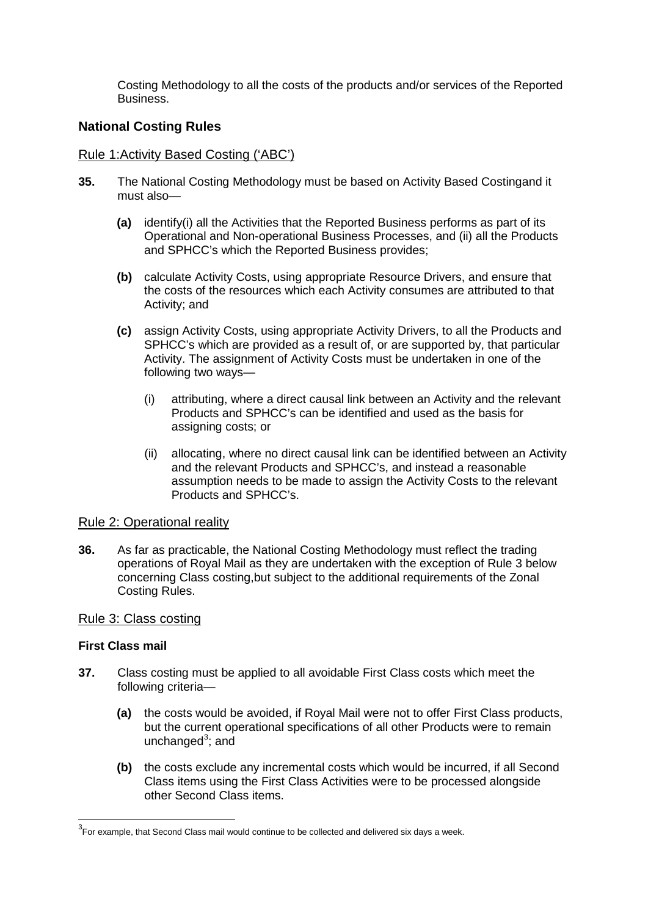Costing Methodology to all the costs of the products and/or services of the Reported **Business** 

# **National Costing Rules**

#### Rule 1:Activity Based Costing ('ABC')

- **35.** The National Costing Methodology must be based on Activity Based Costingand it must also—
	- **(a)** identify(i) all the Activities that the Reported Business performs as part of its Operational and Non-operational Business Processes, and (ii) all the Products and SPHCC's which the Reported Business provides;
	- **(b)** calculate Activity Costs, using appropriate Resource Drivers, and ensure that the costs of the resources which each Activity consumes are attributed to that Activity; and
	- **(c)** assign Activity Costs, using appropriate Activity Drivers, to all the Products and SPHCC's which are provided as a result of, or are supported by, that particular Activity. The assignment of Activity Costs must be undertaken in one of the following two ways—
		- (i) attributing, where a direct causal link between an Activity and the relevant Products and SPHCC's can be identified and used as the basis for assigning costs; or
		- (ii) allocating, where no direct causal link can be identified between an Activity and the relevant Products and SPHCC's, and instead a reasonable assumption needs to be made to assign the Activity Costs to the relevant Products and SPHCC's.

#### Rule 2: Operational reality

**36.** As far as practicable, the National Costing Methodology must reflect the trading operations of Royal Mail as they are undertaken with the exception of Rule 3 below concerning Class costing,but subject to the additional requirements of the Zonal Costing Rules.

#### Rule 3: Class costing

#### **First Class mail**

- **37.** Class costing must be applied to all avoidable First Class costs which meet the following criteria—
	- **(a)** the costs would be avoided, if Royal Mail were not to offer First Class products, but the current operational specifications of all other Products were to remain unchanged<sup>[3](#page-20-0)</sup>; and
	- **(b)** the costs exclude any incremental costs which would be incurred, if all Second Class items using the First Class Activities were to be processed alongside other Second Class items.

<span id="page-20-0"></span>3 For example, that Second Class mail would continue to be collected and delivered six days a week.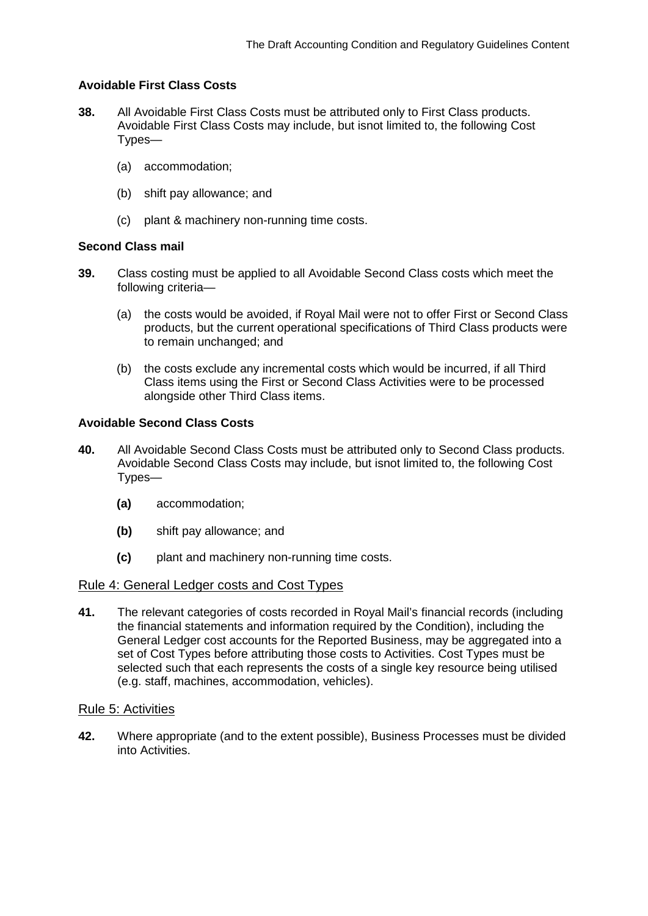# **Avoidable First Class Costs**

- **38.** All Avoidable First Class Costs must be attributed only to First Class products. Avoidable First Class Costs may include, but isnot limited to, the following Cost Types—
	- (a) accommodation;
	- (b) shift pay allowance; and
	- (c) plant & machinery non-running time costs.

#### **Second Class mail**

- **39.** Class costing must be applied to all Avoidable Second Class costs which meet the following criteria—
	- (a) the costs would be avoided, if Royal Mail were not to offer First or Second Class products, but the current operational specifications of Third Class products were to remain unchanged; and
	- (b) the costs exclude any incremental costs which would be incurred, if all Third Class items using the First or Second Class Activities were to be processed alongside other Third Class items.

### **Avoidable Second Class Costs**

- **40.** All Avoidable Second Class Costs must be attributed only to Second Class products. Avoidable Second Class Costs may include, but isnot limited to, the following Cost Types—
	- **(a)** accommodation;
	- **(b)** shift pay allowance; and
	- **(c)** plant and machinery non-running time costs.

#### Rule 4: General Ledger costs and Cost Types

**41.** The relevant categories of costs recorded in Royal Mail's financial records (including the financial statements and information required by the Condition), including the General Ledger cost accounts for the Reported Business, may be aggregated into a set of Cost Types before attributing those costs to Activities. Cost Types must be selected such that each represents the costs of a single key resource being utilised (e.g. staff, machines, accommodation, vehicles).

#### Rule 5: Activities

**42.** Where appropriate (and to the extent possible), Business Processes must be divided into Activities.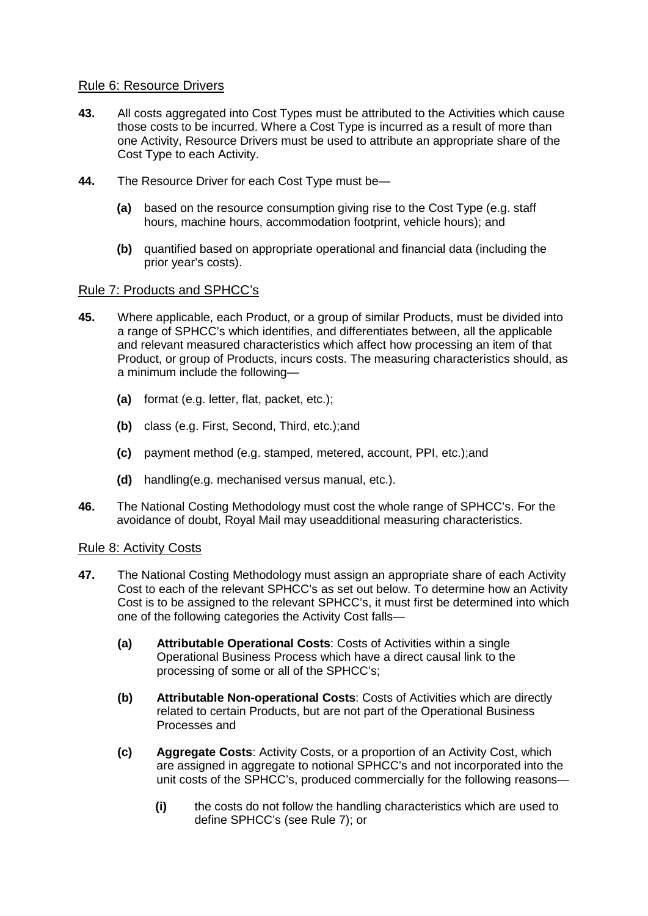### Rule 6: Resource Drivers

- **43.** All costs aggregated into Cost Types must be attributed to the Activities which cause those costs to be incurred. Where a Cost Type is incurred as a result of more than one Activity, Resource Drivers must be used to attribute an appropriate share of the Cost Type to each Activity.
- **44.** The Resource Driver for each Cost Type must be—
	- **(a)** based on the resource consumption giving rise to the Cost Type (e.g. staff hours, machine hours, accommodation footprint, vehicle hours); and
	- **(b)** quantified based on appropriate operational and financial data (including the prior year's costs).

### Rule 7: Products and SPHCC's

- **45.** Where applicable, each Product, or a group of similar Products, must be divided into a range of SPHCC's which identifies, and differentiates between, all the applicable and relevant measured characteristics which affect how processing an item of that Product, or group of Products, incurs costs. The measuring characteristics should, as a minimum include the following—
	- **(a)** format (e.g. letter, flat, packet, etc.);
	- **(b)** class (e.g. First, Second, Third, etc.);and
	- **(c)** payment method (e.g. stamped, metered, account, PPI, etc.);and
	- **(d)** handling(e.g. mechanised versus manual, etc.).
- **46.** The National Costing Methodology must cost the whole range of SPHCC's. For the avoidance of doubt, Royal Mail may useadditional measuring characteristics.

### Rule 8: Activity Costs

- **47.** The National Costing Methodology must assign an appropriate share of each Activity Cost to each of the relevant SPHCC's as set out below. To determine how an Activity Cost is to be assigned to the relevant SPHCC's, it must first be determined into which one of the following categories the Activity Cost falls—
	- **(a) Attributable Operational Costs**: Costs of Activities within a single Operational Business Process which have a direct causal link to the processing of some or all of the SPHCC's;
	- **(b) Attributable Non-operational Costs**: Costs of Activities which are directly related to certain Products, but are not part of the Operational Business Processes and
	- **(c) Aggregate Costs**: Activity Costs, or a proportion of an Activity Cost, which are assigned in aggregate to notional SPHCC's and not incorporated into the unit costs of the SPHCC's, produced commercially for the following reasons—
		- **(i)** the costs do not follow the handling characteristics which are used to define SPHCC's (see Rule 7); or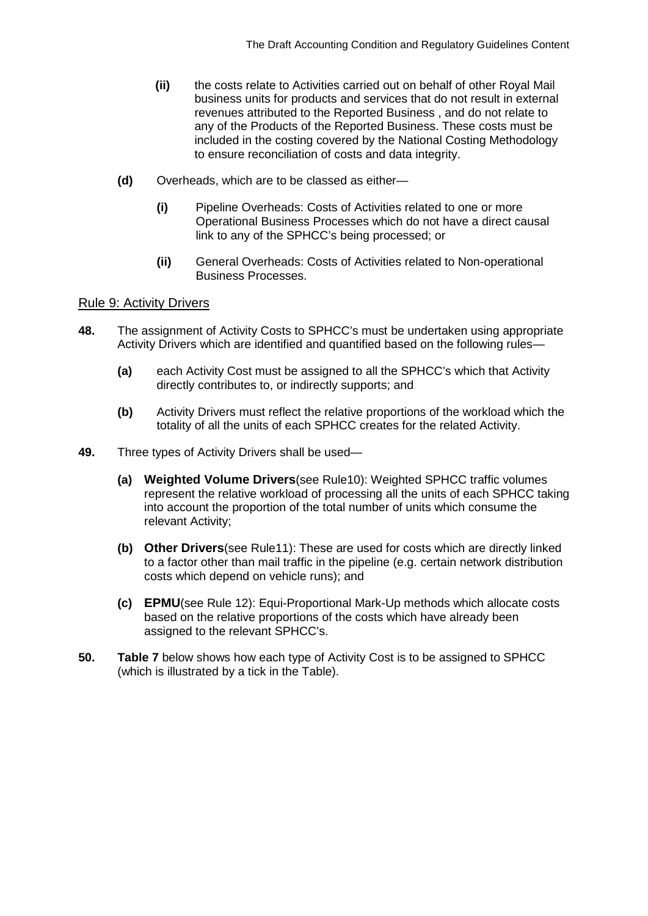- **(ii)** the costs relate to Activities carried out on behalf of other Royal Mail business units for products and services that do not result in external revenues attributed to the Reported Business , and do not relate to any of the Products of the Reported Business. These costs must be included in the costing covered by the National Costing Methodology to ensure reconciliation of costs and data integrity.
- **(d)** Overheads, which are to be classed as either—
	- **(i)** Pipeline Overheads: Costs of Activities related to one or more Operational Business Processes which do not have a direct causal link to any of the SPHCC's being processed; or
	- **(ii)** General Overheads: Costs of Activities related to Non-operational Business Processes.

### Rule 9: Activity Drivers

- **48.** The assignment of Activity Costs to SPHCC's must be undertaken using appropriate Activity Drivers which are identified and quantified based on the following rules—
	- **(a)** each Activity Cost must be assigned to all the SPHCC's which that Activity directly contributes to, or indirectly supports; and
	- **(b)** Activity Drivers must reflect the relative proportions of the workload which the totality of all the units of each SPHCC creates for the related Activity.
- **49.** Three types of Activity Drivers shall be used—
	- **(a) Weighted Volume Drivers**(see Rule10): Weighted SPHCC traffic volumes represent the relative workload of processing all the units of each SPHCC taking into account the proportion of the total number of units which consume the relevant Activity;
	- **(b) Other Drivers**(see Rule11): These are used for costs which are directly linked to a factor other than mail traffic in the pipeline (e.g. certain network distribution costs which depend on vehicle runs); and
	- **(c) EPMU**(see Rule 12): Equi-Proportional Mark-Up methods which allocate costs based on the relative proportions of the costs which have already been assigned to the relevant SPHCC's.
- **50. Table 7** below shows how each type of Activity Cost is to be assigned to SPHCC (which is illustrated by a tick in the Table).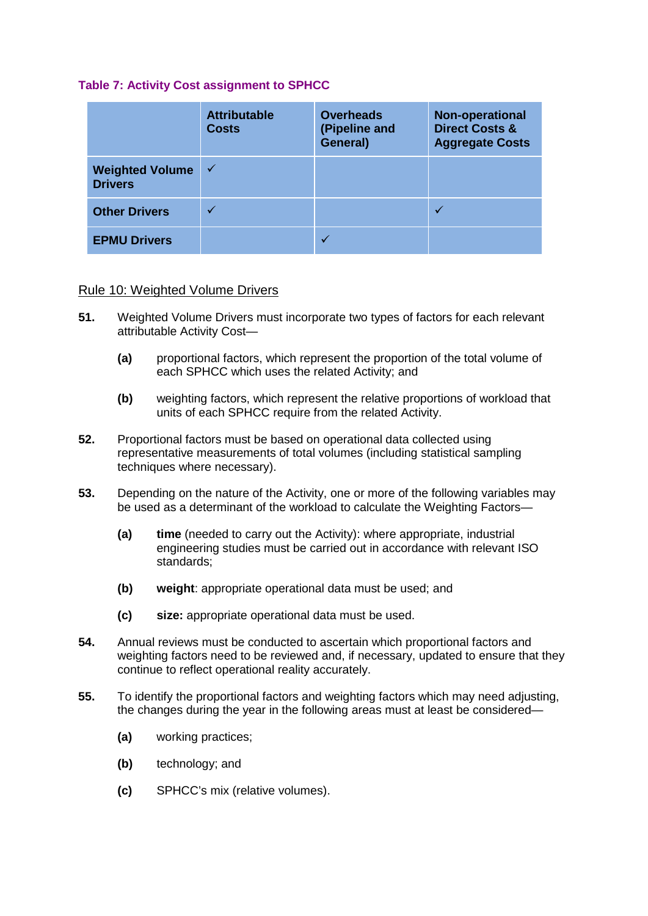### **Table 7: Activity Cost assignment to SPHCC**

|                                          | <b>Attributable</b><br><b>Costs</b> | <b>Overheads</b><br>(Pipeline and<br>General) | <b>Non-operational</b><br><b>Direct Costs &amp;</b><br><b>Aggregate Costs</b> |
|------------------------------------------|-------------------------------------|-----------------------------------------------|-------------------------------------------------------------------------------|
| <b>Weighted Volume</b><br><b>Drivers</b> | $\checkmark$                        |                                               |                                                                               |
| <b>Other Drivers</b>                     |                                     |                                               |                                                                               |
| <b>EPMU Drivers</b>                      |                                     |                                               |                                                                               |

### Rule 10: Weighted Volume Drivers

- **51.** Weighted Volume Drivers must incorporate two types of factors for each relevant attributable Activity Cost—
	- **(a)** proportional factors, which represent the proportion of the total volume of each SPHCC which uses the related Activity; and
	- **(b)** weighting factors, which represent the relative proportions of workload that units of each SPHCC require from the related Activity.
- **52.** Proportional factors must be based on operational data collected using representative measurements of total volumes (including statistical sampling techniques where necessary).
- **53.** Depending on the nature of the Activity, one or more of the following variables may be used as a determinant of the workload to calculate the Weighting Factors—
	- **(a) time** (needed to carry out the Activity): where appropriate, industrial engineering studies must be carried out in accordance with relevant ISO standards;
	- **(b) weight**: appropriate operational data must be used; and
	- **(c) size:** appropriate operational data must be used.
- **54.** Annual reviews must be conducted to ascertain which proportional factors and weighting factors need to be reviewed and, if necessary, updated to ensure that they continue to reflect operational reality accurately.
- **55.** To identify the proportional factors and weighting factors which may need adjusting, the changes during the year in the following areas must at least be considered—
	- **(a)** working practices;
	- **(b)** technology; and
	- **(c)** SPHCC's mix (relative volumes).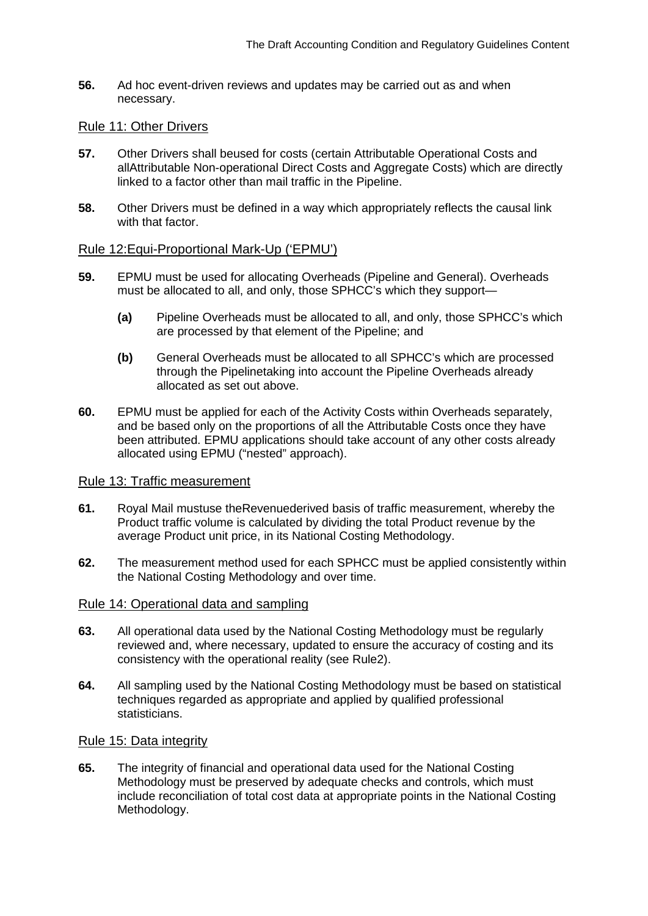**56.** Ad hoc event-driven reviews and updates may be carried out as and when necessary.

#### Rule 11: Other Drivers

- **57.** Other Drivers shall beused for costs (certain Attributable Operational Costs and allAttributable Non-operational Direct Costs and Aggregate Costs) which are directly linked to a factor other than mail traffic in the Pipeline.
- **58.** Other Drivers must be defined in a way which appropriately reflects the causal link with that factor.

#### Rule 12:Equi-Proportional Mark-Up ('EPMU')

- **59.** EPMU must be used for allocating Overheads (Pipeline and General). Overheads must be allocated to all, and only, those SPHCC's which they support—
	- **(a)** Pipeline Overheads must be allocated to all, and only, those SPHCC's which are processed by that element of the Pipeline; and
	- **(b)** General Overheads must be allocated to all SPHCC's which are processed through the Pipelinetaking into account the Pipeline Overheads already allocated as set out above.
- **60.** EPMU must be applied for each of the Activity Costs within Overheads separately, and be based only on the proportions of all the Attributable Costs once they have been attributed. EPMU applications should take account of any other costs already allocated using EPMU ("nested" approach).

### Rule 13: Traffic measurement

- **61.** Royal Mail mustuse theRevenuederived basis of traffic measurement, whereby the Product traffic volume is calculated by dividing the total Product revenue by the average Product unit price, in its National Costing Methodology.
- **62.** The measurement method used for each SPHCC must be applied consistently within the National Costing Methodology and over time.

#### Rule 14: Operational data and sampling

- **63.** All operational data used by the National Costing Methodology must be regularly reviewed and, where necessary, updated to ensure the accuracy of costing and its consistency with the operational reality (see Rule2).
- **64.** All sampling used by the National Costing Methodology must be based on statistical techniques regarded as appropriate and applied by qualified professional statisticians.

#### Rule 15: Data integrity

**65.** The integrity of financial and operational data used for the National Costing Methodology must be preserved by adequate checks and controls, which must include reconciliation of total cost data at appropriate points in the National Costing Methodology.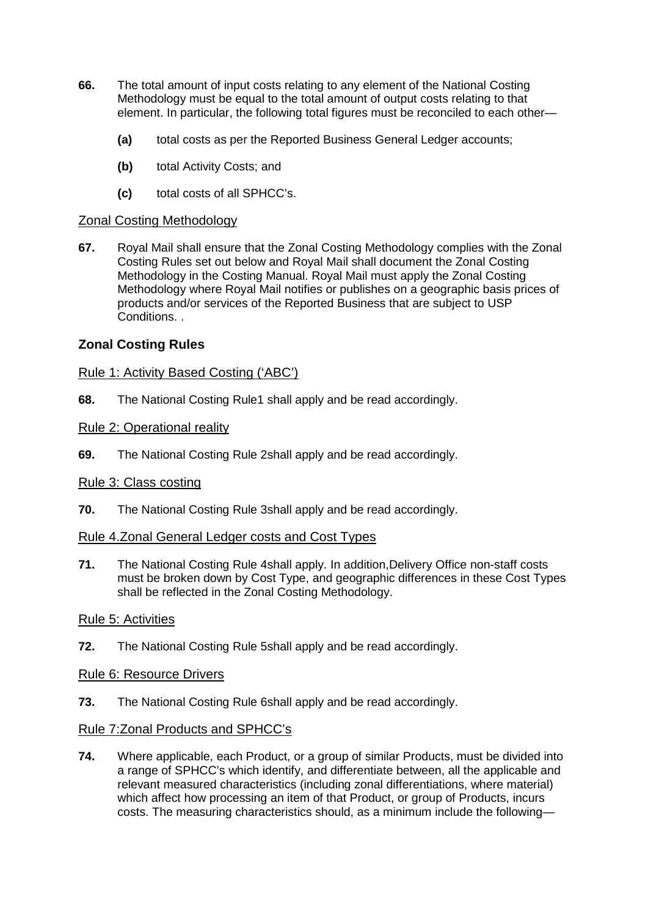- **66.** The total amount of input costs relating to any element of the National Costing Methodology must be equal to the total amount of output costs relating to that element. In particular, the following total figures must be reconciled to each other—
	- **(a)** total costs as per the Reported Business General Ledger accounts;
	- **(b)** total Activity Costs; and
	- **(c)** total costs of all SPHCC's.

### Zonal Costing Methodology

**67.** Royal Mail shall ensure that the Zonal Costing Methodology complies with the Zonal Costing Rules set out below and Royal Mail shall document the Zonal Costing Methodology in the Costing Manual. Royal Mail must apply the Zonal Costing Methodology where Royal Mail notifies or publishes on a geographic basis prices of products and/or services of the Reported Business that are subject to USP Conditions. .

# **Zonal Costing Rules**

### Rule 1: Activity Based Costing ('ABC')

**68.** The National Costing Rule1 shall apply and be read accordingly.

### Rule 2: Operational reality

**69.** The National Costing Rule 2shall apply and be read accordingly.

### Rule 3: Class costing

**70.** The National Costing Rule 3shall apply and be read accordingly.

### Rule 4.Zonal General Ledger costs and Cost Types

**71.** The National Costing Rule 4shall apply. In addition,Delivery Office non-staff costs must be broken down by Cost Type, and geographic differences in these Cost Types shall be reflected in the Zonal Costing Methodology.

### Rule 5: Activities

**72.** The National Costing Rule 5shall apply and be read accordingly.

### Rule 6: Resource Drivers

**73.** The National Costing Rule 6shall apply and be read accordingly.

# Rule 7:Zonal Products and SPHCC's

**74.** Where applicable, each Product, or a group of similar Products, must be divided into a range of SPHCC's which identify, and differentiate between, all the applicable and relevant measured characteristics (including zonal differentiations, where material) which affect how processing an item of that Product, or group of Products, incurs costs. The measuring characteristics should, as a minimum include the following—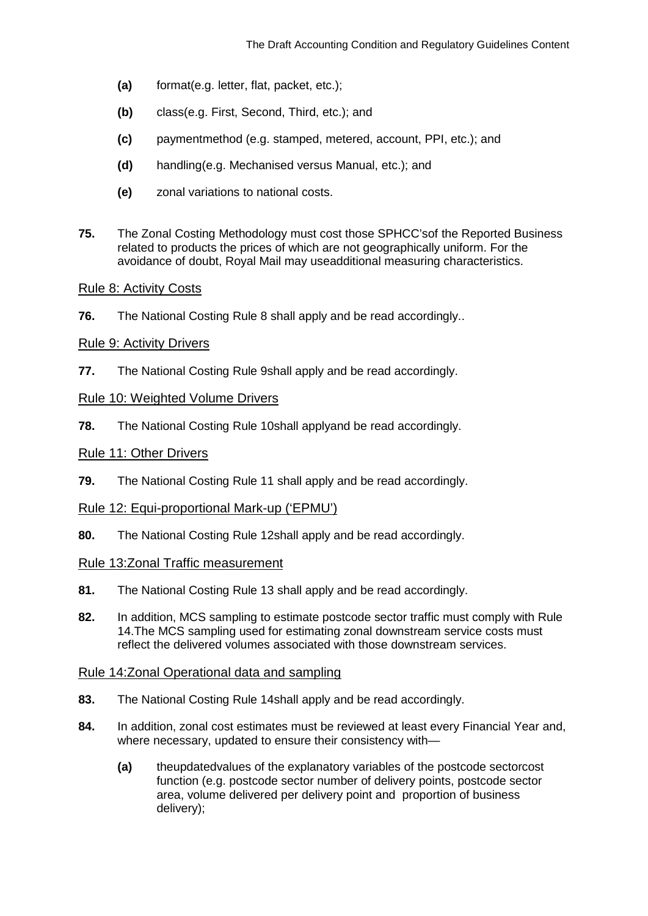- **(a)** format(e.g. letter, flat, packet, etc.);
- **(b)** class(e.g. First, Second, Third, etc.); and
- **(c)** paymentmethod (e.g. stamped, metered, account, PPI, etc.); and
- **(d)** handling(e.g. Mechanised versus Manual, etc.); and
- **(e)** zonal variations to national costs.
- **75.** The Zonal Costing Methodology must cost those SPHCC'sof the Reported Business related to products the prices of which are not geographically uniform. For the avoidance of doubt, Royal Mail may useadditional measuring characteristics.

### Rule 8: Activity Costs

**76.** The National Costing Rule 8 shall apply and be read accordingly..

### Rule 9: Activity Drivers

**77.** The National Costing Rule 9shall apply and be read accordingly.

### Rule 10: Weighted Volume Drivers

**78.** The National Costing Rule 10shall applyand be read accordingly.

### Rule 11: Other Drivers

**79.** The National Costing Rule 11 shall apply and be read accordingly.

### Rule 12: Equi-proportional Mark-up ('EPMU')

**80.** The National Costing Rule 12shall apply and be read accordingly.

### Rule 13:Zonal Traffic measurement

- **81.** The National Costing Rule 13 shall apply and be read accordingly.
- **82.** In addition, MCS sampling to estimate postcode sector traffic must comply with Rule 14.The MCS sampling used for estimating zonal downstream service costs must reflect the delivered volumes associated with those downstream services.

# Rule 14:Zonal Operational data and sampling

- **83.** The National Costing Rule 14shall apply and be read accordingly.
- **84.** In addition, zonal cost estimates must be reviewed at least every Financial Year and, where necessary, updated to ensure their consistency with—
	- **(a)** theupdatedvalues of the explanatory variables of the postcode sectorcost function (e.g. postcode sector number of delivery points, postcode sector area, volume delivered per delivery point and proportion of business delivery);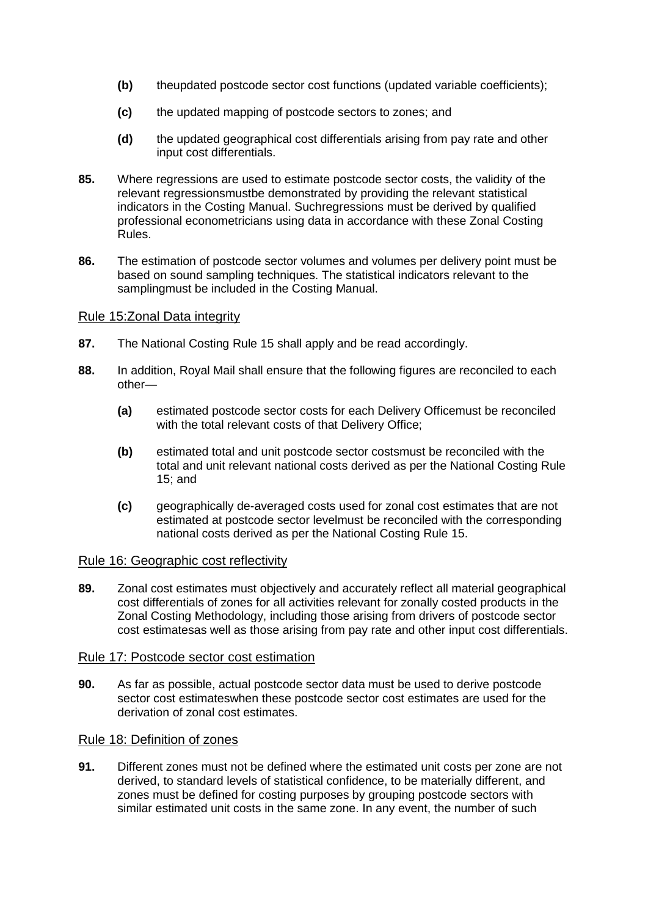- **(b)** theupdated postcode sector cost functions (updated variable coefficients);
- **(c)** the updated mapping of postcode sectors to zones; and
- **(d)** the updated geographical cost differentials arising from pay rate and other input cost differentials.
- **85.** Where regressions are used to estimate postcode sector costs, the validity of the relevant regressionsmustbe demonstrated by providing the relevant statistical indicators in the Costing Manual. Suchregressions must be derived by qualified professional econometricians using data in accordance with these Zonal Costing Rules.
- **86.** The estimation of postcode sector volumes and volumes per delivery point must be based on sound sampling techniques. The statistical indicators relevant to the samplingmust be included in the Costing Manual.

# Rule 15:Zonal Data integrity

- **87.** The National Costing Rule 15 shall apply and be read accordingly.
- **88.** In addition, Royal Mail shall ensure that the following figures are reconciled to each other—
	- **(a)** estimated postcode sector costs for each Delivery Officemust be reconciled with the total relevant costs of that Delivery Office;
	- **(b)** estimated total and unit postcode sector costsmust be reconciled with the total and unit relevant national costs derived as per the National Costing Rule 15; and
	- **(c)** geographically de-averaged costs used for zonal cost estimates that are not estimated at postcode sector levelmust be reconciled with the corresponding national costs derived as per the National Costing Rule 15.

### Rule 16: Geographic cost reflectivity

**89.** Zonal cost estimates must objectively and accurately reflect all material geographical cost differentials of zones for all activities relevant for zonally costed products in the Zonal Costing Methodology, including those arising from drivers of postcode sector cost estimatesas well as those arising from pay rate and other input cost differentials.

### Rule 17: Postcode sector cost estimation

**90.** As far as possible, actual postcode sector data must be used to derive postcode sector cost estimateswhen these postcode sector cost estimates are used for the derivation of zonal cost estimates.

# Rule 18: Definition of zones

**91.** Different zones must not be defined where the estimated unit costs per zone are not derived, to standard levels of statistical confidence, to be materially different, and zones must be defined for costing purposes by grouping postcode sectors with similar estimated unit costs in the same zone. In any event, the number of such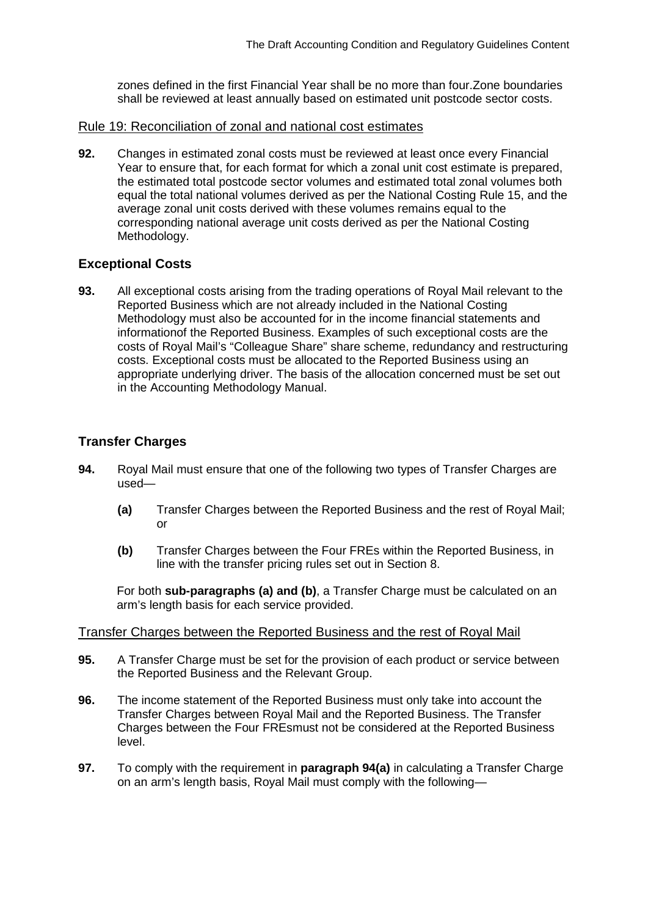zones defined in the first Financial Year shall be no more than four.Zone boundaries shall be reviewed at least annually based on estimated unit postcode sector costs.

#### Rule 19: Reconciliation of zonal and national cost estimates

**92.** Changes in estimated zonal costs must be reviewed at least once every Financial Year to ensure that, for each format for which a zonal unit cost estimate is prepared, the estimated total postcode sector volumes and estimated total zonal volumes both equal the total national volumes derived as per the National Costing Rule 15, and the average zonal unit costs derived with these volumes remains equal to the corresponding national average unit costs derived as per the National Costing Methodology.

### **Exceptional Costs**

**93.** All exceptional costs arising from the trading operations of Royal Mail relevant to the Reported Business which are not already included in the National Costing Methodology must also be accounted for in the income financial statements and informationof the Reported Business. Examples of such exceptional costs are the costs of Royal Mail's "Colleague Share" share scheme, redundancy and restructuring costs. Exceptional costs must be allocated to the Reported Business using an appropriate underlying driver. The basis of the allocation concerned must be set out in the Accounting Methodology Manual.

# **Transfer Charges**

- **94.** Royal Mail must ensure that one of the following two types of Transfer Charges are used—
	- **(a)** Transfer Charges between the Reported Business and the rest of Royal Mail; or
	- **(b)** Transfer Charges between the Four FREs within the Reported Business, in line with the transfer pricing rules set out in Section 8.

For both **sub-paragraphs (a) and (b)**, a Transfer Charge must be calculated on an arm's length basis for each service provided.

#### Transfer Charges between the Reported Business and the rest of Royal Mail

- **95.** A Transfer Charge must be set for the provision of each product or service between the Reported Business and the Relevant Group.
- **96.** The income statement of the Reported Business must only take into account the Transfer Charges between Royal Mail and the Reported Business. The Transfer Charges between the Four FREsmust not be considered at the Reported Business level.
- **97.** To comply with the requirement in **paragraph 94(a)** in calculating a Transfer Charge on an arm's length basis, Royal Mail must comply with the following—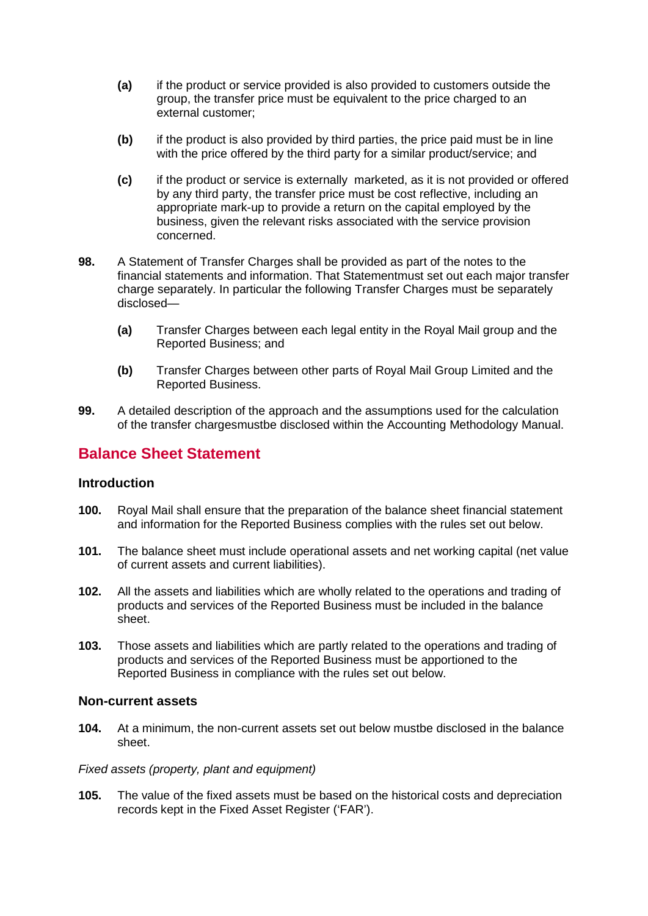- **(a)** if the product or service provided is also provided to customers outside the group, the transfer price must be equivalent to the price charged to an external customer;
- **(b)** if the product is also provided by third parties, the price paid must be in line with the price offered by the third party for a similar product/service; and
- **(c)** if the product or service is externally marketed, as it is not provided or offered by any third party, the transfer price must be cost reflective, including an appropriate mark-up to provide a return on the capital employed by the business, given the relevant risks associated with the service provision concerned.
- **98.** A Statement of Transfer Charges shall be provided as part of the notes to the financial statements and information. That Statementmust set out each major transfer charge separately. In particular the following Transfer Charges must be separately disclosed—
	- **(a)** Transfer Charges between each legal entity in the Royal Mail group and the Reported Business; and
	- **(b)** Transfer Charges between other parts of Royal Mail Group Limited and the Reported Business.
- **99.** A detailed description of the approach and the assumptions used for the calculation of the transfer chargesmustbe disclosed within the Accounting Methodology Manual.

# **Balance Sheet Statement**

### **Introduction**

- **100.** Royal Mail shall ensure that the preparation of the balance sheet financial statement and information for the Reported Business complies with the rules set out below.
- **101.** The balance sheet must include operational assets and net working capital (net value of current assets and current liabilities).
- **102.** All the assets and liabilities which are wholly related to the operations and trading of products and services of the Reported Business must be included in the balance sheet.
- **103.** Those assets and liabilities which are partly related to the operations and trading of products and services of the Reported Business must be apportioned to the Reported Business in compliance with the rules set out below.

### **Non-current assets**

**104.** At a minimum, the non-current assets set out below mustbe disclosed in the balance sheet.

#### *Fixed assets (property, plant and equipment)*

**105.** The value of the fixed assets must be based on the historical costs and depreciation records kept in the Fixed Asset Register ('FAR').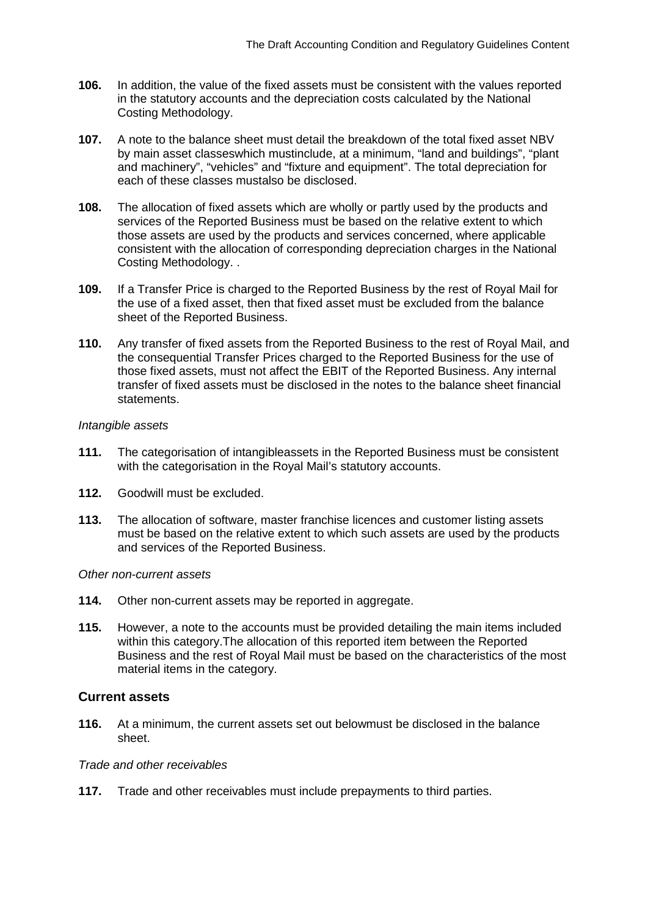- **106.** In addition, the value of the fixed assets must be consistent with the values reported in the statutory accounts and the depreciation costs calculated by the National Costing Methodology.
- **107.** A note to the balance sheet must detail the breakdown of the total fixed asset NBV by main asset classeswhich mustinclude, at a minimum, "land and buildings", "plant and machinery", "vehicles" and "fixture and equipment". The total depreciation for each of these classes mustalso be disclosed.
- **108.** The allocation of fixed assets which are wholly or partly used by the products and services of the Reported Business must be based on the relative extent to which those assets are used by the products and services concerned, where applicable consistent with the allocation of corresponding depreciation charges in the National Costing Methodology. .
- **109.** If a Transfer Price is charged to the Reported Business by the rest of Royal Mail for the use of a fixed asset, then that fixed asset must be excluded from the balance sheet of the Reported Business.
- **110.** Any transfer of fixed assets from the Reported Business to the rest of Royal Mail, and the consequential Transfer Prices charged to the Reported Business for the use of those fixed assets, must not affect the EBIT of the Reported Business. Any internal transfer of fixed assets must be disclosed in the notes to the balance sheet financial statements.

#### *Intangible assets*

- **111.** The categorisation of intangibleassets in the Reported Business must be consistent with the categorisation in the Royal Mail's statutory accounts.
- **112.** Goodwill must be excluded.
- **113.** The allocation of software, master franchise licences and customer listing assets must be based on the relative extent to which such assets are used by the products and services of the Reported Business.

#### *Other non-current assets*

- **114.** Other non-current assets may be reported in aggregate.
- **115.** However, a note to the accounts must be provided detailing the main items included within this category.The allocation of this reported item between the Reported Business and the rest of Royal Mail must be based on the characteristics of the most material items in the category.

### **Current assets**

**116.** At a minimum, the current assets set out belowmust be disclosed in the balance sheet.

#### *Trade and other receivables*

**117.** Trade and other receivables must include prepayments to third parties.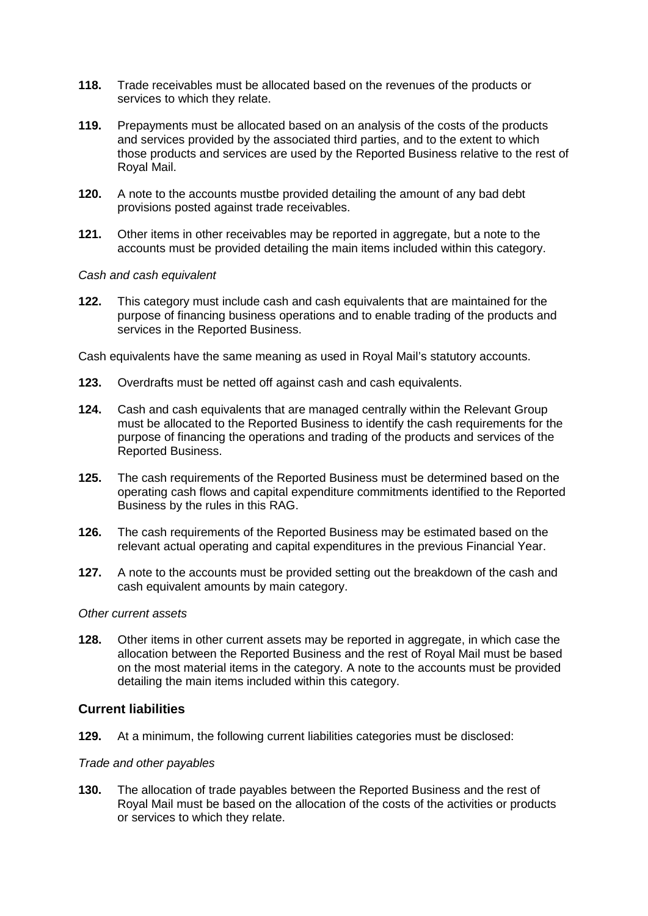- **118.** Trade receivables must be allocated based on the revenues of the products or services to which they relate.
- **119.** Prepayments must be allocated based on an analysis of the costs of the products and services provided by the associated third parties, and to the extent to which those products and services are used by the Reported Business relative to the rest of Royal Mail.
- **120.** A note to the accounts mustbe provided detailing the amount of any bad debt provisions posted against trade receivables.
- **121.** Other items in other receivables may be reported in aggregate, but a note to the accounts must be provided detailing the main items included within this category.

#### *Cash and cash equivalent*

**122.** This category must include cash and cash equivalents that are maintained for the purpose of financing business operations and to enable trading of the products and services in the Reported Business.

Cash equivalents have the same meaning as used in Royal Mail's statutory accounts.

- **123.** Overdrafts must be netted off against cash and cash equivalents.
- **124.** Cash and cash equivalents that are managed centrally within the Relevant Group must be allocated to the Reported Business to identify the cash requirements for the purpose of financing the operations and trading of the products and services of the Reported Business.
- **125.** The cash requirements of the Reported Business must be determined based on the operating cash flows and capital expenditure commitments identified to the Reported Business by the rules in this RAG.
- **126.** The cash requirements of the Reported Business may be estimated based on the relevant actual operating and capital expenditures in the previous Financial Year.
- **127.** A note to the accounts must be provided setting out the breakdown of the cash and cash equivalent amounts by main category.

#### *Other current assets*

**128.** Other items in other current assets may be reported in aggregate, in which case the allocation between the Reported Business and the rest of Royal Mail must be based on the most material items in the category. A note to the accounts must be provided detailing the main items included within this category.

### **Current liabilities**

**129.** At a minimum, the following current liabilities categories must be disclosed:

#### *Trade and other payables*

**130.** The allocation of trade payables between the Reported Business and the rest of Royal Mail must be based on the allocation of the costs of the activities or products or services to which they relate.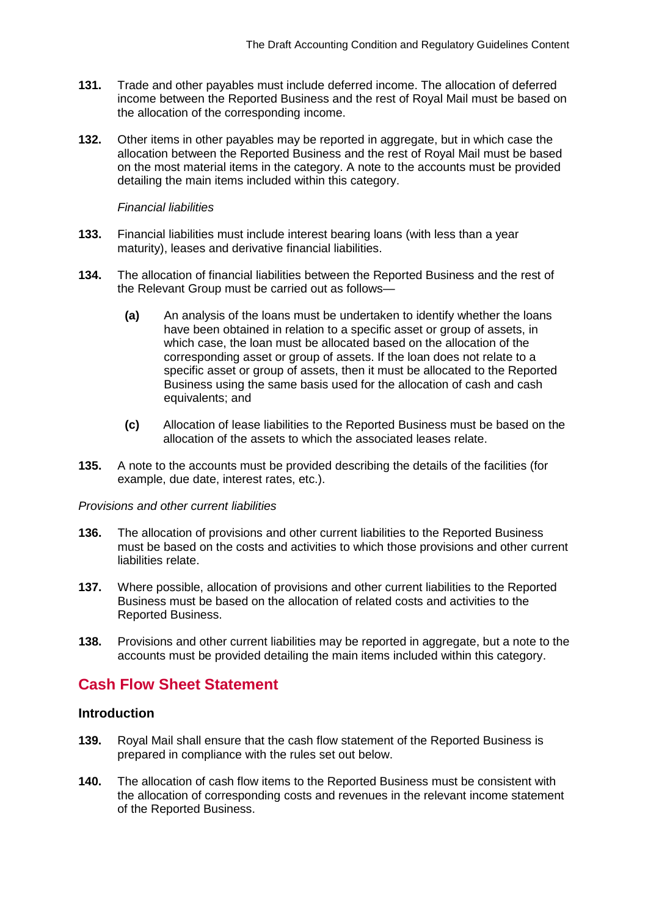- **131.** Trade and other payables must include deferred income. The allocation of deferred income between the Reported Business and the rest of Royal Mail must be based on the allocation of the corresponding income.
- **132.** Other items in other payables may be reported in aggregate, but in which case the allocation between the Reported Business and the rest of Royal Mail must be based on the most material items in the category. A note to the accounts must be provided detailing the main items included within this category.

#### *Financial liabilities*

- **133.** Financial liabilities must include interest bearing loans (with less than a year maturity), leases and derivative financial liabilities.
- **134.** The allocation of financial liabilities between the Reported Business and the rest of the Relevant Group must be carried out as follows—
	- **(a)** An analysis of the loans must be undertaken to identify whether the loans have been obtained in relation to a specific asset or group of assets, in which case, the loan must be allocated based on the allocation of the corresponding asset or group of assets. If the loan does not relate to a specific asset or group of assets, then it must be allocated to the Reported Business using the same basis used for the allocation of cash and cash equivalents; and
	- **(c)** Allocation of lease liabilities to the Reported Business must be based on the allocation of the assets to which the associated leases relate.
- **135.** A note to the accounts must be provided describing the details of the facilities (for example, due date, interest rates, etc.).

#### *Provisions and other current liabilities*

- **136.** The allocation of provisions and other current liabilities to the Reported Business must be based on the costs and activities to which those provisions and other current liabilities relate.
- **137.** Where possible, allocation of provisions and other current liabilities to the Reported Business must be based on the allocation of related costs and activities to the Reported Business.
- **138.** Provisions and other current liabilities may be reported in aggregate, but a note to the accounts must be provided detailing the main items included within this category.

# **Cash Flow Sheet Statement**

# **Introduction**

- **139.** Royal Mail shall ensure that the cash flow statement of the Reported Business is prepared in compliance with the rules set out below.
- **140.** The allocation of cash flow items to the Reported Business must be consistent with the allocation of corresponding costs and revenues in the relevant income statement of the Reported Business.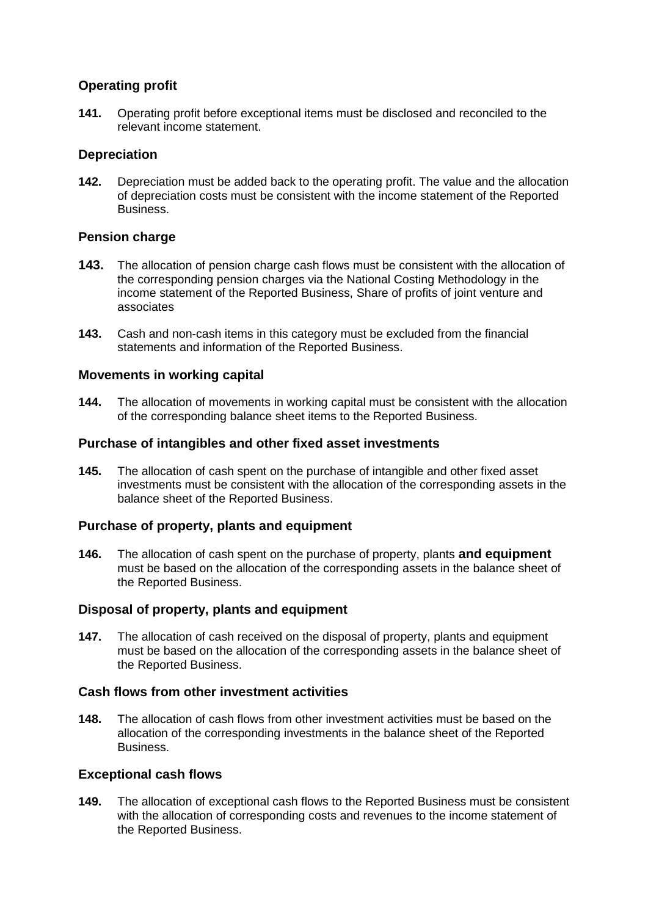# **Operating profit**

**141.** Operating profit before exceptional items must be disclosed and reconciled to the relevant income statement.

### **Depreciation**

**142.** Depreciation must be added back to the operating profit. The value and the allocation of depreciation costs must be consistent with the income statement of the Reported Business.

# **Pension charge**

- **143.** The allocation of pension charge cash flows must be consistent with the allocation of the corresponding pension charges via the National Costing Methodology in the income statement of the Reported Business, Share of profits of joint venture and associates
- **143.** Cash and non-cash items in this category must be excluded from the financial statements and information of the Reported Business.

### **Movements in working capital**

**144.** The allocation of movements in working capital must be consistent with the allocation of the corresponding balance sheet items to the Reported Business.

### **Purchase of intangibles and other fixed asset investments**

**145.** The allocation of cash spent on the purchase of intangible and other fixed asset investments must be consistent with the allocation of the corresponding assets in the balance sheet of the Reported Business.

# **Purchase of property, plants and equipment**

**146.** The allocation of cash spent on the purchase of property, plants **and equipment** must be based on the allocation of the corresponding assets in the balance sheet of the Reported Business.

### **Disposal of property, plants and equipment**

**147.** The allocation of cash received on the disposal of property, plants and equipment must be based on the allocation of the corresponding assets in the balance sheet of the Reported Business.

### **Cash flows from other investment activities**

**148.** The allocation of cash flows from other investment activities must be based on the allocation of the corresponding investments in the balance sheet of the Reported Business.

### **Exceptional cash flows**

**149.** The allocation of exceptional cash flows to the Reported Business must be consistent with the allocation of corresponding costs and revenues to the income statement of the Reported Business.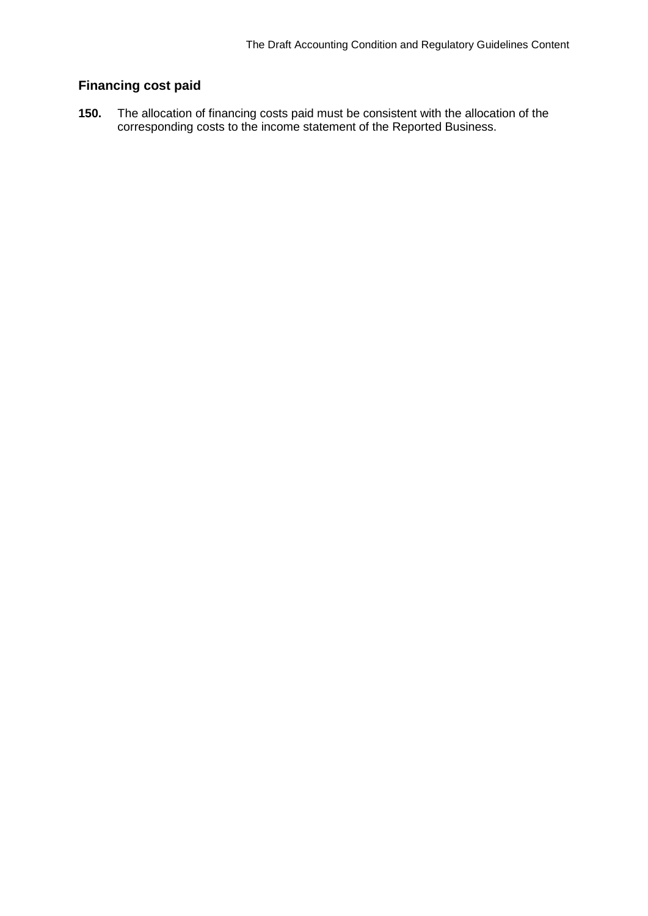# **Financing cost paid**

**150.** The allocation of financing costs paid must be consistent with the allocation of the corresponding costs to the income statement of the Reported Business.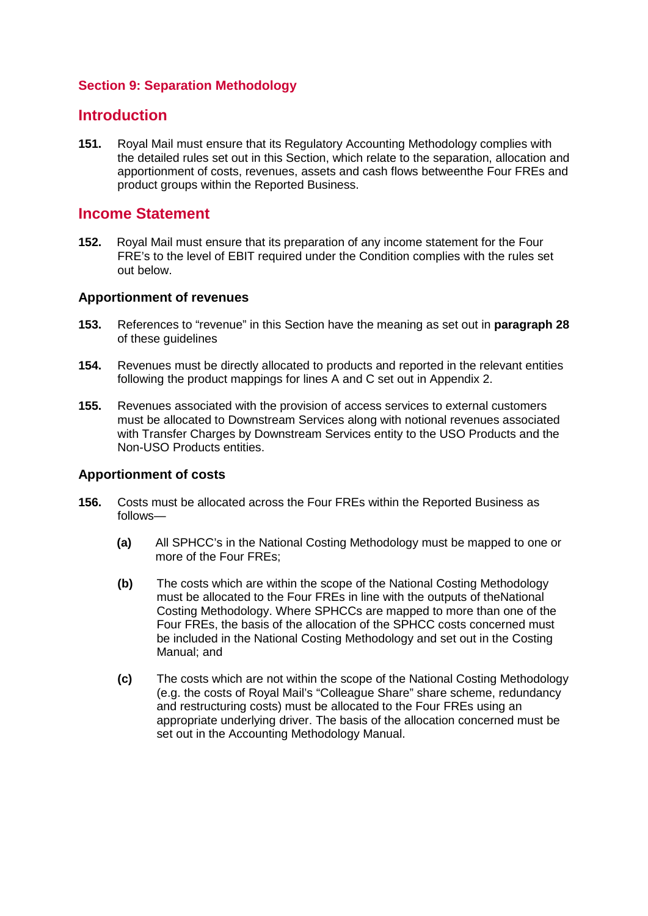# **Section 9: Separation Methodology**

# **Introduction**

**151.** Royal Mail must ensure that its Regulatory Accounting Methodology complies with the detailed rules set out in this Section, which relate to the separation, allocation and apportionment of costs, revenues, assets and cash flows betweenthe Four FREs and product groups within the Reported Business.

# **Income Statement**

**152.** Royal Mail must ensure that its preparation of any income statement for the Four FRE's to the level of EBIT required under the Condition complies with the rules set out below.

### **Apportionment of revenues**

- **153.** References to "revenue" in this Section have the meaning as set out in **paragraph 28** of these guidelines
- **154.** Revenues must be directly allocated to products and reported in the relevant entities following the product mappings for lines A and C set out in Appendix 2.
- **155.** Revenues associated with the provision of access services to external customers must be allocated to Downstream Services along with notional revenues associated with Transfer Charges by Downstream Services entity to the USO Products and the Non-USO Products entities.

### **Apportionment of costs**

- **156.** Costs must be allocated across the Four FREs within the Reported Business as follows—
	- **(a)** All SPHCC's in the National Costing Methodology must be mapped to one or more of the Four FREs;
	- **(b)** The costs which are within the scope of the National Costing Methodology must be allocated to the Four FREs in line with the outputs of theNational Costing Methodology. Where SPHCCs are mapped to more than one of the Four FREs, the basis of the allocation of the SPHCC costs concerned must be included in the National Costing Methodology and set out in the Costing Manual; and
	- **(c)** The costs which are not within the scope of the National Costing Methodology (e.g. the costs of Royal Mail's "Colleague Share" share scheme, redundancy and restructuring costs) must be allocated to the Four FREs using an appropriate underlying driver. The basis of the allocation concerned must be set out in the Accounting Methodology Manual.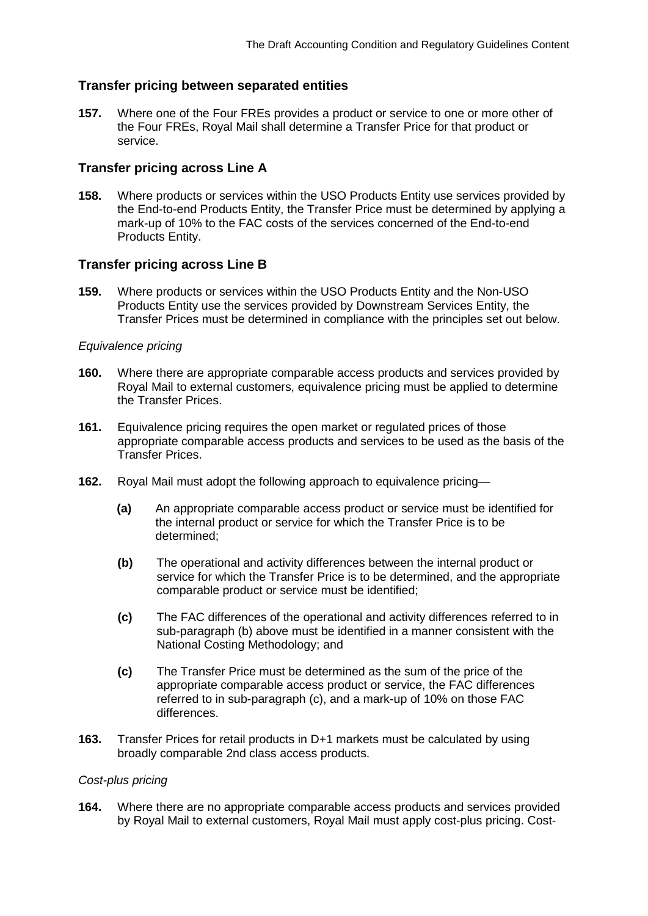# **Transfer pricing between separated entities**

**157.** Where one of the Four FREs provides a product or service to one or more other of the Four FREs, Royal Mail shall determine a Transfer Price for that product or service.

### **Transfer pricing across Line A**

**158.** Where products or services within the USO Products Entity use services provided by the End-to-end Products Entity, the Transfer Price must be determined by applying a mark-up of 10% to the FAC costs of the services concerned of the End-to-end Products Entity.

### **Transfer pricing across Line B**

**159.** Where products or services within the USO Products Entity and the Non-USO Products Entity use the services provided by Downstream Services Entity, the Transfer Prices must be determined in compliance with the principles set out below.

#### *Equivalence pricing*

- **160.** Where there are appropriate comparable access products and services provided by Royal Mail to external customers, equivalence pricing must be applied to determine the Transfer Prices.
- **161.** Equivalence pricing requires the open market or regulated prices of those appropriate comparable access products and services to be used as the basis of the Transfer Prices.
- **162.** Royal Mail must adopt the following approach to equivalence pricing—
	- **(a)** An appropriate comparable access product or service must be identified for the internal product or service for which the Transfer Price is to be determined;
	- **(b)** The operational and activity differences between the internal product or service for which the Transfer Price is to be determined, and the appropriate comparable product or service must be identified;
	- **(c)** The FAC differences of the operational and activity differences referred to in sub-paragraph (b) above must be identified in a manner consistent with the National Costing Methodology; and
	- **(c)** The Transfer Price must be determined as the sum of the price of the appropriate comparable access product or service, the FAC differences referred to in sub-paragraph (c), and a mark-up of 10% on those FAC differences.
- **163.** Transfer Prices for retail products in D+1 markets must be calculated by using broadly comparable 2nd class access products.

### *Cost-plus pricing*

**164.** Where there are no appropriate comparable access products and services provided by Royal Mail to external customers, Royal Mail must apply cost-plus pricing. Cost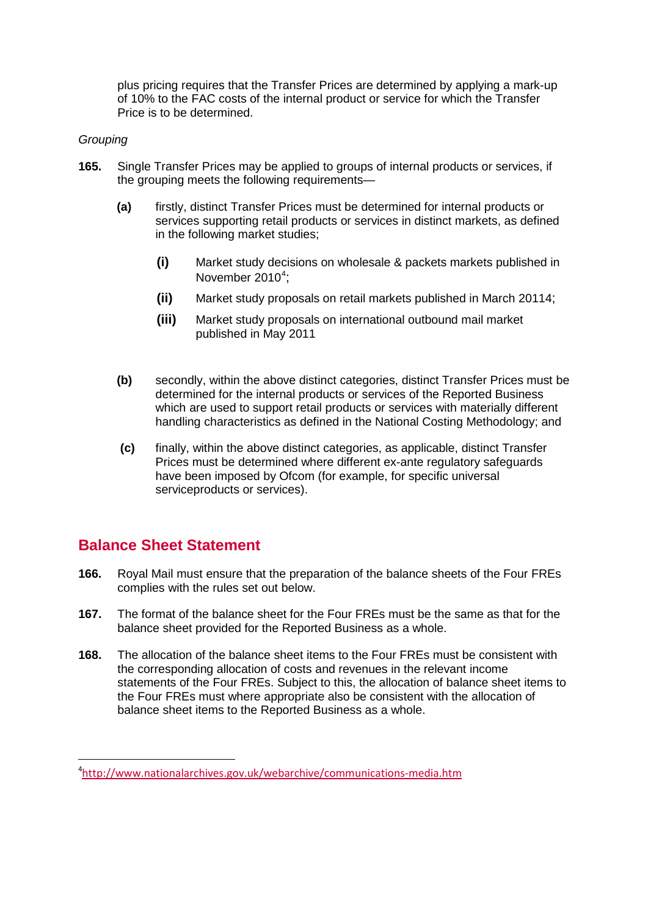plus pricing requires that the Transfer Prices are determined by applying a mark-up of 10% to the FAC costs of the internal product or service for which the Transfer Price is to be determined.

### *Grouping*

- <span id="page-38-0"></span>**165.** Single Transfer Prices may be applied to groups of internal products or services, if the grouping meets the following requirements—
	- **(a)** firstly, distinct Transfer Prices must be determined for internal products or services supporting retail products or services in distinct markets, as defined in the following market studies;
		- **(i)** Market study decisions on wholesale & packets markets published in November 2010 $4$ ;
		- **(ii)** Market study proposals on retail markets published in March 201[1](#page-38-0) [4;](#page-38-0)
		- **(iii)** Market study proposals on international outbound mail market published in May 201[1](#page-38-0)
	- **(b)** secondly, within the above distinct categories, distinct Transfer Prices must be determined for the internal products or services of the Reported Business which are used to support retail products or services with materially different handling characteristics as defined in the National Costing Methodology; and
	- **(c)** finally, within the above distinct categories, as applicable, distinct Transfer Prices must be determined where different ex-ante regulatory safeguards have been imposed by Ofcom (for example, for specific universal serviceproducts or services).

# **Balance Sheet Statement**

- **166.** Royal Mail must ensure that the preparation of the balance sheets of the Four FREs complies with the rules set out below.
- **167.** The format of the balance sheet for the Four FREs must be the same as that for the balance sheet provided for the Reported Business as a whole.
- **168.** The allocation of the balance sheet items to the Four FREs must be consistent with the corresponding allocation of costs and revenues in the relevant income statements of the Four FREs. Subject to this, the allocation of balance sheet items to the Four FREs must where appropriate also be consistent with the allocation of balance sheet items to the Reported Business as a whole.

<span id="page-38-1"></span> $\frac{1}{4}$ <http://www.nationalarchives.gov.uk/webarchive/communications-media.htm>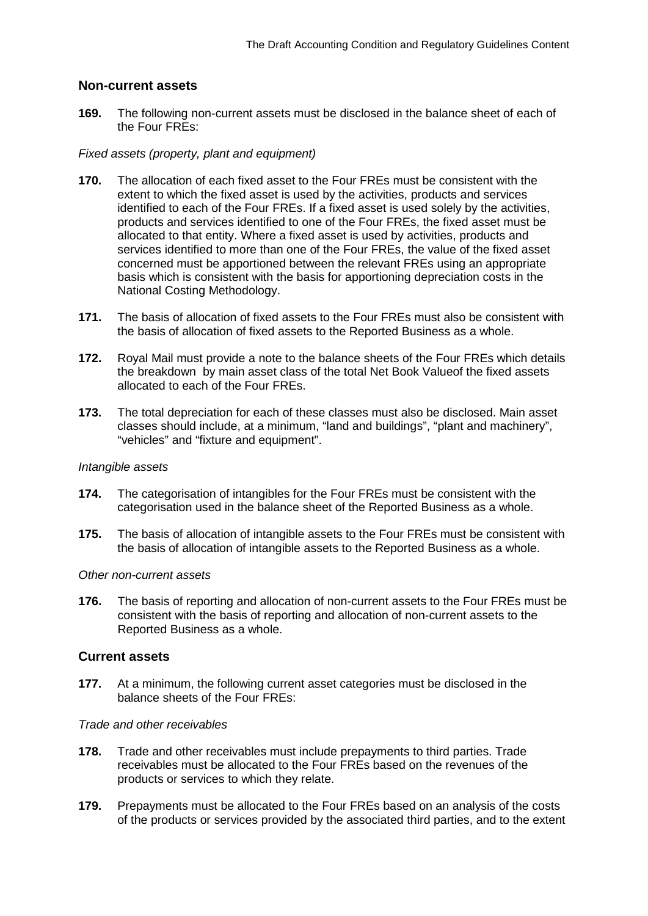### **Non-current assets**

**169.** The following non-current assets must be disclosed in the balance sheet of each of the Four FREs:

#### *Fixed assets (property, plant and equipment)*

- **170.** The allocation of each fixed asset to the Four FREs must be consistent with the extent to which the fixed asset is used by the activities, products and services identified to each of the Four FREs. If a fixed asset is used solely by the activities, products and services identified to one of the Four FREs, the fixed asset must be allocated to that entity. Where a fixed asset is used by activities, products and services identified to more than one of the Four FREs, the value of the fixed asset concerned must be apportioned between the relevant FREs using an appropriate basis which is consistent with the basis for apportioning depreciation costs in the National Costing Methodology.
- **171.** The basis of allocation of fixed assets to the Four FREs must also be consistent with the basis of allocation of fixed assets to the Reported Business as a whole.
- **172.** Royal Mail must provide a note to the balance sheets of the Four FREs which details the breakdown by main asset class of the total Net Book Valueof the fixed assets allocated to each of the Four FREs.
- **173.** The total depreciation for each of these classes must also be disclosed. Main asset classes should include, at a minimum, "land and buildings", "plant and machinery", "vehicles" and "fixture and equipment".

#### *Intangible assets*

- **174.** The categorisation of intangibles for the Four FREs must be consistent with the categorisation used in the balance sheet of the Reported Business as a whole.
- **175.** The basis of allocation of intangible assets to the Four FREs must be consistent with the basis of allocation of intangible assets to the Reported Business as a whole.

#### *Other non-current assets*

**176.** The basis of reporting and allocation of non-current assets to the Four FREs must be consistent with the basis of reporting and allocation of non-current assets to the Reported Business as a whole.

### **Current assets**

**177.** At a minimum, the following current asset categories must be disclosed in the balance sheets of the Four FREs:

#### *Trade and other receivables*

- **178.** Trade and other receivables must include prepayments to third parties. Trade receivables must be allocated to the Four FREs based on the revenues of the products or services to which they relate.
- **179.** Prepayments must be allocated to the Four FREs based on an analysis of the costs of the products or services provided by the associated third parties, and to the extent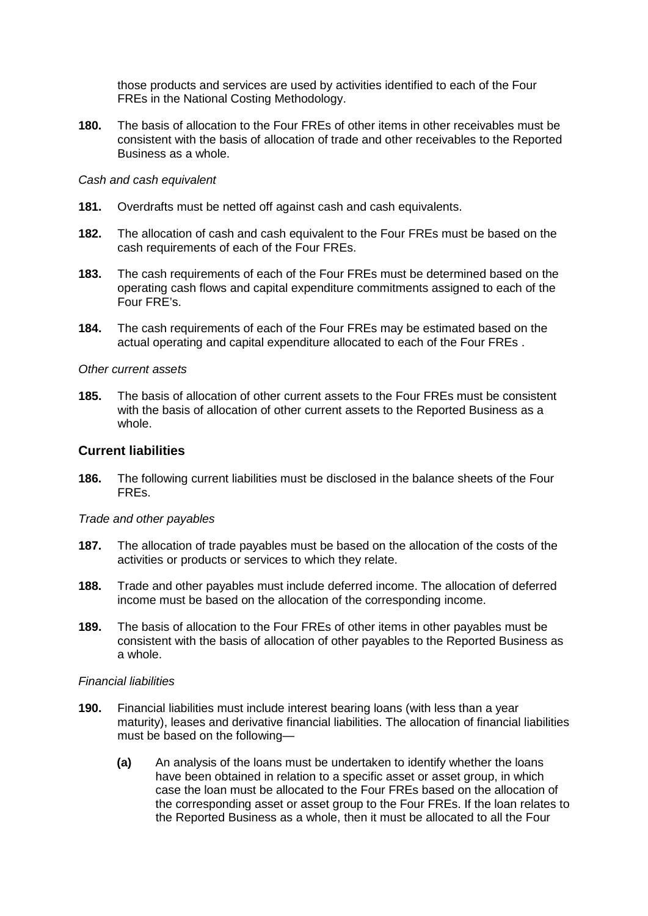those products and services are used by activities identified to each of the Four FREs in the National Costing Methodology.

**180.** The basis of allocation to the Four FREs of other items in other receivables must be consistent with the basis of allocation of trade and other receivables to the Reported Business as a whole.

#### *Cash and cash equivalent*

- **181.** Overdrafts must be netted off against cash and cash equivalents.
- **182.** The allocation of cash and cash equivalent to the Four FREs must be based on the cash requirements of each of the Four FREs.
- **183.** The cash requirements of each of the Four FREs must be determined based on the operating cash flows and capital expenditure commitments assigned to each of the Four FRE's.
- **184.** The cash requirements of each of the Four FREs may be estimated based on the actual operating and capital expenditure allocated to each of the Four FREs .

#### *Other current assets*

**185.** The basis of allocation of other current assets to the Four FREs must be consistent with the basis of allocation of other current assets to the Reported Business as a whole.

### **Current liabilities**

**186.** The following current liabilities must be disclosed in the balance sheets of the Four FREs.

#### *Trade and other payables*

- **187.** The allocation of trade payables must be based on the allocation of the costs of the activities or products or services to which they relate.
- **188.** Trade and other payables must include deferred income. The allocation of deferred income must be based on the allocation of the corresponding income.
- **189.** The basis of allocation to the Four FREs of other items in other payables must be consistent with the basis of allocation of other payables to the Reported Business as a whole.

#### *Financial liabilities*

- **190.** Financial liabilities must include interest bearing loans (with less than a year maturity), leases and derivative financial liabilities. The allocation of financial liabilities must be based on the following—
	- **(a)** An analysis of the loans must be undertaken to identify whether the loans have been obtained in relation to a specific asset or asset group, in which case the loan must be allocated to the Four FREs based on the allocation of the corresponding asset or asset group to the Four FREs. If the loan relates to the Reported Business as a whole, then it must be allocated to all the Four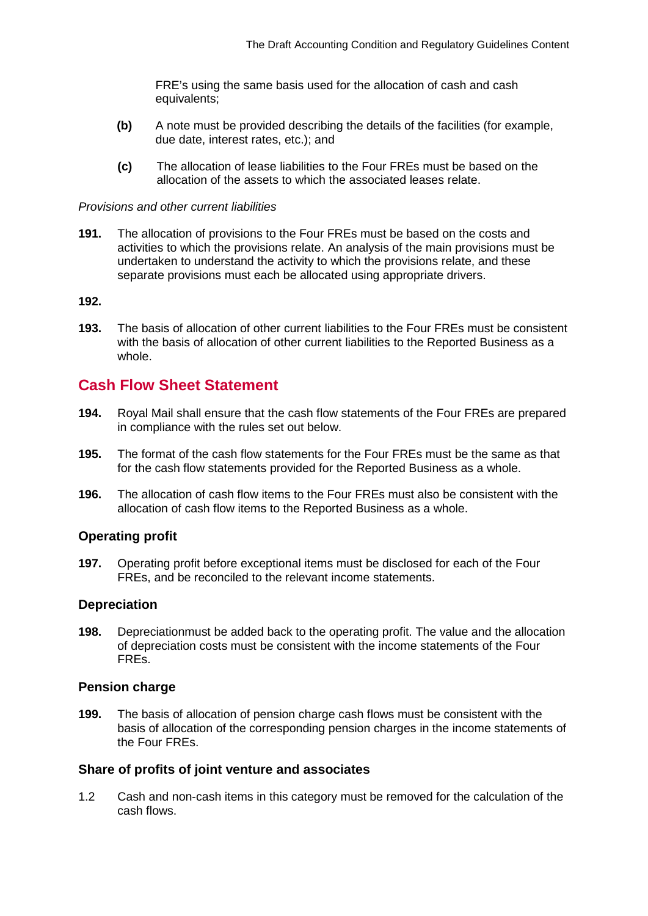FRE's using the same basis used for the allocation of cash and cash equivalents;

- **(b)** A note must be provided describing the details of the facilities (for example, due date, interest rates, etc.); and
- **(c)** The allocation of lease liabilities to the Four FREs must be based on the allocation of the assets to which the associated leases relate.

#### *Provisions and other current liabilities*

**191.** The allocation of provisions to the Four FREs must be based on the costs and activities to which the provisions relate. An analysis of the main provisions must be undertaken to understand the activity to which the provisions relate, and these separate provisions must each be allocated using appropriate drivers.

#### **192.**

**193.** The basis of allocation of other current liabilities to the Four FREs must be consistent with the basis of allocation of other current liabilities to the Reported Business as a whole.

# **Cash Flow Sheet Statement**

- **194.** Royal Mail shall ensure that the cash flow statements of the Four FREs are prepared in compliance with the rules set out below.
- **195.** The format of the cash flow statements for the Four FREs must be the same as that for the cash flow statements provided for the Reported Business as a whole.
- **196.** The allocation of cash flow items to the Four FREs must also be consistent with the allocation of cash flow items to the Reported Business as a whole.

#### **Operating profit**

**197.** Operating profit before exceptional items must be disclosed for each of the Four FREs, and be reconciled to the relevant income statements.

#### **Depreciation**

**198.** Depreciationmust be added back to the operating profit. The value and the allocation of depreciation costs must be consistent with the income statements of the Four FREs.

#### **Pension charge**

**199.** The basis of allocation of pension charge cash flows must be consistent with the basis of allocation of the corresponding pension charges in the income statements of the Four FREs.

#### **Share of profits of joint venture and associates**

1.2 Cash and non-cash items in this category must be removed for the calculation of the cash flows.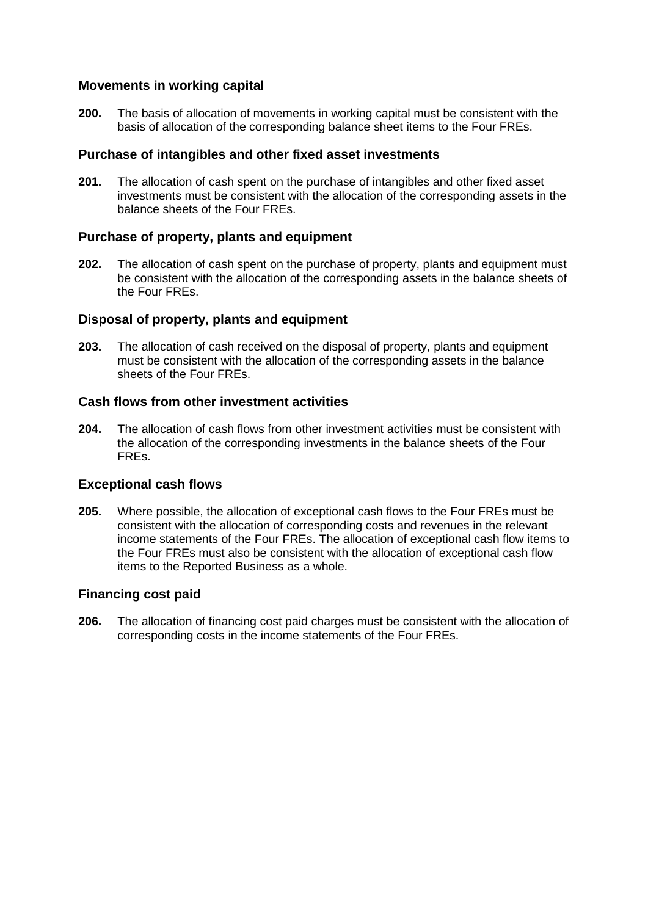# **Movements in working capital**

**200.** The basis of allocation of movements in working capital must be consistent with the basis of allocation of the corresponding balance sheet items to the Four FREs.

### **Purchase of intangibles and other fixed asset investments**

**201.** The allocation of cash spent on the purchase of intangibles and other fixed asset investments must be consistent with the allocation of the corresponding assets in the balance sheets of the Four FREs.

### **Purchase of property, plants and equipment**

**202.** The allocation of cash spent on the purchase of property, plants and equipment must be consistent with the allocation of the corresponding assets in the balance sheets of the Four FREs.

### **Disposal of property, plants and equipment**

**203.** The allocation of cash received on the disposal of property, plants and equipment must be consistent with the allocation of the corresponding assets in the balance sheets of the Four FREs.

# **Cash flows from other investment activities**

**204.** The allocation of cash flows from other investment activities must be consistent with the allocation of the corresponding investments in the balance sheets of the Four FREs.

# **Exceptional cash flows**

**205.** Where possible, the allocation of exceptional cash flows to the Four FREs must be consistent with the allocation of corresponding costs and revenues in the relevant income statements of the Four FREs. The allocation of exceptional cash flow items to the Four FREs must also be consistent with the allocation of exceptional cash flow items to the Reported Business as a whole.

### **Financing cost paid**

**206.** The allocation of financing cost paid charges must be consistent with the allocation of corresponding costs in the income statements of the Four FREs.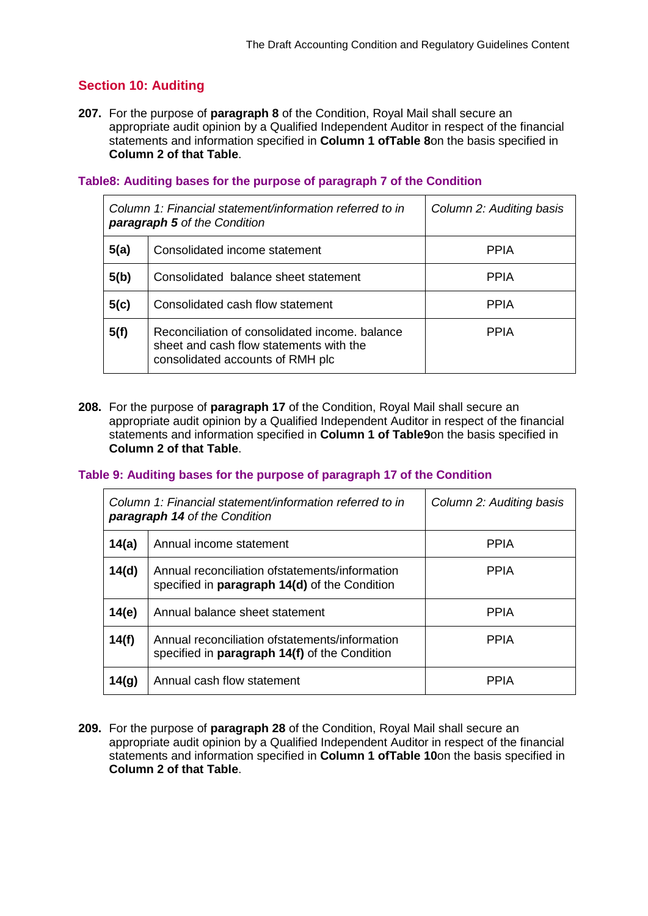# **Section 10: Auditing**

**207.** For the purpose of **paragraph 8** of the Condition, Royal Mail shall secure an appropriate audit opinion by a Qualified Independent Auditor in respect of the financial statements and information specified in **Column 1 ofTable 8**on the basis specified in **Column 2 of that Table**.

### **Table8: Auditing bases for the purpose of paragraph 7 of the Condition**

| Column 1: Financial statement/information referred to in<br><b>paragraph 5</b> of the Condition |                                                                                                                               | Column 2: Auditing basis |
|-------------------------------------------------------------------------------------------------|-------------------------------------------------------------------------------------------------------------------------------|--------------------------|
| 5(a)                                                                                            | Consolidated income statement                                                                                                 | <b>PPIA</b>              |
| 5(b)                                                                                            | Consolidated balance sheet statement                                                                                          | <b>PPIA</b>              |
| 5(c)                                                                                            | Consolidated cash flow statement                                                                                              | <b>PPIA</b>              |
| 5(f)                                                                                            | Reconciliation of consolidated income, balance<br>sheet and cash flow statements with the<br>consolidated accounts of RMH plc | <b>PPIA</b>              |

**208.** For the purpose of **paragraph 17** of the Condition, Royal Mail shall secure an appropriate audit opinion by a Qualified Independent Auditor in respect of the financial statements and information specified in **Column 1 of Table9**on the basis specified in **Column 2 of that Table**.

#### **Table 9: Auditing bases for the purpose of paragraph 17 of the Condition**

| Column 1: Financial statement/information referred to in<br><b>paragraph 14 of the Condition</b> |                                                                                                         | Column 2: Auditing basis |
|--------------------------------------------------------------------------------------------------|---------------------------------------------------------------------------------------------------------|--------------------------|
| 14(a)                                                                                            | Annual income statement                                                                                 | <b>PPIA</b>              |
| 14(d)                                                                                            | Annual reconciliation of statements/information<br>specified in paragraph 14(d) of the Condition        | <b>PPIA</b>              |
| 14(e)                                                                                            | Annual balance sheet statement                                                                          | <b>PPIA</b>              |
| 14(f)                                                                                            | Annual reconciliation of statements/information<br>specified in <b>paragraph 14(f)</b> of the Condition | <b>PPIA</b>              |
| 14(g)                                                                                            | Annual cash flow statement                                                                              | PPIA                     |

**209.** For the purpose of **paragraph 28** of the Condition, Royal Mail shall secure an appropriate audit opinion by a Qualified Independent Auditor in respect of the financial statements and information specified in **Column 1 ofTable 10**on the basis specified in **Column 2 of that Table**.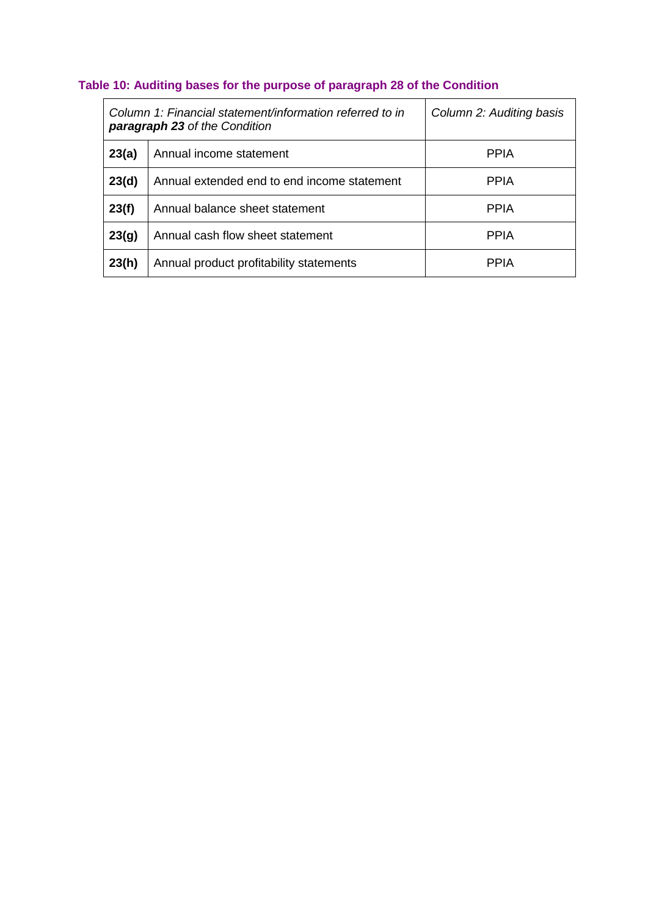# **Table 10: Auditing bases for the purpose of paragraph 28 of the Condition**

| Column 1: Financial statement/information referred to in<br><b>paragraph 23</b> of the Condition |                                             | Column 2: Auditing basis |
|--------------------------------------------------------------------------------------------------|---------------------------------------------|--------------------------|
| 23(a)                                                                                            | Annual income statement                     | <b>PPIA</b>              |
| 23(d)                                                                                            | Annual extended end to end income statement | <b>PPIA</b>              |
| 23(f)                                                                                            | Annual balance sheet statement              | <b>PPIA</b>              |
| 23(g)                                                                                            | Annual cash flow sheet statement            | <b>PPIA</b>              |
| 23(h)                                                                                            | Annual product profitability statements     | <b>PPIA</b>              |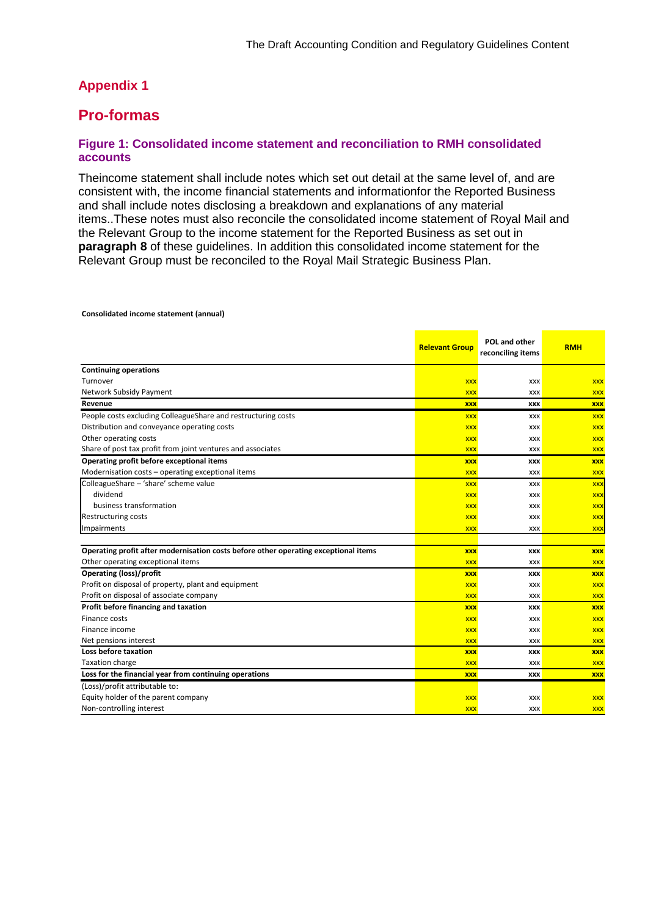# **Appendix 1**

# **Pro-formas**

#### **Figure 1: Consolidated income statement and reconciliation to RMH consolidated accounts**

Theincome statement shall include notes which set out detail at the same level of, and are consistent with, the income financial statements and informationfor the Reported Business and shall include notes disclosing a breakdown and explanations of any material items..These notes must also reconcile the consolidated income statement of Royal Mail and the Relevant Group to the income statement for the Reported Business as set out in **paragraph 8** of these guidelines. In addition this consolidated income statement for the Relevant Group must be reconciled to the Royal Mail Strategic Business Plan.

|                                                                                     | <b>Relevant Group</b> | POL and other<br>reconciling items | <b>RMH</b> |
|-------------------------------------------------------------------------------------|-----------------------|------------------------------------|------------|
| <b>Continuing operations</b>                                                        |                       |                                    |            |
| Turnover                                                                            | <b>XXX</b>            | XXX                                | <b>XXX</b> |
| Network Subsidy Payment                                                             | <b>XXX</b>            | <b>XXX</b>                         | <b>XXX</b> |
| Revenue                                                                             | <b>XXX</b>            | <b>XXX</b>                         | <b>XXX</b> |
| People costs excluding ColleagueShare and restructuring costs                       | <b>XXX</b>            | <b>XXX</b>                         | <b>XXX</b> |
| Distribution and conveyance operating costs                                         | <b>XXX</b>            | XXX                                | <b>XXX</b> |
| Other operating costs                                                               | <b>XXX</b>            | <b>XXX</b>                         | <b>XXX</b> |
| Share of post tax profit from joint ventures and associates                         | <b>XXX</b>            | <b>XXX</b>                         | <b>XXX</b> |
| Operating profit before exceptional items                                           | <b>XXX</b>            | XXX                                | <b>XXX</b> |
| Modernisation costs - operating exceptional items                                   | <b>XXX</b>            | <b>XXX</b>                         | <b>XXX</b> |
| ColleagueShare - 'share' scheme value                                               | <b>XXX</b>            | <b>XXX</b>                         | <b>XXX</b> |
| dividend                                                                            | <b>XXX</b>            | XXX                                | <b>XXX</b> |
| business transformation                                                             | <b>XXX</b>            | XXX                                | <b>XXX</b> |
| <b>Restructuring costs</b>                                                          | <b>XXX</b>            | <b>XXX</b>                         | <b>XXX</b> |
| Impairments                                                                         | <b>XXX</b>            | <b>XXX</b>                         | <b>XXX</b> |
|                                                                                     |                       |                                    |            |
| Operating profit after modernisation costs before other operating exceptional items | <b>XXX</b>            | <b>XXX</b>                         | <b>XXX</b> |
| Other operating exceptional items                                                   | <b>XXX</b>            | <b>XXX</b>                         | <b>XXX</b> |
| <b>Operating (loss)/profit</b>                                                      | <b>XXX</b>            | <b>XXX</b>                         | <b>XXX</b> |
| Profit on disposal of property, plant and equipment                                 | <b>XXX</b>            | <b>XXX</b>                         | <b>XXX</b> |
| Profit on disposal of associate company                                             | <b>XXX</b>            | <b>XXX</b>                         | <b>XXX</b> |
| Profit before financing and taxation                                                | <b>XXX</b>            | <b>XXX</b>                         | <b>XXX</b> |
| Finance costs                                                                       | <b>XXX</b>            | <b>XXX</b>                         | <b>XXX</b> |
| Finance income                                                                      | <b>XXX</b>            | <b>XXX</b>                         | <b>XXX</b> |
| Net pensions interest                                                               | <b>XXX</b>            | <b>XXX</b>                         | <b>XXX</b> |
| Loss before taxation                                                                | <b>XXX</b>            | <b>XXX</b>                         | <b>XXX</b> |
| <b>Taxation charge</b>                                                              | <b>XXX</b>            | <b>XXX</b>                         | <b>XXX</b> |
| Loss for the financial year from continuing operations                              | <b>XXX</b>            | <b>XXX</b>                         | <b>XXX</b> |
| (Loss)/profit attributable to:                                                      |                       |                                    |            |
| Equity holder of the parent company                                                 | <b>XXX</b>            | <b>XXX</b>                         | <b>XXX</b> |
| Non-controlling interest                                                            | <b>XXX</b>            | <b>XXX</b>                         | <b>XXX</b> |

**Consolidated income statement (annual)**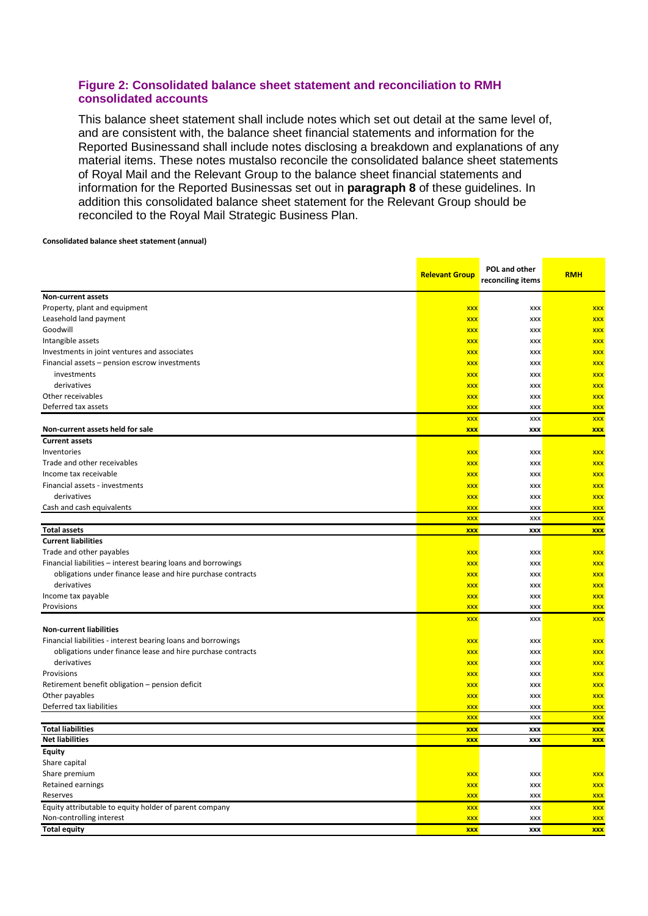#### **Figure 2: Consolidated balance sheet statement and reconciliation to RMH consolidated accounts**

This balance sheet statement shall include notes which set out detail at the same level of, and are consistent with, the balance sheet financial statements and information for the Reported Businessand shall include notes disclosing a breakdown and explanations of any material items. These notes mustalso reconcile the consolidated balance sheet statements of Royal Mail and the Relevant Group to the balance sheet financial statements and information for the Reported Businessas set out in **paragraph 8** of these guidelines. In addition this consolidated balance sheet statement for the Relevant Group should be reconciled to the Royal Mail Strategic Business Plan.

#### **Consolidated balance sheet statement (annual)**

|                                                               | <b>Relevant Group</b> | POL and other<br>reconciling items | <b>RMH</b> |
|---------------------------------------------------------------|-----------------------|------------------------------------|------------|
| Non-current assets                                            |                       |                                    |            |
| Property, plant and equipment                                 | <b>XXX</b>            | XXX                                | <b>XXX</b> |
| Leasehold land payment                                        | <b>XXX</b>            | XXX                                | <b>XXX</b> |
| Goodwill                                                      | <b>XXX</b>            | <b>XXX</b>                         | <b>XXX</b> |
| Intangible assets                                             | <b>XXX</b>            | <b>XXX</b>                         | <b>XXX</b> |
| Investments in joint ventures and associates                  | <b>XXX</b>            | XXX                                | <b>XXX</b> |
| Financial assets - pension escrow investments                 | <b>XXX</b>            | XXX                                | <b>XXX</b> |
| investments                                                   | <b>XXX</b>            | <b>XXX</b>                         | <b>XXX</b> |
| derivatives                                                   | <b>XXX</b>            | <b>XXX</b>                         | <b>XXX</b> |
| Other receivables                                             | <b>XXX</b>            | XXX                                | <b>XXX</b> |
| Deferred tax assets                                           | <b>XXX</b>            | XXX                                | <b>XXX</b> |
|                                                               | <b>XXX</b>            | XXX                                | <b>XXX</b> |
| Non-current assets held for sale                              | <b>XXX</b>            | XXX                                | <b>XXX</b> |
| <b>Current assets</b>                                         |                       |                                    |            |
| Inventories                                                   | <b>XXX</b>            | <b>XXX</b>                         | <b>XXX</b> |
| Trade and other receivables                                   | <b>XXX</b>            | XXX                                | <b>XXX</b> |
| Income tax receivable                                         | <b>XXX</b>            | XXX                                | <b>XXX</b> |
| Financial assets - investments                                | <b>XXX</b>            | <b>XXX</b>                         | <b>XXX</b> |
| derivatives                                                   | <b>XXX</b>            | <b>XXX</b>                         | <b>XXX</b> |
| Cash and cash equivalents                                     | <b>XXX</b>            | XXX                                | <b>XXX</b> |
|                                                               | <b>XXX</b>            | <b>XXX</b>                         | <b>XXX</b> |
| <b>Total assets</b>                                           | <b>XXX</b>            | XXX                                | <b>XXX</b> |
| <b>Current liabilities</b>                                    |                       |                                    |            |
| Trade and other payables                                      | <b>XXX</b>            | <b>XXX</b>                         | <b>XXX</b> |
| Financial liabilities - interest bearing loans and borrowings | <b>XXX</b>            | <b>XXX</b>                         | <b>XXX</b> |
| obligations under finance lease and hire purchase contracts   | <b>XXX</b>            | XXX                                | <b>XXX</b> |
| derivatives                                                   | <b>XXX</b>            | XXX                                | <b>XXX</b> |
| Income tax payable                                            | <b>XXX</b>            | XXX                                | <b>XXX</b> |
| Provisions                                                    | <b>XXX</b>            | XXX                                | <b>XXX</b> |
|                                                               | <b>XXX</b>            | <b>XXX</b>                         | <b>XXX</b> |
| <b>Non-current liabilities</b>                                |                       |                                    |            |
| Financial liabilities - interest bearing loans and borrowings | <b>XXX</b>            | XXX                                | <b>XXX</b> |
| obligations under finance lease and hire purchase contracts   | <b>XXX</b>            | <b>XXX</b>                         | <b>XXX</b> |
| derivatives                                                   | <b>XXX</b>            | <b>XXX</b>                         | <b>XXX</b> |
| Provisions                                                    | <b>XXX</b>            | XXX                                | <b>XXX</b> |
| Retirement benefit obligation - pension deficit               | <b>XXX</b>            | XXX                                | <b>XXX</b> |
| Other payables                                                | <b>XXX</b>            | XXX                                | <b>XXX</b> |
| Deferred tax liabilities                                      | <b>XXX</b>            | <b>XXX</b>                         | <b>XXX</b> |
|                                                               | <b>XXX</b>            | XXX                                | <b>XXX</b> |
| <b>Total liabilities</b>                                      | <b>XXX</b>            | XXX                                | <b>XXX</b> |
| <b>Net liabilities</b>                                        | <b>XXX</b>            | XXX                                | <b>XXX</b> |
| Equity                                                        |                       |                                    |            |
| Share capital                                                 |                       |                                    |            |
| Share premium                                                 | <b>XXX</b>            | XXX                                | <b>XXX</b> |
| Retained earnings                                             | <b>XXX</b>            | XXX                                | <b>XXX</b> |
| Reserves                                                      | <b>XXX</b>            | XXX                                | <b>XXX</b> |
| Equity attributable to equity holder of parent company        | <b>XXX</b>            | XXX                                | <b>XXX</b> |
| Non-controlling interest                                      | <b>XXX</b>            | XXX                                | <b>XXX</b> |
| <b>Total equity</b>                                           | <b>XXX</b>            | <b>XXX</b>                         | <b>XXX</b> |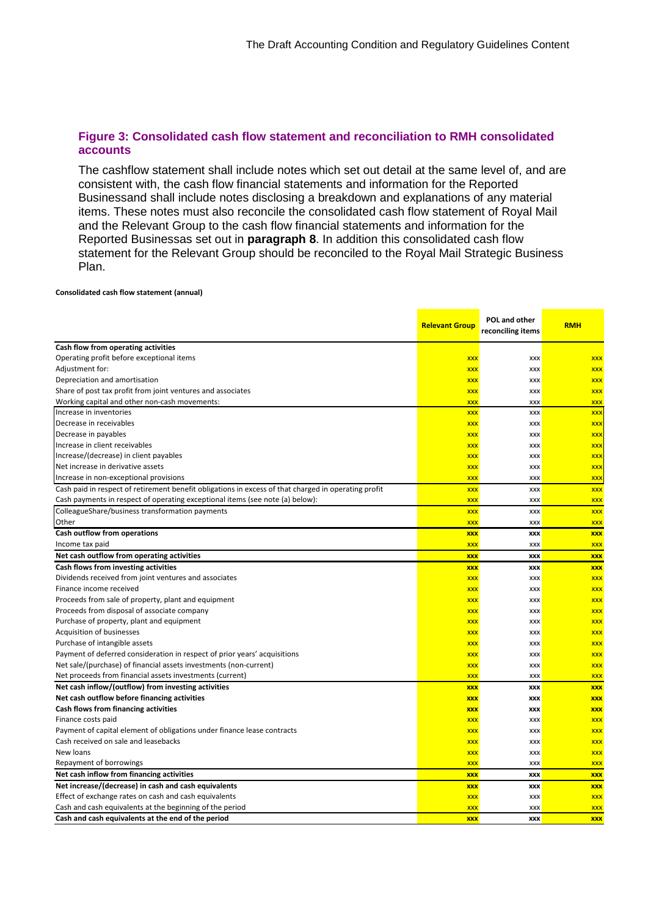#### **Figure 3: Consolidated cash flow statement and reconciliation to RMH consolidated accounts**

The cashflow statement shall include notes which set out detail at the same level of, and are consistent with, the cash flow financial statements and information for the Reported Businessand shall include notes disclosing a breakdown and explanations of any material items. These notes must also reconcile the consolidated cash flow statement of Royal Mail and the Relevant Group to the cash flow financial statements and information for the Reported Businessas set out in **paragraph 8**. In addition this consolidated cash flow statement for the Relevant Group should be reconciled to the Royal Mail Strategic Business Plan.

#### **Consolidated cash flow statement (annual)**

|                                                                                                      | <b>Relevant Group</b> | POL and other<br>reconciling items | <b>RMH</b> |
|------------------------------------------------------------------------------------------------------|-----------------------|------------------------------------|------------|
| Cash flow from operating activities                                                                  |                       |                                    |            |
| Operating profit before exceptional items                                                            | <b>XXX</b>            | XXX                                | <b>XXX</b> |
| Adjustment for:                                                                                      | <b>XXX</b>            | XXX                                | <b>XXX</b> |
| Depreciation and amortisation                                                                        | <b>XXX</b>            | XXX                                | <b>XXX</b> |
| Share of post tax profit from joint ventures and associates                                          | <b>XXX</b>            | <b>XXX</b>                         | <b>XXX</b> |
| Working capital and other non-cash movements:                                                        | <b>XXX</b>            | XXX                                | <b>XXX</b> |
| Increase in inventories                                                                              | <b>XXX</b>            | XXX                                | <b>XXX</b> |
| Decrease in receivables                                                                              | <b>XXX</b>            | XXX                                | <b>XXX</b> |
| Decrease in payables                                                                                 | <b>XXX</b>            | XXX                                | <b>XXX</b> |
| Increase in client receivables                                                                       | <b>XXX</b>            | XXX                                | <b>XXX</b> |
| Increase/(decrease) in client payables                                                               | <b>XXX</b>            | XXX                                | <b>XXX</b> |
| Net increase in derivative assets                                                                    | <b>XXX</b>            | XXX                                | <b>XXX</b> |
| Increase in non-exceptional provisions                                                               | <b>XXX</b>            | XXX                                | <b>XXX</b> |
| Cash paid in respect of retirement benefit obligations in excess of that charged in operating profit | <b>XXX</b>            | <b>XXX</b>                         | <b>XXX</b> |
| Cash payments in respect of operating exceptional items (see note (a) below):                        | <b>XXX</b>            | XXX                                | <b>XXX</b> |
| ColleagueShare/business transformation payments                                                      | <b>XXX</b>            | XXX                                | <b>XXX</b> |
| Other                                                                                                | <b>XXX</b>            | XXX                                | <b>XXX</b> |
| Cash outflow from operations                                                                         | <b>XXX</b>            | <b>XXX</b>                         | <b>XXX</b> |
| Income tax paid                                                                                      | <b>XXX</b>            | XXX                                | <b>XXX</b> |
| Net cash outflow from operating activities                                                           | <b>XXX</b>            | <b>XXX</b>                         | <b>XXX</b> |
| Cash flows from investing activities                                                                 | <b>XXX</b>            | XXX                                | <b>XXX</b> |
| Dividends received from joint ventures and associates                                                | <b>XXX</b>            | XXX                                | <b>XXX</b> |
| Finance income received                                                                              | <b>XXX</b>            | XXX                                | <b>XXX</b> |
| Proceeds from sale of property, plant and equipment                                                  | <b>XXX</b>            | XXX                                | <b>XXX</b> |
| Proceeds from disposal of associate company                                                          | <b>XXX</b>            | XXX                                | <b>XXX</b> |
| Purchase of property, plant and equipment                                                            | <b>XXX</b>            | XXX                                | <b>XXX</b> |
| Acquisition of businesses                                                                            | <b>XXX</b>            | XXX                                | <b>XXX</b> |
| Purchase of intangible assets                                                                        | <b>XXX</b>            | XXX                                | <b>XXX</b> |
| Payment of deferred consideration in respect of prior years' acquisitions                            | <b>XXX</b>            | XXX                                | <b>XXX</b> |
| Net sale/(purchase) of financial assets investments (non-current)                                    | <b>XXX</b>            | XXX                                | <b>XXX</b> |
| Net proceeds from financial assets investments (current)                                             | <b>XXX</b>            | XXX                                | <b>XXX</b> |
| Net cash inflow/(outflow) from investing activities                                                  | <b>XXX</b>            | XXX                                | <b>XXX</b> |
| Net cash outflow before financing activities                                                         | <b>XXX</b>            | <b>XXX</b>                         | <b>XXX</b> |
| Cash flows from financing activities                                                                 | <b>XXX</b>            | XXX                                | <b>XXX</b> |
| Finance costs paid                                                                                   | <b>XXX</b>            | XXX                                | <b>XXX</b> |
| Payment of capital element of obligations under finance lease contracts                              | <b>XXX</b>            | <b>XXX</b>                         | <b>XXX</b> |
| Cash received on sale and leasebacks                                                                 | <b>XXX</b>            | XXX                                | <b>XXX</b> |
| New loans                                                                                            | <b>XXX</b>            | XXX                                | <b>XXX</b> |
| Repayment of borrowings                                                                              | <b>XXX</b>            | <b>XXX</b>                         | <b>XXX</b> |
| Net cash inflow from financing activities                                                            | <b>XXX</b>            | XXX                                | <b>XXX</b> |
| Net increase/(decrease) in cash and cash equivalents                                                 | <b>XXX</b>            | <b>XXX</b>                         | <b>XXX</b> |
| Effect of exchange rates on cash and cash equivalents                                                | <b>XXX</b>            | XXX                                | <b>XXX</b> |
| Cash and cash equivalents at the beginning of the period                                             | <b>XXX</b>            | XXX                                | <b>XXX</b> |
| Cash and cash equivalents at the end of the period                                                   | <b>XXX</b>            | <b>XXX</b>                         | <b>XXX</b> |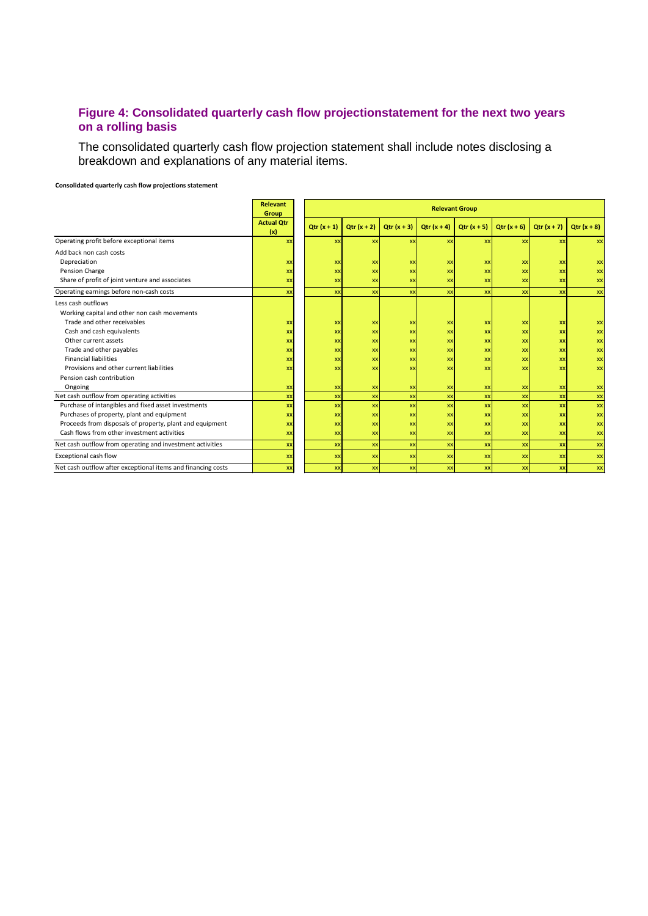#### **Figure 4: Consolidated quarterly cash flow projectionstatement for the next two years on a rolling basis**

The consolidated quarterly cash flow projection statement shall include notes disclosing a breakdown and explanations of any material items.

**Consolidated quarterly cash flow projections statement**

|                                                              | <b>Relevant</b><br>Group |              | <b>Relevant Group</b> |              |              |              |            |               |              |
|--------------------------------------------------------------|--------------------------|--------------|-----------------------|--------------|--------------|--------------|------------|---------------|--------------|
|                                                              | <b>Actual Qtr</b><br>(x) | $Qtr(x + 1)$ | $Qtr(x + 2)$          | $Qtr(x + 3)$ | $Qtr(x + 4)$ | $Qtr(x + 5)$ | $Qtr(x+6)$ | $Qtr(x + 7)$  | $Qtr(x + 8)$ |
| Operating profit before exceptional items                    | XX                       | XX           | XX                    | XX           | <b>XX</b>    | <b>XX</b>    | <b>XX</b>  | $\mathbf{xx}$ | XX           |
| Add back non cash costs                                      |                          |              |                       |              |              |              |            |               |              |
| Depreciation                                                 | <b>XX</b>                | XX           | XX                    | XX           | XX           | XX           | XX         | XX            | XX           |
| Pension Charge                                               | XX                       | XX           | XX                    | <b>XX</b>    | <b>XX</b>    | <b>XX</b>    | XX         | <b>XX</b>     | XX           |
| Share of profit of joint venture and associates              | XX                       | XX           | xx                    | <b>XX</b>    | <b>XX</b>    | <b>XX</b>    | xx         | $\mathbf{xx}$ | <b>xx</b>    |
| Operating earnings before non-cash costs                     | XX                       | XX           | XX                    | <b>XX</b>    | <b>XX</b>    | XX           | <b>XX</b>  | <b>XX</b>     | XX           |
| Less cash outflows                                           |                          |              |                       |              |              |              |            |               |              |
| Working capital and other non cash movements                 |                          |              |                       |              |              |              |            |               |              |
| Trade and other receivables                                  | <b>XX</b>                | XX           | XX                    | XX           | XX           | XX           | XX         | XX            | XX           |
| Cash and cash equivalents                                    | XX                       | XX           | XX                    | XX           | XX           | <b>XX</b>    | XX         | XX            | XX           |
| Other current assets                                         | XX                       | XX           | XX                    | XX           | XX           | <b>XX</b>    | XX         | XX            | XX           |
| Trade and other payables                                     | XX                       | XX           | <b>XX</b>             | <b>XX</b>    | <b>XX</b>    | <b>XX</b>    | <b>XX</b>  | XX            | XX           |
| <b>Financial liabilities</b>                                 | XX                       | XX           | <b>XX</b>             | <b>XX</b>    | <b>XX</b>    | XX           | xx         | XX            | XX           |
| Provisions and other current liabilities                     | <b>XX</b>                | XX           | <b>XX</b>             | XX           | XX           | <b>XX</b>    | <b>XX</b>  | XX            | XX           |
| Pension cash contribution                                    |                          |              |                       |              |              |              |            |               |              |
| Ongoing                                                      | XX                       | XX           | XX                    | XX           | XX           | XX           | XX         | <b>XX</b>     | <b>XX</b>    |
| Net cash outflow from operating activities                   | XX                       | XX           | XX                    | XX           | XX           | XX           | <b>XX</b>  | <b>XX</b>     | XX           |
| Purchase of intangibles and fixed asset investments          | XX                       | XX           | XX                    | XX           | XX           | XX           | <b>XX</b>  | <b>XX</b>     | xx           |
| Purchases of property, plant and equipment                   | XX                       | XX           | XX                    | <b>XX</b>    | <b>XX</b>    | <b>XX</b>    | <b>XX</b>  | $\mathbf{xx}$ | XX           |
| Proceeds from disposals of property, plant and equipment     | XX                       | XX           | XX                    | <b>XX</b>    | XX           | XX           | <b>XX</b>  | $\mathbf{xx}$ | XX           |
| Cash flows from other investment activities                  | XX                       | XX           | XX                    | <b>XX</b>    | <b>XX</b>    | <b>XX</b>    | XX         | $\mathbf{xx}$ | XX           |
| Net cash outflow from operating and investment activities    | XX                       | XX           | XX                    | XX           | <b>XX</b>    | XX           | <b>XX</b>  | <b>XX</b>     | <b>XX</b>    |
| Exceptional cash flow                                        | XX                       | XX           | XX                    | XX           | <b>XX</b>    | XX           | XX         | <b>XX</b>     | XX           |
| Net cash outflow after exceptional items and financing costs | <b>XX</b>                | XX           | XX                    | <b>XX</b>    | <b>XX</b>    | <b>XX</b>    | <b>XX</b>  | <b>XX</b>     | XX           |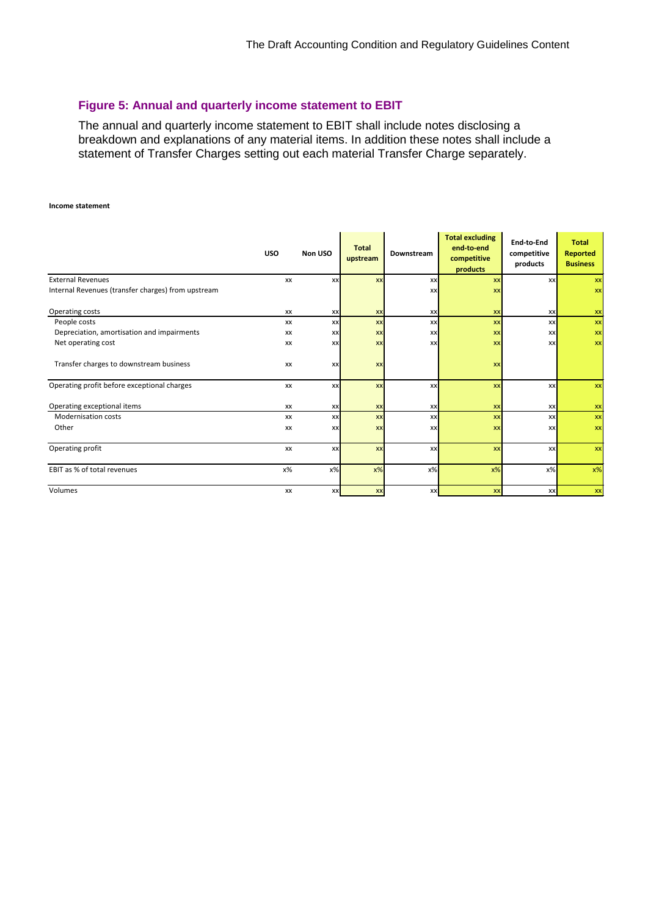### **Figure 5: Annual and quarterly income statement to EBIT**

The annual and quarterly income statement to EBIT shall include notes disclosing a breakdown and explanations of any material items. In addition these notes shall include a statement of Transfer Charges setting out each material Transfer Charge separately.

#### **Income statement**

|                                                    | <b>USO</b> | Non USO   | <b>Total</b><br>upstream | Downstream | <b>Total excluding</b><br>end-to-end<br>competitive<br>products | End-to-End<br>competitive<br>products | <b>Total</b><br>Reported<br><b>Business</b> |
|----------------------------------------------------|------------|-----------|--------------------------|------------|-----------------------------------------------------------------|---------------------------------------|---------------------------------------------|
| <b>External Revenues</b>                           | XX         | XX        | <b>XX</b>                | <b>xx</b>  | XX                                                              | <b>XX</b>                             | XX                                          |
| Internal Revenues (transfer charges) from upstream |            |           |                          | <b>XX</b>  | XX                                                              |                                       | XX                                          |
| Operating costs                                    | XX         | XX        | <b>XX</b>                | <b>XX</b>  | <b>XX</b>                                                       | <b>XX</b>                             | XX                                          |
| People costs                                       | XX         | XX        | <b>XX</b>                | <b>XX</b>  | <b>XX</b>                                                       | xx                                    | XX                                          |
| Depreciation, amortisation and impairments         | XX         | XX        | XX                       | XX         | XX                                                              | <b>XX</b>                             | XX                                          |
| Net operating cost                                 | XX         | XX        | XX                       | <b>xx</b>  | XX                                                              | <b>XX</b>                             | XX                                          |
| Transfer charges to downstream business            | XX         | <b>XX</b> | <b>XX</b>                |            | XX                                                              |                                       |                                             |
| Operating profit before exceptional charges        | XX         | XX        | <b>XX</b>                | <b>xx</b>  | <b>XX</b>                                                       | xx                                    | XX                                          |
| Operating exceptional items                        | XX         | XX        | XX                       | XX         | XX                                                              | XX                                    | XX                                          |
| <b>Modernisation costs</b>                         | XX         | XX        | XX                       | <b>xx</b>  | <b>XX</b>                                                       | XX                                    | XX                                          |
| Other                                              | XX         | XX        | XX                       | <b>xx</b>  | <b>XX</b>                                                       | <b>XX</b>                             | XX                                          |
| Operating profit                                   | XX         | XX        | <b>XX</b>                | xxl        | <b>XX</b>                                                       | xxl                                   | XX                                          |
| EBIT as % of total revenues                        | $x\%$      | $x\%$     | x%                       | $x\%$      | $x\%$                                                           | $x\%$                                 | x%                                          |
| Volumes                                            | XX         | XX        | <b>XX</b>                | <b>xx</b>  | <b>XX</b>                                                       | xx                                    | XX                                          |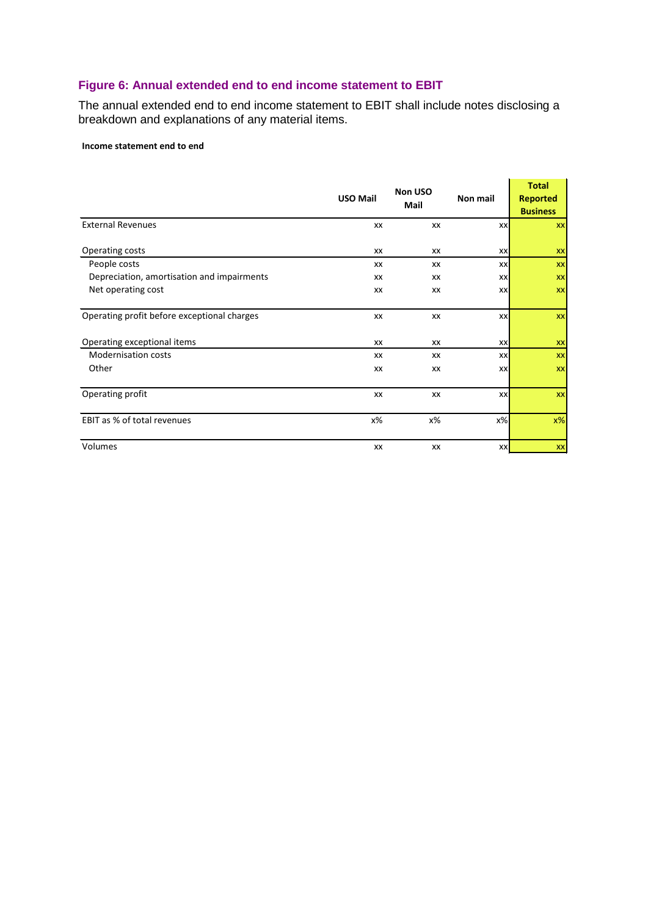# **Figure 6: Annual extended end to end income statement to EBIT**

The annual extended end to end income statement to EBIT shall include notes disclosing a breakdown and explanations of any material items.

#### **Income statement end to end**

|                                             | <b>USO Mail</b> | Non USO<br>Mail | Non mail  | <b>Total</b><br><b>Reported</b><br><b>Business</b> |
|---------------------------------------------|-----------------|-----------------|-----------|----------------------------------------------------|
| <b>External Revenues</b>                    | XX              | XX              | <b>XX</b> | XX                                                 |
| Operating costs                             | XX              | XX              | XX        | XX                                                 |
| People costs                                | XX              | XX              | XX        | XX                                                 |
| Depreciation, amortisation and impairments  | XX              | XX              | XX        | XX                                                 |
| Net operating cost                          | XX              | XX              | XX        | XX                                                 |
| Operating profit before exceptional charges | XX              | XX              | <b>XX</b> | XX                                                 |
| Operating exceptional items                 | XX              | XX              | XX        | XX                                                 |
| <b>Modernisation costs</b>                  | XX              | XX              | <b>XX</b> | XX                                                 |
| Other                                       | XX              | XX              | <b>XX</b> | XX                                                 |
| Operating profit                            | XX              | XX              | <b>XX</b> | XX                                                 |
| EBIT as % of total revenues                 | х%              | х%              | $x\%$     | $x\%$                                              |
| Volumes                                     | XX              | XX              | <b>XX</b> | XX                                                 |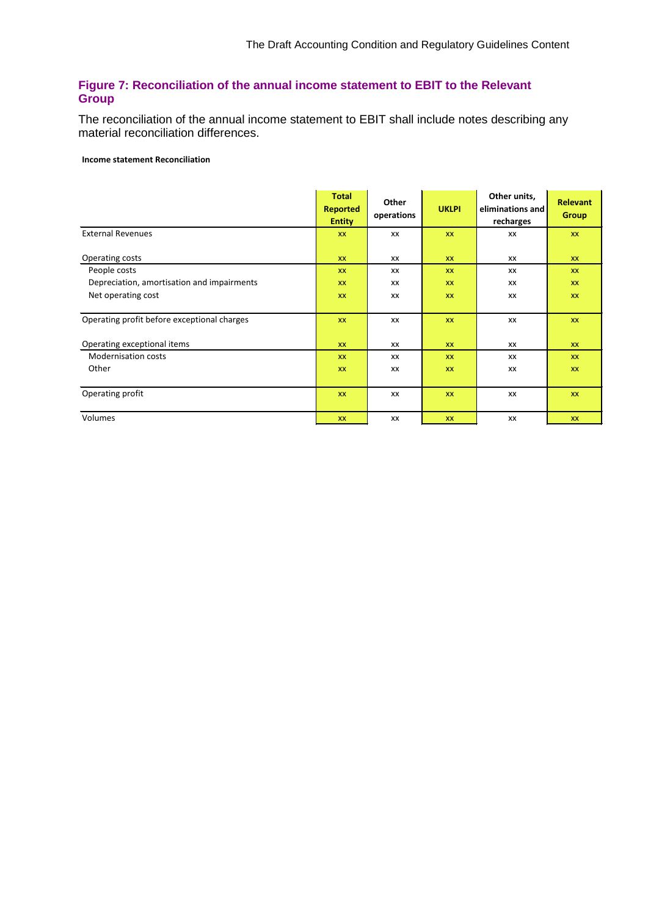# **Figure 7: Reconciliation of the annual income statement to EBIT to the Relevant Group**

The reconciliation of the annual income statement to EBIT shall include notes describing any material reconciliation differences.

#### **Income statement Reconciliation**

|                                             | <b>Total</b><br><b>Reported</b><br><b>Entity</b> | Other<br>operations | <b>UKLPI</b> | Other units,<br>eliminations and<br>recharges | <b>Relevant</b><br><b>Group</b> |
|---------------------------------------------|--------------------------------------------------|---------------------|--------------|-----------------------------------------------|---------------------------------|
| <b>External Revenues</b>                    | <b>XX</b>                                        | XX                  | XX           | XX                                            | <b>XX</b>                       |
| Operating costs                             | <b>XX</b>                                        | XX                  | <b>XX</b>    | XX                                            | <b>XX</b>                       |
| People costs                                | <b>XX</b>                                        | XX                  | <b>XX</b>    | XX                                            | <b>XX</b>                       |
| Depreciation, amortisation and impairments  | <b>XX</b>                                        | XX                  | <b>XX</b>    | XX                                            | <b>XX</b>                       |
| Net operating cost                          | <b>XX</b>                                        | XX                  | <b>XX</b>    | XX                                            | <b>XX</b>                       |
|                                             |                                                  |                     |              |                                               |                                 |
| Operating profit before exceptional charges | <b>XX</b>                                        | XX                  | XX           | XX                                            | <b>XX</b>                       |
| Operating exceptional items                 | <b>XX</b>                                        | XX                  | <b>XX</b>    | XX                                            | <b>XX</b>                       |
| <b>Modernisation costs</b>                  | <b>XX</b>                                        | XX                  | XX           | XX                                            | <b>XX</b>                       |
| Other                                       | <b>XX</b>                                        | XX                  | <b>XX</b>    | XX                                            | <b>XX</b>                       |
|                                             |                                                  |                     |              |                                               |                                 |
| Operating profit                            | <b>XX</b>                                        | XX                  | XX           | XX                                            | XX                              |
|                                             |                                                  |                     |              |                                               |                                 |
| Volumes                                     | <b>XX</b>                                        | XX                  | XX           | XX                                            | <b>XX</b>                       |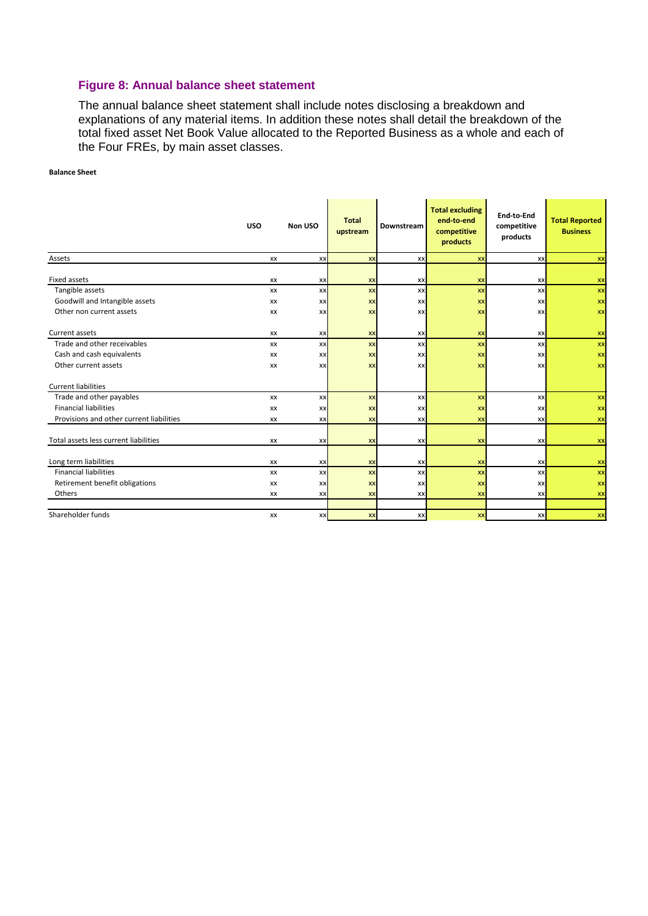#### **Figure 8: Annual balance sheet statement**

The annual balance sheet statement shall include notes disclosing a breakdown and explanations of any material items. In addition these notes shall detail the breakdown of the total fixed asset Net Book Value allocated to the Reported Business as a whole and each of the Four FREs, by main asset classes.

#### **Balance Sheet**

|                                          | <b>USO</b> | Non USO   | <b>Total</b><br>upstream | Downstream | <b>Total excluding</b><br>end-to-end<br>competitive<br>products | End-to-End<br>competitive<br>products | <b>Total Reported</b><br><b>Business</b> |
|------------------------------------------|------------|-----------|--------------------------|------------|-----------------------------------------------------------------|---------------------------------------|------------------------------------------|
| Assets                                   | XX         | xxl       | <b>XX</b>                | <b>XX</b>  | XX                                                              | <b>XX</b>                             | XX                                       |
| <b>Fixed assets</b>                      | XX         | XX        | XX                       | XX         | <b>XX</b>                                                       | XX                                    | XX                                       |
| Tangible assets                          | XX         | <b>xx</b> | <b>XX</b>                | XX         | <b>XX</b>                                                       | <b>XX</b>                             | XX                                       |
| Goodwill and Intangible assets           | XX         | <b>xx</b> | <b>XX</b>                | <b>xx</b>  | <b>XX</b>                                                       | XX                                    | XX                                       |
| Other non current assets                 | XX         | <b>xx</b> | <b>XX</b>                | <b>xx</b>  | <b>XX</b>                                                       | XX                                    | XX                                       |
| Current assets                           | XX         | XX        | <b>XX</b>                | XX         | <b>XX</b>                                                       | XX                                    | <b>XX</b>                                |
| Trade and other receivables              | XX         | xx        | XX                       | <b>XX</b>  | <b>xx</b>                                                       | xx                                    | XX                                       |
| Cash and cash equivalents                | XX         | <b>xx</b> | XX                       | XX         | <b>XX</b>                                                       | XX                                    | XX                                       |
| Other current assets                     | XX         | xx        | <b>XX</b>                | <b>xx</b>  | <b>XX</b>                                                       | XX                                    | XX                                       |
| <b>Current liabilities</b>               |            |           |                          |            |                                                                 |                                       |                                          |
| Trade and other payables                 | XX         | XX        | XX                       | XX         | <b>XX</b>                                                       | XX                                    | XX                                       |
| <b>Financial liabilities</b>             | XX         | <b>xx</b> | <b>XX</b>                | <b>xx</b>  | <b>XX</b>                                                       | XX                                    | XX                                       |
| Provisions and other current liabilities | XX         | <b>xx</b> | <b>XX</b>                | XX         | <b>XX</b>                                                       | XX                                    | XX                                       |
| Total assets less current liabilities    | XX         | XX        | <b>XX</b>                | <b>XX</b>  | XX                                                              | XX                                    | XX                                       |
| Long term liabilities                    | XX         | XX        | <b>XX</b>                | <b>xx</b>  | <b>XX</b>                                                       | <b>XX</b>                             | XX                                       |
| <b>Financial liabilities</b>             | XX         | XX        | <b>XX</b>                | XX         | <b>XX</b>                                                       | <b>XX</b>                             | XX                                       |
| Retirement benefit obligations           | XX         | <b>XX</b> | <b>XX</b>                | <b>xx</b>  | <b>XX</b>                                                       | XX                                    | XX                                       |
| Others                                   | XX         | <b>xx</b> | <b>XX</b>                | <b>XX</b>  | <b>XX</b>                                                       | XX                                    | XX                                       |
|                                          |            |           |                          |            |                                                                 |                                       |                                          |
| Shareholder funds                        | XX         | XX        | <b>XX</b>                | XX         | <b>XX</b>                                                       | <b>XX</b>                             | XX                                       |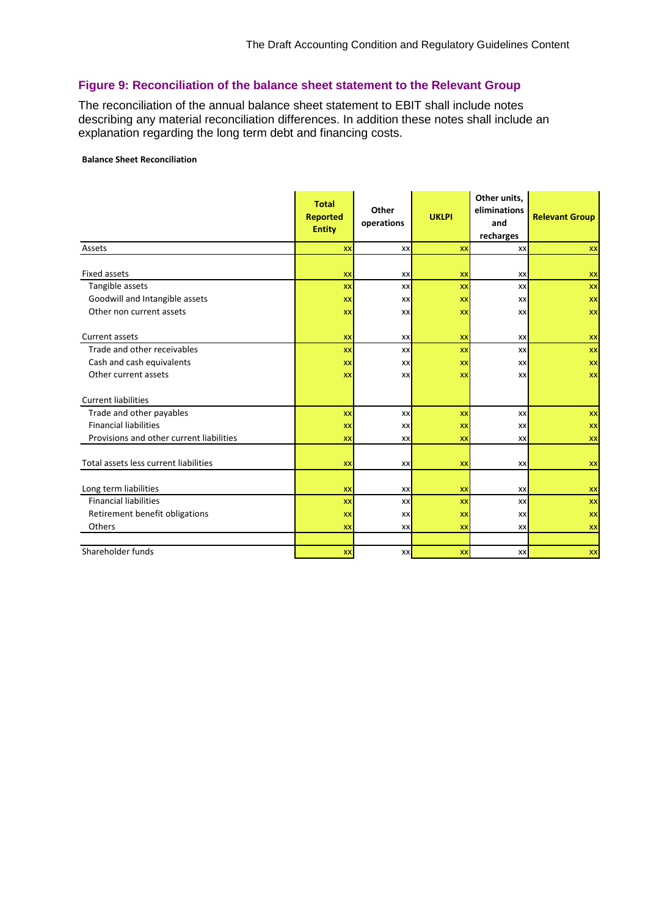# **Figure 9: Reconciliation of the balance sheet statement to the Relevant Group**

The reconciliation of the annual balance sheet statement to EBIT shall include notes describing any material reconciliation differences. In addition these notes shall include an explanation regarding the long term debt and financing costs.

#### **Balance Sheet Reconciliation**

|                                          | <b>Total</b><br><b>Reported</b><br><b>Entity</b> | Other<br>operations | <b>UKLPI</b> | Other units,<br>eliminations<br>and<br>recharges | <b>Relevant Group</b> |
|------------------------------------------|--------------------------------------------------|---------------------|--------------|--------------------------------------------------|-----------------------|
| Assets                                   | <b>XX</b>                                        | XX                  | <b>XX</b>    | XX                                               | XX                    |
| <b>Fixed assets</b>                      | <b>XX</b>                                        | XX                  | XX           | XX                                               | <b>XX</b>             |
| Tangible assets                          | <b>XX</b>                                        | XX                  | <b>XX</b>    | XX                                               | XX                    |
| Goodwill and Intangible assets           | XX                                               | XX                  | XX           | XX                                               | XX                    |
| Other non current assets                 | XX                                               | XX                  | XX           | XX                                               | XX                    |
| Current assets                           | XX                                               | XX                  | XX           | XX                                               | <b>XX</b>             |
| Trade and other receivables              | <b>XX</b>                                        | XX                  | XX           | XX                                               | XX                    |
| Cash and cash equivalents                | <b>XX</b>                                        | XX                  | <b>XX</b>    | <b>XX</b>                                        | <b>XX</b>             |
| Other current assets                     | XX                                               | XX                  | XX           | XX                                               | XX                    |
|                                          |                                                  |                     |              |                                                  |                       |
| <b>Current liabilities</b>               |                                                  |                     |              |                                                  |                       |
| Trade and other payables                 | <b>XX</b>                                        | XX                  | <b>XX</b>    | XX                                               | XX                    |
| <b>Financial liabilities</b>             | <b>XX</b>                                        | XX                  | XX           | XX                                               | XX                    |
| Provisions and other current liabilities | XX                                               | XX                  | XX           | XX                                               | XX                    |
| Total assets less current liabilities    | XX                                               | XX                  | XX           | XX                                               | <b>XX</b>             |
|                                          |                                                  |                     |              |                                                  |                       |
| Long term liabilities                    | XX                                               | XX                  | XX           | XX                                               | XX                    |
| <b>Financial liabilities</b>             | <b>XX</b>                                        | XX                  | <b>XX</b>    | XX                                               | XX                    |
| Retirement benefit obligations           | <b>XX</b>                                        | XX                  | XX           | XX                                               | XX                    |
| Others                                   | <b>XX</b>                                        | XX                  | XX           | XX                                               | XX                    |
|                                          |                                                  |                     |              |                                                  |                       |
| Shareholder funds                        | <b>XX</b>                                        | XX                  | <b>XX</b>    | XX                                               | XX                    |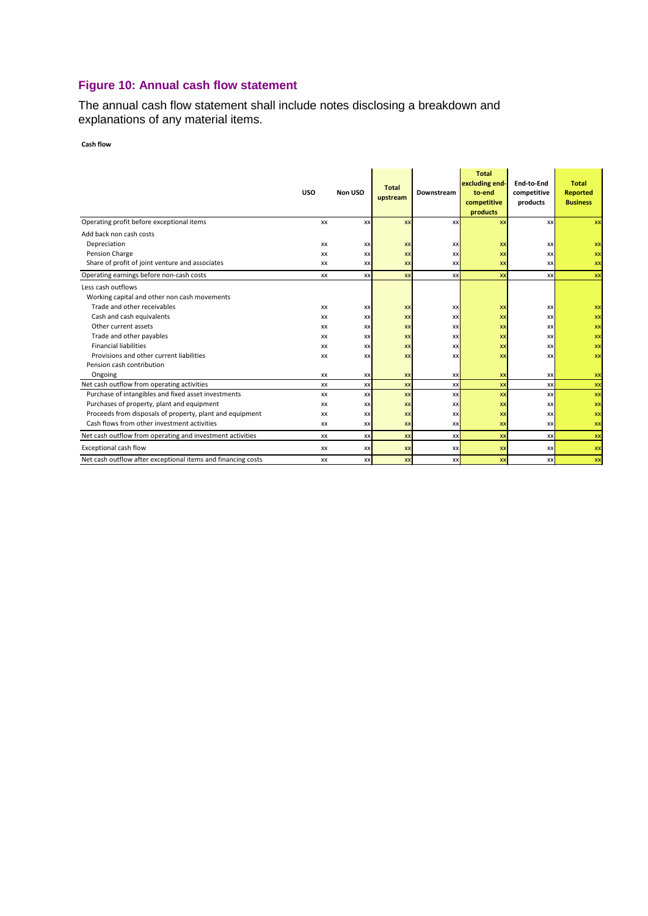# **Figure 10: Annual cash flow statement**

The annual cash flow statement shall include notes disclosing a breakdown and explanations of any material items.

**Cash flow**

|                                                              | <b>USO</b> | Non USO   | <b>Total</b> | Downstream | <b>Total</b><br>excluding end-<br>to-end | End-to-End<br>competitive | <b>Total</b><br><b>Reported</b> |
|--------------------------------------------------------------|------------|-----------|--------------|------------|------------------------------------------|---------------------------|---------------------------------|
|                                                              |            |           | upstream     |            | competitive                              | products                  | <b>Business</b>                 |
|                                                              |            |           |              |            | products                                 |                           |                                 |
| Operating profit before exceptional items                    | XX         | XX        | <b>XX</b>    | XX         | XX                                       | <b>xx</b>                 | XX                              |
| Add back non cash costs                                      |            |           |              |            |                                          |                           |                                 |
| Depreciation                                                 | XX         | XX        | <b>XX</b>    | XX         | <b>XX</b>                                | XX                        | XX                              |
| Pension Charge                                               | XX         | XX        | <b>XX</b>    | XX         | <b>XX</b>                                | XX                        | XX                              |
| Share of profit of joint venture and associates              | XX         | XX        | <b>XX</b>    | <b>XX</b>  | <b>XX</b>                                | <b>XX</b>                 | XX                              |
| Operating earnings before non-cash costs                     | <b>XX</b>  | XX        | <b>XX</b>    | XX         | <b>XX</b>                                | XX                        | XX                              |
| Less cash outflows                                           |            |           |              |            |                                          |                           |                                 |
| Working capital and other non cash movements                 |            |           |              |            |                                          |                           |                                 |
| Trade and other receivables                                  | XX         | XX        | <b>XX</b>    | XX         | XX                                       | XX                        | XX                              |
| Cash and cash equivalents                                    | XX         | XX        | <b>XX</b>    | XX         | <b>XX</b>                                | XX                        | XX                              |
| Other current assets                                         | XX         | <b>XX</b> | <b>XX</b>    | <b>XX</b>  | XX                                       | XX                        | XX                              |
| Trade and other payables                                     | XX         | XX        | <b>XX</b>    | XX         | <b>XX</b>                                | <b>XX</b>                 | XX                              |
| <b>Financial liabilities</b>                                 | XX         | <b>XX</b> | <b>XX</b>    | XX         | XX                                       | XX                        | XX                              |
| Provisions and other current liabilities                     | XX         | XX        | <b>XX</b>    | XX         | <b>XX</b>                                | <b>XX</b>                 | XX                              |
| Pension cash contribution                                    |            |           |              |            |                                          |                           |                                 |
| Ongoing                                                      | XX         | <b>XX</b> | <b>XX</b>    | XX         | XX                                       | <b>XX</b>                 | XX                              |
| Net cash outflow from operating activities                   | XX         | XX        | <b>XX</b>    | XX         | XX                                       | XX                        | XX                              |
| Purchase of intangibles and fixed asset investments          | XX         | XX        | <b>XX</b>    | <b>XX</b>  | XX                                       | XX                        | XX                              |
| Purchases of property, plant and equipment                   | XX         | XX        | <b>XX</b>    | XX         | XX                                       | <b>XX</b>                 | XX                              |
| Proceeds from disposals of property, plant and equipment     | XX         | <b>XX</b> | <b>XX</b>    | XX         | <b>XX</b>                                | XX                        | XX                              |
| Cash flows from other investment activities                  | XX         | XX        | <b>XX</b>    | XX         | <b>XX</b>                                | XX                        | XX                              |
| Net cash outflow from operating and investment activities    | <b>XX</b>  | XX        | <b>XX</b>    | XX         | XX                                       | XX                        | XX                              |
| Exceptional cash flow                                        | XX         | XX        | <b>XX</b>    | XX         | XX                                       | <b>XX</b>                 | XX                              |
| Net cash outflow after exceptional items and financing costs | XX         | XX        | <b>XX</b>    | <b>XX</b>  | <b>XX</b>                                | <b>XX</b>                 | XX                              |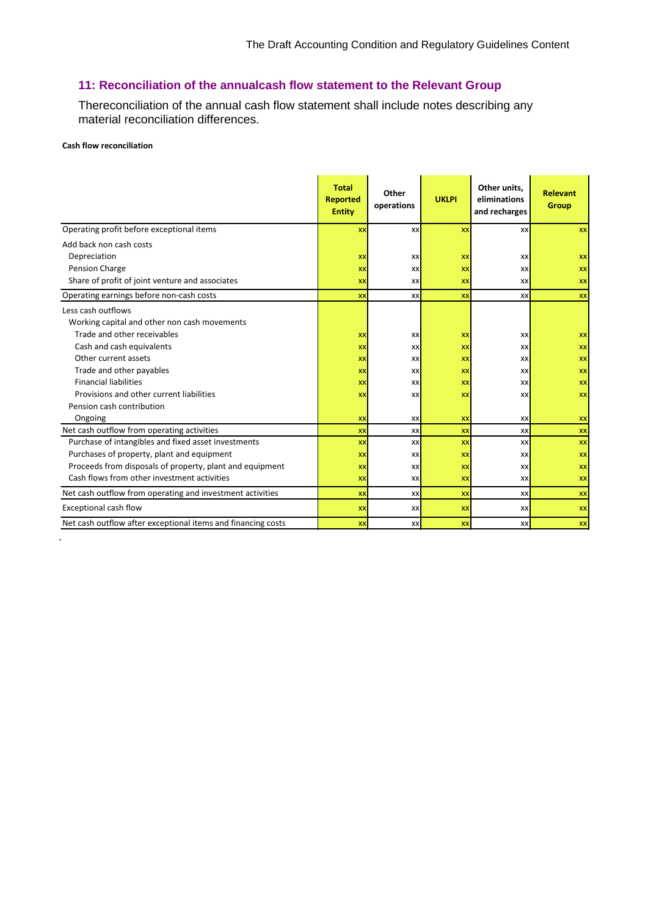# **11: Reconciliation of the annualcash flow statement to the Relevant Group**

Thereconciliation of the annual cash flow statement shall include notes describing any material reconciliation differences.

#### **Cash flow reconciliation**

.

|                                                              | <b>Total</b><br><b>Reported</b><br><b>Entity</b> | Other<br>operations | <b>UKLPI</b> | Other units,<br>eliminations<br>and recharges | <b>Relevant</b><br>Group |
|--------------------------------------------------------------|--------------------------------------------------|---------------------|--------------|-----------------------------------------------|--------------------------|
| Operating profit before exceptional items                    | XX                                               | XX                  | XX           | XX                                            | <b>XX</b>                |
| Add back non cash costs                                      |                                                  |                     |              |                                               |                          |
| Depreciation                                                 | XX                                               | XX                  | <b>XX</b>    | XX                                            | <b>XX</b>                |
| Pension Charge                                               | XX                                               | XX                  | XX           | XX                                            | <b>XX</b>                |
| Share of profit of joint venture and associates              | XX                                               | <b>XX</b>           | <b>XX</b>    | XX                                            | <b>XX</b>                |
| Operating earnings before non-cash costs                     | <b>XX</b>                                        | XX                  | <b>XX</b>    | XX                                            | <b>XX</b>                |
| Less cash outflows                                           |                                                  |                     |              |                                               |                          |
| Working capital and other non cash movements                 |                                                  |                     |              |                                               |                          |
| Trade and other receivables                                  | XX                                               | XX                  | <b>XX</b>    | XX                                            | <b>XX</b>                |
| Cash and cash equivalents                                    | XX                                               | XX                  | <b>XX</b>    | XX                                            | <b>XX</b>                |
| Other current assets                                         | XX                                               | XX                  | XX           | XX                                            | <b>XX</b>                |
| Trade and other payables                                     | XX                                               | XX                  | <b>XX</b>    | XX                                            | <b>XX</b>                |
| <b>Financial liabilities</b>                                 | XX                                               | XX                  | <b>XX</b>    | XX                                            | <b>XX</b>                |
| Provisions and other current liabilities                     | XX                                               | XX                  | XX           | XX                                            | <b>XX</b>                |
| Pension cash contribution                                    |                                                  |                     |              |                                               |                          |
| Ongoing                                                      | XX                                               | XX                  | XX           | XX                                            | XX                       |
| Net cash outflow from operating activities                   | XX                                               | XX                  | <b>XX</b>    | XX                                            | XX                       |
| Purchase of intangibles and fixed asset investments          | XX                                               | XX                  | XX           | XX                                            | <b>XX</b>                |
| Purchases of property, plant and equipment                   | XX                                               | XX                  | XX           | XX                                            | <b>XX</b>                |
| Proceeds from disposals of property, plant and equipment     | XX                                               | XX                  | <b>XX</b>    | XX                                            | <b>XX</b>                |
| Cash flows from other investment activities                  | XX                                               | XX                  | <b>XX</b>    | XX                                            | <b>XX</b>                |
| Net cash outflow from operating and investment activities    | XX                                               | XX                  | XX           | XX                                            | XX                       |
| <b>Exceptional cash flow</b>                                 | <b>XX</b>                                        | <b>XX</b>           | <b>XX</b>    | XX                                            | XX                       |
| Net cash outflow after exceptional items and financing costs | XX                                               | XX                  | <b>XX</b>    | XX                                            | <b>XX</b>                |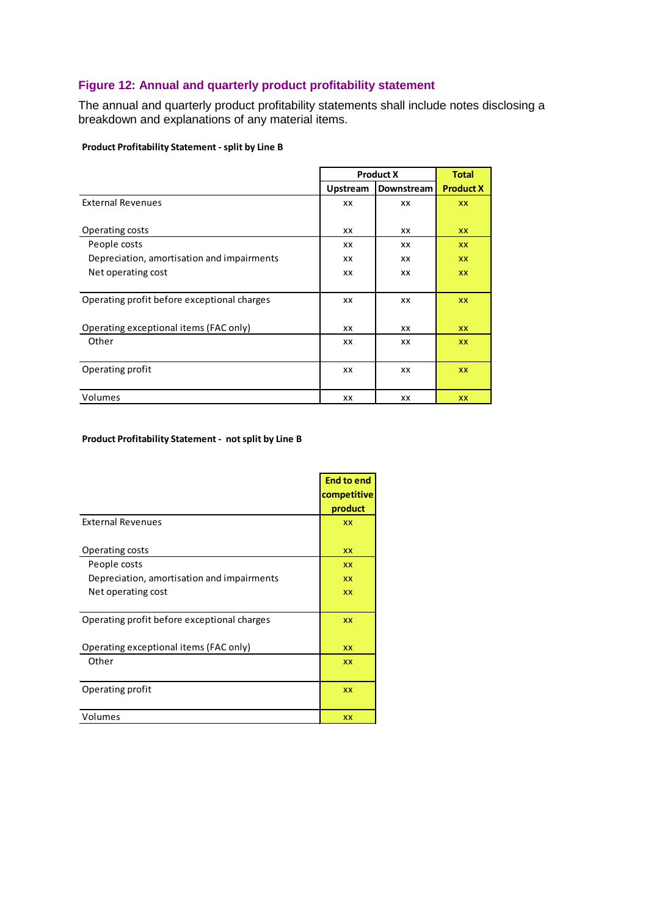# **Figure 12: Annual and quarterly product profitability statement**

The annual and quarterly product profitability statements shall include notes disclosing a breakdown and explanations of any material items.

#### **Product Profitability Statement - split by Line B**

|                                             |                 | <b>Product X</b> | <b>Total</b>     |
|---------------------------------------------|-----------------|------------------|------------------|
|                                             | <b>Upstream</b> | Downstream       | <b>Product X</b> |
| <b>External Revenues</b>                    | XX              | XX               | <b>XX</b>        |
| Operating costs                             | XX              | XX               | <b>XX</b>        |
| People costs                                | XX              | XX               | <b>XX</b>        |
| Depreciation, amortisation and impairments  | XX              | XX               | <b>XX</b>        |
| Net operating cost                          | XX              | XX               | <b>XX</b>        |
|                                             |                 |                  |                  |
| Operating profit before exceptional charges | XX              | XX               | <b>XX</b>        |
| Operating exceptional items (FAC only)      | XX              | ХX               | <b>XX</b>        |
| Other                                       | XX              | XX               | <b>XX</b>        |
|                                             |                 |                  |                  |
| Operating profit                            | XX              | ХX               | <b>XX</b>        |
| Volumes                                     | XX              | ХX               | <b>XX</b>        |

#### **Product Profitability Statement - not split by Line B**

|                                             | <b>End to end</b><br>competitive<br>product |
|---------------------------------------------|---------------------------------------------|
| <b>External Revenues</b>                    | <b>XX</b>                                   |
| Operating costs                             | <b>XX</b>                                   |
| People costs                                | <b>XX</b>                                   |
| Depreciation, amortisation and impairments  | <b>XX</b>                                   |
| Net operating cost                          | XX                                          |
|                                             |                                             |
| Operating profit before exceptional charges | <b>XX</b>                                   |
| Operating exceptional items (FAC only)      | <b>XX</b>                                   |
| Other                                       | <b>XX</b>                                   |
| Operating profit                            | XX                                          |
| Volumes                                     | XX                                          |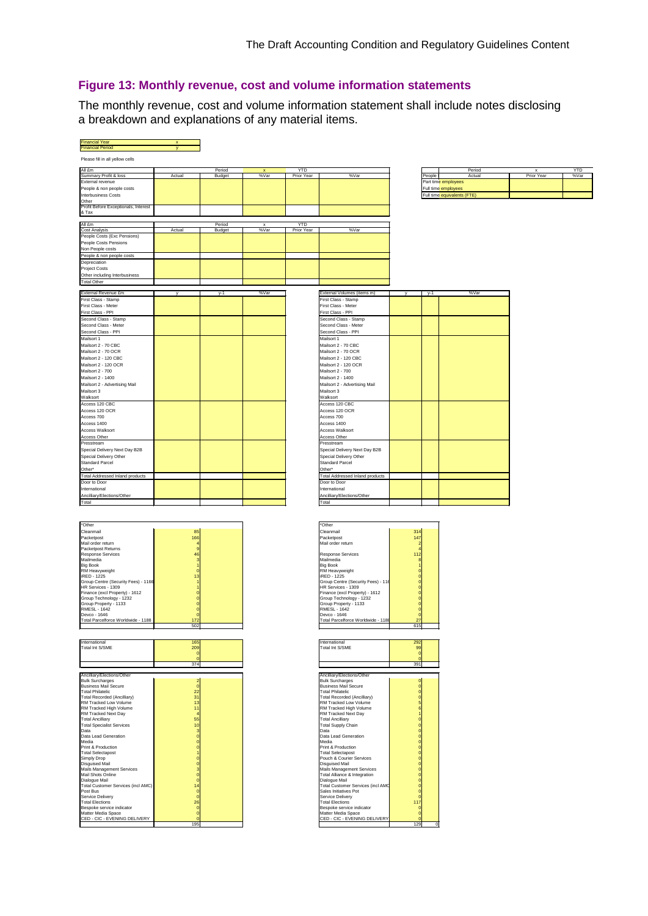#### **Figure 13: Monthly revenue, cost and volume information statements**

The monthly revenue, cost and volume information statement shall include notes disclosing a breakdown and explanations of any material items.

| <b>Financial Year</b><br><b>Financial Period</b>          |                      |                  |                     |                   |                                                          |              |        |                             |                 |                    |
|-----------------------------------------------------------|----------------------|------------------|---------------------|-------------------|----------------------------------------------------------|--------------|--------|-----------------------------|-----------------|--------------------|
|                                                           |                      |                  |                     |                   |                                                          |              |        |                             |                 |                    |
| Please fill in all yellow cells                           |                      |                  |                     |                   |                                                          |              |        |                             |                 |                    |
| All £m                                                    |                      | Period<br>Budget | x<br>%Var           | YTD<br>Prior Year | %Var                                                     |              |        | Period<br>Actual            | x<br>Prior Year | <b>YTD</b><br>%Var |
| Summary Profit & loss<br>External revenue                 | Actual               |                  |                     |                   |                                                          |              | People | Part time employees         |                 |                    |
| People & non people costs                                 |                      |                  |                     |                   |                                                          |              |        | Full time employees         |                 |                    |
| Interbusiness Costs                                       |                      |                  |                     |                   |                                                          |              |        | Full time equivalents (FTE) |                 |                    |
| Other<br>Profit Before Exceptionals, Interest             |                      |                  |                     |                   |                                                          |              |        |                             |                 |                    |
| & Tax                                                     |                      |                  |                     |                   |                                                          |              |        |                             |                 |                    |
|                                                           |                      |                  |                     |                   |                                                          |              |        |                             |                 |                    |
| All £m<br><b>Cost Analysis</b>                            | Actual               | Period<br>Budget | $\mathbf x$<br>%Var | YTD<br>Prior Year | %Var                                                     |              |        |                             |                 |                    |
| People Costs (Exc Pensions)                               |                      |                  |                     |                   |                                                          |              |        |                             |                 |                    |
| People Costs Pensions                                     |                      |                  |                     |                   |                                                          |              |        |                             |                 |                    |
| Non People costs<br>People & non people costs             |                      |                  |                     |                   |                                                          |              |        |                             |                 |                    |
| Depreciation                                              |                      |                  |                     |                   |                                                          |              |        |                             |                 |                    |
| <b>Project Costs</b>                                      |                      |                  |                     |                   |                                                          |              |        |                             |                 |                    |
| Other including Interbusiness                             |                      |                  |                     |                   |                                                          |              |        |                             |                 |                    |
| <b>Total Other</b>                                        |                      |                  |                     |                   |                                                          |              |        |                             |                 |                    |
| External Revenue £m                                       |                      | $y-1$            | %Var                |                   | External Volumes (items m)                               |              | $v-1$  | %Var                        |                 |                    |
| First Class - Stamp                                       |                      |                  |                     |                   | First Class - Stamp                                      |              |        |                             |                 |                    |
| First Class - Meter                                       |                      |                  |                     |                   | First Class - Meter                                      |              |        |                             |                 |                    |
| First Class - PPI<br>Second Class - Stamp                 |                      |                  |                     |                   | First Class - PPI<br>Second Class - Stamp                |              |        |                             |                 |                    |
| Second Class - Meter                                      |                      |                  |                     |                   | Second Class - Meter                                     |              |        |                             |                 |                    |
| Second Class - PPI                                        |                      |                  |                     |                   | Second Class - PPI                                       |              |        |                             |                 |                    |
| Mailsort 1                                                |                      |                  |                     |                   | Mailsort 1                                               |              |        |                             |                 |                    |
| Mailsort 2 - 70 CBC<br>Mailsort 2 - 70 OCR                |                      |                  |                     |                   | Mailsort 2 - 70 CBC<br>Mailsort 2 - 70 OCR               |              |        |                             |                 |                    |
| Mailsort 2 - 120 CBC                                      |                      |                  |                     |                   | Mailsort 2 - 120 CBC                                     |              |        |                             |                 |                    |
| Mailsort 2 - 120 OCR                                      |                      |                  |                     |                   | Mailsort 2 - 120 OCR                                     |              |        |                             |                 |                    |
| Mailsort 2 - 700                                          |                      |                  |                     |                   | Mailsort 2 - 700                                         |              |        |                             |                 |                    |
| Mailsort 2 - 1400<br>Mailsort 2 - Advertising Mail        |                      |                  |                     |                   | Mailsort 2 - 1400<br>Mailsort 2 - Advertising Mail       |              |        |                             |                 |                    |
| Mailsort 3                                                |                      |                  |                     |                   | Mailsort 3                                               |              |        |                             |                 |                    |
| Walksort                                                  |                      |                  |                     |                   | Walksort                                                 |              |        |                             |                 |                    |
| Access 120 CBC                                            |                      |                  |                     |                   | Access 120 CBC                                           |              |        |                             |                 |                    |
| Access 120 OCR                                            |                      |                  |                     |                   | Access 120 OCR                                           |              |        |                             |                 |                    |
| Access 700<br>Access 1400                                 |                      |                  |                     |                   | Access 700<br>Access 1400                                |              |        |                             |                 |                    |
| Access Walksort                                           |                      |                  |                     |                   | Access Walksort                                          |              |        |                             |                 |                    |
| Access Other                                              |                      |                  |                     |                   | Access Other                                             |              |        |                             |                 |                    |
| Presstream                                                |                      |                  |                     |                   | Presstream                                               |              |        |                             |                 |                    |
| Special Delivery Next Day B2B<br>Special Delivery Other   |                      |                  |                     |                   | Special Delivery Next Day B2B<br>Special Delivery Other  |              |        |                             |                 |                    |
| <b>Standard Parcel</b>                                    |                      |                  |                     |                   | <b>Standard Parcel</b>                                   |              |        |                             |                 |                    |
| Other*                                                    |                      |                  |                     |                   | Other*                                                   |              |        |                             |                 |                    |
| <b>Total Addressed Inland products</b>                    |                      |                  |                     |                   | <b>Total Addressed Inland products</b>                   |              |        |                             |                 |                    |
| Door to Door<br>International                             |                      |                  |                     |                   | Door to Door<br>International                            |              |        |                             |                 |                    |
| Ancilliary/Elections/Other                                |                      |                  |                     |                   | Ancilliary/Elections/Other                               |              |        |                             |                 |                    |
| Total                                                     |                      |                  |                     |                   | Total                                                    |              |        |                             |                 |                    |
|                                                           |                      |                  |                     |                   |                                                          |              |        |                             |                 |                    |
|                                                           |                      |                  |                     |                   |                                                          |              |        |                             |                 |                    |
| *Other                                                    |                      |                  |                     |                   | *Other                                                   |              |        |                             |                 |                    |
| Cleanmail<br>Packetpost                                   | 85<br>166            |                  |                     |                   | Cleanmail<br>Packetpost                                  | $31-$<br>147 |        |                             |                 |                    |
| Mail order return                                         |                      |                  |                     |                   | Mail order return                                        |              |        |                             |                 |                    |
| Packetpost Returns<br><b>Response Services</b>            | $\overline{9}$<br>46 |                  |                     |                   | Response Services                                        | 112          |        |                             |                 |                    |
| Mailmedia                                                 | 3                    |                  |                     |                   | Mailmedia                                                |              |        |                             |                 |                    |
| <b>Big Book</b><br>RM Heavyweight                         | $\overline{1}$       |                  |                     |                   | <b>Big Book</b><br>RM Heavyweight                        |              |        |                             |                 |                    |
| <b>IRED - 1225</b>                                        | 13                   |                  |                     |                   | iRED - 1225                                              |              |        |                             |                 |                    |
| Group Centre (Security Fees) - 1166<br>HR Services - 1309 |                      |                  |                     |                   | Group Centre (Security Fees) - 116<br>HR Services - 1309 |              |        |                             |                 |                    |
| Finance (excl Property) - 1612                            |                      |                  |                     |                   | Finance (excl Property) - 1612                           | $\bf{0}$     |        |                             |                 |                    |
| Group Technology - 1232<br>Group Property - 1133          |                      |                  |                     |                   | Group Technology - 1232<br>Group Property - 1133         |              |        |                             |                 |                    |
| <b>RMESL - 1642</b>                                       |                      |                  |                     |                   | RMFSI - 1642                                             | $\bf{0}$     |        |                             |                 |                    |
| Devco - 1646                                              |                      |                  |                     |                   | Devco - 1646                                             |              |        |                             |                 |                    |
| Total Parcelforce Worldwide - 1188                        | 172<br>502           |                  |                     |                   | Total Parcelforce Worldwide - 1188                       | 27<br>615    |        |                             |                 |                    |
|                                                           |                      |                  |                     |                   |                                                          |              |        |                             |                 |                    |
| International                                             | 16 <sup>2</sup>      |                  |                     |                   | International                                            | 29           |        |                             |                 |                    |
| Total Int S/SME                                           | 209                  |                  |                     |                   | Total Int S/SME                                          | 99           |        |                             |                 |                    |
|                                                           |                      |                  |                     |                   |                                                          | C            |        |                             |                 |                    |
|                                                           | 374                  |                  |                     |                   |                                                          | 391          |        |                             |                 |                    |
| Ancilliary/Elections/Other                                |                      |                  |                     |                   | Ancilliary/Elections/Other                               |              |        |                             |                 |                    |
| <b>Bulk Surcharges</b>                                    |                      |                  |                     |                   | <b>Bulk Surcharges</b>                                   |              |        |                             |                 |                    |
| <b>Business Mail Secure</b><br><b>Total Philatelic</b>    | $\mathbf{0}$         |                  |                     |                   | <b>Business Mail Secure</b><br><b>Total Philatelic</b>   | $^{\circ}$   |        |                             |                 |                    |
| <b>Total Recorded (Ancilliary)</b>                        | 22<br>31             |                  |                     |                   | Total Recorded (Ancilliary)                              |              |        |                             |                 |                    |
| RM Tracked Low Volume<br>RM Tracked High Volume           | 13<br>11             |                  |                     |                   | RM Tracked Low Volume<br>RM Tracked High Volume          |              |        |                             |                 |                    |
| RM Tracked Next Day                                       |                      |                  |                     |                   | RM Tracked Next Day                                      |              |        |                             |                 |                    |
| <b>Total Ancilliary</b>                                   | 55                   |                  |                     |                   | <b>Total Ancilliary</b>                                  |              |        |                             |                 |                    |
| <b>Total Specialist Services</b><br>Data                  | 10<br>3              |                  |                     |                   | <b>Total Supply Chain</b><br>Data                        |              |        |                             |                 |                    |
| Data Lead Generation                                      | $\mathbf{0}$         |                  |                     |                   | Data Lead Generation                                     |              |        |                             |                 |                    |
| Media<br>Print & Production                               | $\Omega$             |                  |                     |                   | Media<br>Print & Production                              |              |        |                             |                 |                    |
| <b>Total Selectapost</b>                                  |                      |                  |                     |                   | <b>Total Selectapost</b>                                 |              |        |                             |                 |                    |
| Simply Drop<br>Disguised Mail                             |                      |                  |                     |                   | Pouch & Courier Services<br>Disguised Mail               |              |        |                             |                 |                    |
| Mails Management Services                                 |                      |                  |                     |                   | Mails Management Services                                |              |        |                             |                 |                    |
| Mail Shots Online<br>Dialogue Mail                        |                      |                  |                     |                   | Total Alliance & Integration<br>Dialogue Mail            |              |        |                             |                 |                    |
| Total Customer Services (incl AMC)                        | O<br>14              |                  |                     |                   | <b>Total Customer Services (incl AMC</b>                 | $^{\circ}$   |        |                             |                 |                    |
| Post Bus                                                  |                      |                  |                     |                   | Sales Initiatives Pot                                    |              |        |                             |                 |                    |
| Service Delivery<br><b>Total Elections</b>                | $\mathbf{0}$<br>26   |                  |                     |                   | Service Deliverv<br><b>Total Elections</b>               | 117          |        |                             |                 |                    |
| Bespoke service indicator                                 |                      |                  |                     |                   | Bespoke service indicator                                |              |        |                             |                 |                    |

Matter Media Space 0 Matter Media Space 0 CED - CIC - EVENING DELIVERY 0 CED - CIC - EVENING DELIVERY 0

195 | 195 | 195 | 196 | 197 | 198 | 199 | 199 | 199 | 199 | 199 | 199 | 199 | 199 | 199 | 199 | 199 | 199 | 1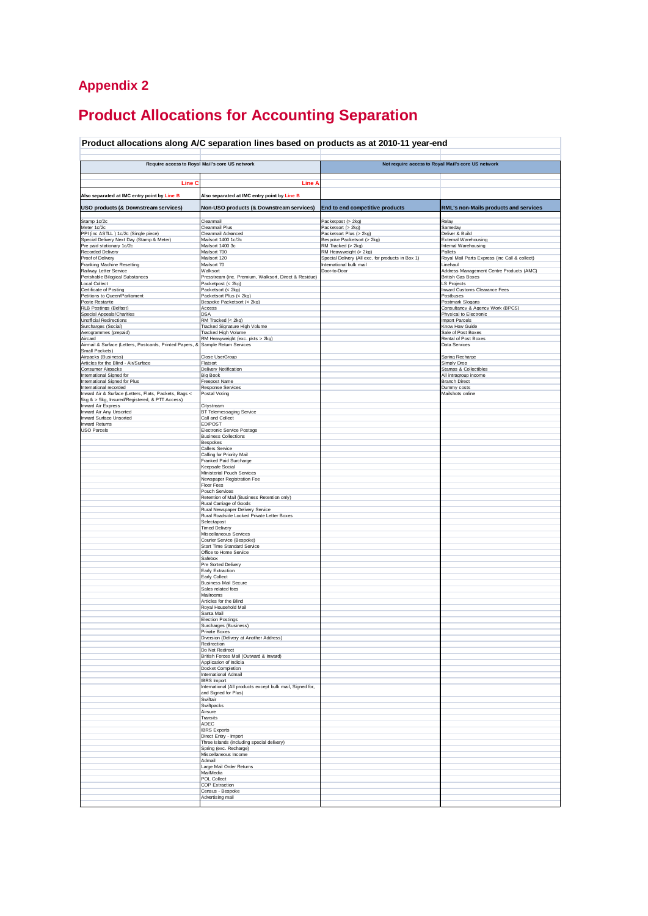# **Appendix 2**

# **Product Allocations for Accounting Separation**

#### **Product allocations along A/C separation lines based on products as at 2010-11 year-end**

|                                                                                                         | Require access to Royal Mail's core US network                      |                                                   | Not require access to Royal Mail's core US network |
|---------------------------------------------------------------------------------------------------------|---------------------------------------------------------------------|---------------------------------------------------|----------------------------------------------------|
|                                                                                                         |                                                                     |                                                   |                                                    |
|                                                                                                         |                                                                     |                                                   |                                                    |
| Line C                                                                                                  | Line A                                                              |                                                   |                                                    |
| Also separated at IMC entry point by Line B                                                             | Also separated at IMC entry point by Line B                         |                                                   |                                                    |
|                                                                                                         |                                                                     |                                                   |                                                    |
| USO products (& Downstream services)                                                                    | Non-USO products (& Downstream services)                            | End to end competitive products                   | RML's non-Mails products and services              |
| Stamp 1c/2c                                                                                             | Cleanmail                                                           | Packetpost (> 2kg)                                | Relay                                              |
| Meter 1c/2c                                                                                             | Cleanmail Plus                                                      | Packetsort (> 2kg)                                | Sameday                                            |
| PPI (inc ASTLL ) 1c/2c (Single piece)                                                                   | Cleanmail Advanced                                                  | Packetsort Plus (> 2kg)                           | Deliver & Build                                    |
| Special Delivery Next Day (Stamp & Meter)                                                               | Mailsort 1400 1c/2c                                                 | Bespoke Packetsort (> 2kg)                        | <b>External Warehousing</b>                        |
| Pre paid stationary 1c/2c<br>Recorded Delivery                                                          | Mailsort 1400 3c<br>Mailsort 700                                    | RM Tracked (> 2kg)<br>RM Heavyweight (> 2kg)      | Internal Warehousing<br>Pallets                    |
| Proof of Delivery                                                                                       | Mailsort 120                                                        | Special Delivery (All exc. for products in Box 1) | Royal Mail Parts Express (inc Call & collect)      |
| <b>Franking Machine Resetting</b>                                                                       | Mailsort 70                                                         | International bulk mail                           | Linehaul                                           |
| Railway Letter Service                                                                                  | Walksort                                                            | Door-to-Door                                      | Address Management Centre Products (AMC)           |
| Perishable Bilogical Substances                                                                         | Presstream (inc. Premium, Walksort, Direct & Residue)               |                                                   | <b>British Gas Boxes</b>                           |
| <b>Local Collect</b>                                                                                    | Packetpost (< 2kg)                                                  |                                                   | <b>LS Projects</b>                                 |
| Certificate of Posting<br>Petitions to Queen/Parliament                                                 | Packetsort (< 2kg)<br>Packetsort Plus (< 2kg)                       |                                                   | Inward Customs Clearance Fees<br>Postbuses         |
| Poste Restante                                                                                          | Bespoke Packetsort (< 2kg)                                          |                                                   | Postmark Slogans                                   |
| RLB Postings (Belfast)                                                                                  | Access                                                              |                                                   | Consultancy & Agency Work (BPCS)                   |
| Special Appeals/Charities                                                                               | DSA                                                                 |                                                   | Physical to Electronic                             |
| <b>Unofficial Redirections</b>                                                                          | RM Tracked (< 2kg)                                                  |                                                   | Import Parcels                                     |
| Surcharges (Social)<br>Aerogrammes (prepaid)                                                            | Tracked Signature High Volume<br>Tracked High Volume                |                                                   | Know How Guide<br>Sale of Post Boxes               |
| Aircard                                                                                                 | RM Heavyweight (exc. pkts > 2kg)                                    |                                                   | Rental of Post Boxes                               |
| Airmail & Surface (Letters, Postcards, Printed Papers, 8                                                | Sample Return Services                                              |                                                   | Data Services                                      |
| Small Packets)                                                                                          |                                                                     |                                                   |                                                    |
| Airpacks (Business)<br>Articles for the Blind - Air/Surface                                             | Close UserGroup<br>Flatsort                                         |                                                   | Spring Recharge                                    |
| Consumer Airpacks                                                                                       | Delivery Notification                                               |                                                   | Simply Drop<br><b>Stamps &amp; Collectibles</b>    |
| International Signed for                                                                                | Big Book                                                            |                                                   | All intragroup income                              |
| International Signed for Plus                                                                           | Freepost Name                                                       |                                                   | <b>Branch Direct</b>                               |
| International recorded                                                                                  | Response Services                                                   |                                                   | Dummy costs                                        |
| Inward Air & Surface (Letters, Flats, Packets, Bags <<br>5kg & > 5kg, Insured/Registered, & PTT Access) | Postal Voting                                                       |                                                   | Mailshots online                                   |
| Inward Air Express                                                                                      | Citystream                                                          |                                                   |                                                    |
| Inward Air Any Unsorted                                                                                 | BT Telemessaging Service                                            |                                                   |                                                    |
| Inward Surface Unsorted                                                                                 | Call and Collect                                                    |                                                   |                                                    |
| <b>Inward Returns</b><br><b>USO Parcels</b>                                                             | EDIPOST                                                             |                                                   |                                                    |
|                                                                                                         | Electronic Service Postage<br><b>Business Collections</b>           |                                                   |                                                    |
|                                                                                                         | <b>Bespokes</b>                                                     |                                                   |                                                    |
|                                                                                                         | Callers Service                                                     |                                                   |                                                    |
|                                                                                                         | Calling for Priority Mail                                           |                                                   |                                                    |
|                                                                                                         | Franked Paid Surcharge                                              |                                                   |                                                    |
|                                                                                                         | Geepsafe Social<br>Ministerial Pouch Services                       |                                                   |                                                    |
|                                                                                                         | Newspaper Registration Fee                                          |                                                   |                                                    |
|                                                                                                         | <b>Floor Fees</b>                                                   |                                                   |                                                    |
|                                                                                                         | Pouch Services                                                      |                                                   |                                                    |
|                                                                                                         | Retention of Mail (Business Retention only)                         |                                                   |                                                    |
|                                                                                                         | Rural Carriage of Goods<br>Rural Newspaper Delivery Service         |                                                   |                                                    |
|                                                                                                         | Rural Roadside Locked Private Letter Boxes                          |                                                   |                                                    |
|                                                                                                         | Selectapost                                                         |                                                   |                                                    |
|                                                                                                         | <b>Timed Delivery</b>                                               |                                                   |                                                    |
|                                                                                                         | Miscellaneous Services<br>Courier Service (Bespoke)                 |                                                   |                                                    |
|                                                                                                         | <b>Start Time Standard Service</b>                                  |                                                   |                                                    |
|                                                                                                         | Office to Home Service                                              |                                                   |                                                    |
|                                                                                                         | Safebox                                                             |                                                   |                                                    |
|                                                                                                         | Pre Sorted Delivery                                                 |                                                   |                                                    |
|                                                                                                         | Early Extraction<br>Early Collect                                   |                                                   |                                                    |
|                                                                                                         | <b>Business Mail Secure</b>                                         |                                                   |                                                    |
|                                                                                                         | Sales related fees                                                  |                                                   |                                                    |
|                                                                                                         | Mailrooms                                                           |                                                   |                                                    |
|                                                                                                         | Articles for the Blind<br>Royal Household Mail                      |                                                   |                                                    |
|                                                                                                         | Santa Mail                                                          |                                                   |                                                    |
|                                                                                                         | <b>Election Postings</b>                                            |                                                   |                                                    |
|                                                                                                         | Surcharges (Business)                                               |                                                   |                                                    |
|                                                                                                         | Private Boxes<br>Diversion (Delivery at Another Address)            |                                                   |                                                    |
|                                                                                                         | Redirection                                                         |                                                   |                                                    |
|                                                                                                         | Do Not Redirect                                                     |                                                   |                                                    |
|                                                                                                         | British Forces Mail (Outward & Inward)                              |                                                   |                                                    |
|                                                                                                         | Application of Indicia                                              |                                                   |                                                    |
|                                                                                                         | Docket Completion<br>International Admail                           |                                                   |                                                    |
|                                                                                                         | <b>IBRS</b> Import                                                  |                                                   |                                                    |
|                                                                                                         | International (All products except bulk mail, Signed for,           |                                                   |                                                    |
|                                                                                                         | and Signed for Plus)                                                |                                                   |                                                    |
|                                                                                                         | Swiftair<br>Swiftpacks                                              |                                                   |                                                    |
|                                                                                                         | Airsure                                                             |                                                   |                                                    |
|                                                                                                         | Transits                                                            |                                                   |                                                    |
|                                                                                                         | ADEC                                                                |                                                   |                                                    |
|                                                                                                         | <b>IBRS Exports</b>                                                 |                                                   |                                                    |
|                                                                                                         | Direct Entry - Import<br>Three Islands (including special delivery) |                                                   |                                                    |
|                                                                                                         | Spring (exc. Recharge)                                              |                                                   |                                                    |
|                                                                                                         | Miscellaneous Income                                                |                                                   |                                                    |
|                                                                                                         | Admail                                                              |                                                   |                                                    |
|                                                                                                         | Large Mail Order Returns                                            |                                                   |                                                    |
|                                                                                                         | MailMedia<br>POL Collect                                            |                                                   |                                                    |
|                                                                                                         | COP Extraction                                                      |                                                   |                                                    |
|                                                                                                         | Census - Bespoke                                                    |                                                   |                                                    |
|                                                                                                         | Advertising mail                                                    |                                                   |                                                    |
|                                                                                                         |                                                                     |                                                   |                                                    |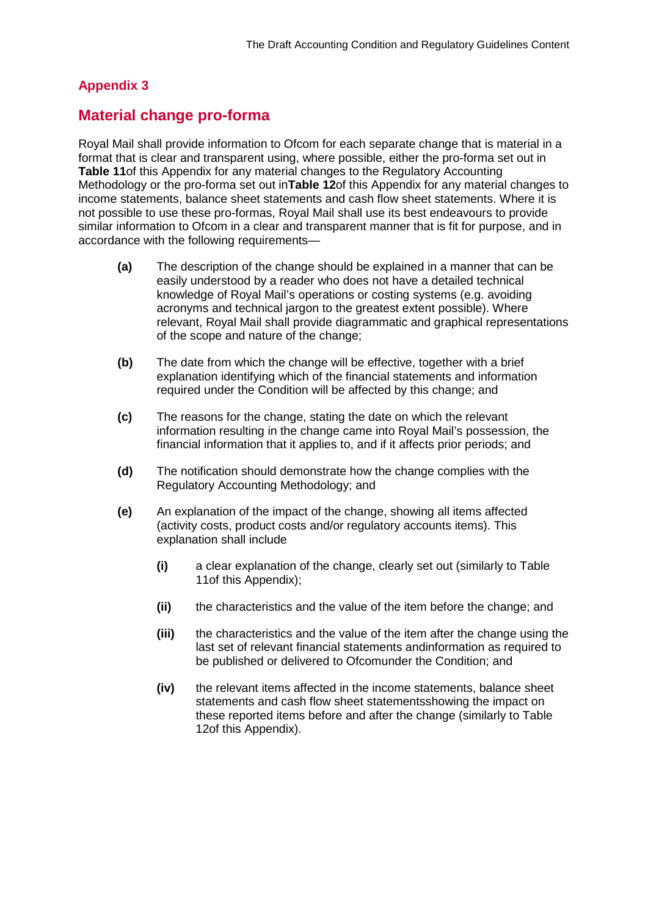# **Appendix 3**

# **Material change pro-forma**

Royal Mail shall provide information to Ofcom for each separate change that is material in a format that is clear and transparent using, where possible, either the pro-forma set out in **Table 11**of this Appendix for any material changes to the Regulatory Accounting Methodology or the pro-forma set out in**Table 12**of this Appendix for any material changes to income statements, balance sheet statements and cash flow sheet statements. Where it is not possible to use these pro-formas, Royal Mail shall use its best endeavours to provide similar information to Ofcom in a clear and transparent manner that is fit for purpose, and in accordance with the following requirements—

- **(a)** The description of the change should be explained in a manner that can be easily understood by a reader who does not have a detailed technical knowledge of Royal Mail's operations or costing systems (e.g. avoiding acronyms and technical jargon to the greatest extent possible). Where relevant, Royal Mail shall provide diagrammatic and graphical representations of the scope and nature of the change;
- **(b)** The date from which the change will be effective, together with a brief explanation identifying which of the financial statements and information required under the Condition will be affected by this change; and
- **(c)** The reasons for the change, stating the date on which the relevant information resulting in the change came into Royal Mail's possession, the financial information that it applies to, and if it affects prior periods; and
- **(d)** The notification should demonstrate how the change complies with the Regulatory Accounting Methodology; and
- **(e)** An explanation of the impact of the change, showing all items affected (activity costs, product costs and/or regulatory accounts items). This explanation shall include
	- **(i)** a clear explanation of the change, clearly set out (similarly to Table 11of this Appendix);
	- **(ii)** the characteristics and the value of the item before the change; and
	- **(iii)** the characteristics and the value of the item after the change using the last set of relevant financial statements andinformation as required to be published or delivered to Ofcomunder the Condition; and
	- **(iv)** the relevant items affected in the income statements, balance sheet statements and cash flow sheet statementsshowing the impact on these reported items before and after the change (similarly to Table 12of this Appendix).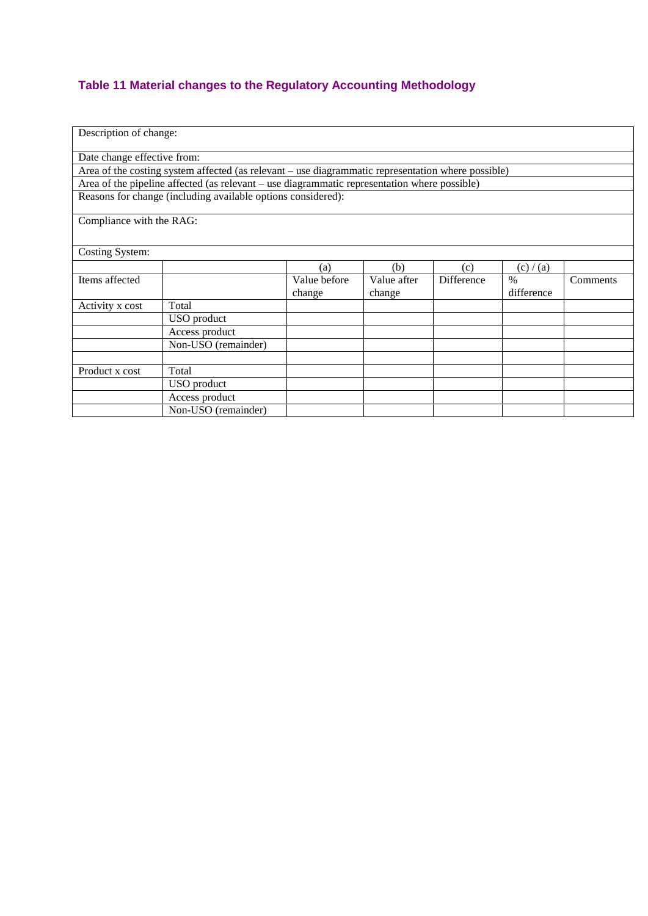# **Table 11 Material changes to the Regulatory Accounting Methodology**

| Description of change:   |                                                                                                    |              |             |            |            |          |  |  |  |  |
|--------------------------|----------------------------------------------------------------------------------------------------|--------------|-------------|------------|------------|----------|--|--|--|--|
|                          | Date change effective from:                                                                        |              |             |            |            |          |  |  |  |  |
|                          | Area of the costing system affected (as relevant – use diagrammatic representation where possible) |              |             |            |            |          |  |  |  |  |
|                          | Area of the pipeline affected (as relevant – use diagrammatic representation where possible)       |              |             |            |            |          |  |  |  |  |
|                          | Reasons for change (including available options considered):                                       |              |             |            |            |          |  |  |  |  |
| Compliance with the RAG: |                                                                                                    |              |             |            |            |          |  |  |  |  |
|                          |                                                                                                    |              |             |            |            |          |  |  |  |  |
|                          |                                                                                                    |              |             |            |            |          |  |  |  |  |
| Costing System:          |                                                                                                    |              |             |            |            |          |  |  |  |  |
|                          |                                                                                                    | (a)          | (b)         | (c)        | (c) / (a)  |          |  |  |  |  |
| Items affected           |                                                                                                    | Value before | Value after | Difference | $\%$       | Comments |  |  |  |  |
|                          |                                                                                                    | change       | change      |            | difference |          |  |  |  |  |
| Activity x cost          | Total                                                                                              |              |             |            |            |          |  |  |  |  |
|                          | USO product                                                                                        |              |             |            |            |          |  |  |  |  |
|                          | Access product                                                                                     |              |             |            |            |          |  |  |  |  |
|                          | Non-USO (remainder)                                                                                |              |             |            |            |          |  |  |  |  |
|                          |                                                                                                    |              |             |            |            |          |  |  |  |  |
| Product x cost           | Total                                                                                              |              |             |            |            |          |  |  |  |  |
|                          | USO product                                                                                        |              |             |            |            |          |  |  |  |  |
|                          | Access product                                                                                     |              |             |            |            |          |  |  |  |  |
|                          | Non-USO (remainder)                                                                                |              |             |            |            |          |  |  |  |  |